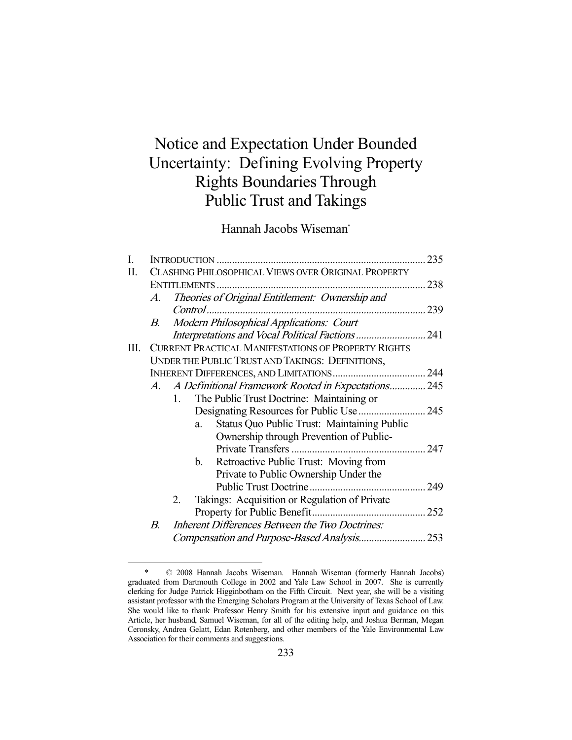# Notice and Expectation Under Bounded Uncertainty: Defining Evolving Property Rights Boundaries Through Public Trust and Takings

Hannah Jacobs Wiseman\*

| I. |                                                            |                                                          |  |  |  |
|----|------------------------------------------------------------|----------------------------------------------------------|--|--|--|
| Π. | CLASHING PHILOSOPHICAL VIEWS OVER ORIGINAL PROPERTY        |                                                          |  |  |  |
|    |                                                            |                                                          |  |  |  |
|    | A.                                                         | Theories of Original Entitlement: Ownership and          |  |  |  |
|    |                                                            |                                                          |  |  |  |
|    | В.                                                         | Modern Philosophical Applications: Court                 |  |  |  |
|    |                                                            |                                                          |  |  |  |
| Ш. | <b>CURRENT PRACTICAL MANIFESTATIONS OF PROPERTY RIGHTS</b> |                                                          |  |  |  |
|    | UNDER THE PUBLIC TRUST AND TAKINGS: DEFINITIONS,           |                                                          |  |  |  |
|    |                                                            |                                                          |  |  |  |
|    |                                                            | A. A Definitional Framework Rooted in Expectations 245   |  |  |  |
|    |                                                            | The Public Trust Doctrine: Maintaining or<br>1.          |  |  |  |
|    |                                                            |                                                          |  |  |  |
|    |                                                            | <b>Status Quo Public Trust: Maintaining Public</b><br>a. |  |  |  |
|    |                                                            | Ownership through Prevention of Public-                  |  |  |  |
|    |                                                            |                                                          |  |  |  |
|    |                                                            | Retroactive Public Trust: Moving from<br>b.              |  |  |  |
|    |                                                            | Private to Public Ownership Under the                    |  |  |  |
|    |                                                            |                                                          |  |  |  |
|    |                                                            | Takings: Acquisition or Regulation of Private<br>2.      |  |  |  |
|    |                                                            |                                                          |  |  |  |
|    | В.                                                         | <b>Inherent Differences Between the Two Doctrines:</b>   |  |  |  |
|    |                                                            |                                                          |  |  |  |

 <sup>\* © 2008</sup> Hannah Jacobs Wiseman. Hannah Wiseman (formerly Hannah Jacobs) graduated from Dartmouth College in 2002 and Yale Law School in 2007. She is currently clerking for Judge Patrick Higginbotham on the Fifth Circuit. Next year, she will be a visiting assistant professor with the Emerging Scholars Program at the University of Texas School of Law. She would like to thank Professor Henry Smith for his extensive input and guidance on this Article, her husband, Samuel Wiseman, for all of the editing help, and Joshua Berman, Megan Ceronsky, Andrea Gelatt, Edan Rotenberg, and other members of the Yale Environmental Law Association for their comments and suggestions.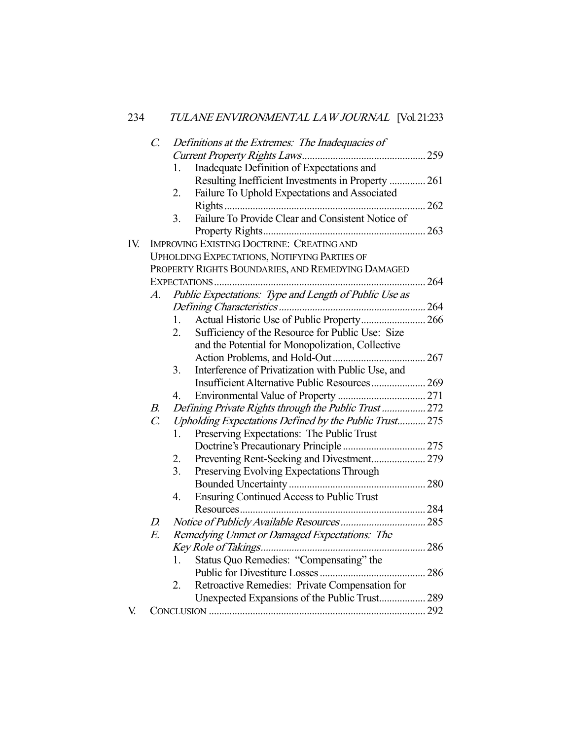|     | $\mathcal{C}$ .                                   |                  | Definitions at the Extremes: The Inadequacies of      |  |  |  |
|-----|---------------------------------------------------|------------------|-------------------------------------------------------|--|--|--|
|     |                                                   |                  |                                                       |  |  |  |
|     |                                                   | 1.               | Inadequate Definition of Expectations and             |  |  |  |
|     |                                                   |                  | Resulting Inefficient Investments in Property  261    |  |  |  |
|     |                                                   | 2.               | Failure To Uphold Expectations and Associated         |  |  |  |
|     |                                                   |                  |                                                       |  |  |  |
|     |                                                   | 3.               | Failure To Provide Clear and Consistent Notice of     |  |  |  |
|     |                                                   |                  |                                                       |  |  |  |
| IV. |                                                   |                  | <b>IMPROVING EXISTING DOCTRINE: CREATING AND</b>      |  |  |  |
|     | UPHOLDING EXPECTATIONS, NOTIFYING PARTIES OF      |                  |                                                       |  |  |  |
|     | PROPERTY RIGHTS BOUNDARIES, AND REMEDYING DAMAGED |                  |                                                       |  |  |  |
|     |                                                   |                  |                                                       |  |  |  |
|     | A.                                                |                  | Public Expectations: Type and Length of Public Use as |  |  |  |
|     |                                                   |                  |                                                       |  |  |  |
|     |                                                   | 1.               | Actual Historic Use of Public Property 266            |  |  |  |
|     |                                                   | 2.               | Sufficiency of the Resource for Public Use: Size      |  |  |  |
|     |                                                   |                  | and the Potential for Monopolization, Collective      |  |  |  |
|     |                                                   |                  |                                                       |  |  |  |
|     |                                                   | 3.               | Interference of Privatization with Public Use, and    |  |  |  |
|     |                                                   |                  | Insufficient Alternative Public Resources 269         |  |  |  |
|     |                                                   | 4.               |                                                       |  |  |  |
|     | $B_{\cdot}$                                       |                  | Defining Private Rights through the Public Trust  272 |  |  |  |
|     | $\mathcal{C}$                                     |                  | Upholding Expectations Defined by the Public Trust275 |  |  |  |
|     |                                                   | 1.               | Preserving Expectations: The Public Trust             |  |  |  |
|     |                                                   |                  |                                                       |  |  |  |
|     |                                                   | 2.               | Preventing Rent-Seeking and Divestment 279            |  |  |  |
|     |                                                   | 3 <sub>1</sub>   | Preserving Evolving Expectations Through              |  |  |  |
|     |                                                   |                  |                                                       |  |  |  |
|     |                                                   | $\overline{4}$ . | <b>Ensuring Continued Access to Public Trust</b>      |  |  |  |
|     |                                                   |                  |                                                       |  |  |  |
|     | $D_{\cdot}$                                       |                  |                                                       |  |  |  |
|     | E.                                                |                  | Remedying Unmet or Damaged Expectations: The          |  |  |  |
|     |                                                   |                  |                                                       |  |  |  |
|     |                                                   | 1.               | Status Quo Remedies: "Compensating" the               |  |  |  |
|     |                                                   |                  |                                                       |  |  |  |
|     |                                                   | 2.               | Retroactive Remedies: Private Compensation for        |  |  |  |
|     |                                                   |                  | Unexpected Expansions of the Public Trust 289         |  |  |  |
| V.  |                                                   |                  |                                                       |  |  |  |
|     |                                                   |                  |                                                       |  |  |  |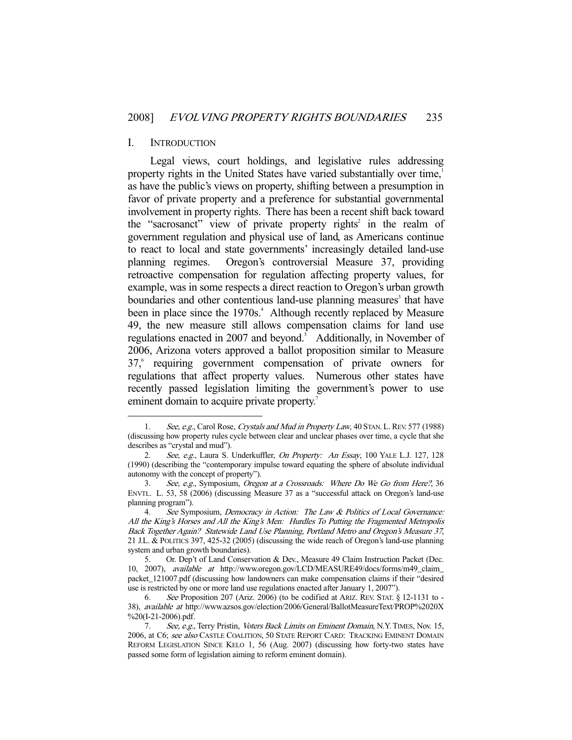#### I. INTRODUCTION

-

 Legal views, court holdings, and legislative rules addressing property rights in the United States have varied substantially over time,<sup>1</sup> as have the public's views on property, shifting between a presumption in favor of private property and a preference for substantial governmental involvement in property rights. There has been a recent shift back toward the "sacrosanct" view of private property rights<sup>2</sup> in the realm of government regulation and physical use of land, as Americans continue to react to local and state governments' increasingly detailed land-use planning regimes. Oregon's controversial Measure 37, providing retroactive compensation for regulation affecting property values, for example, was in some respects a direct reaction to Oregon's urban growth boundaries and other contentious land-use planning measures<sup>3</sup> that have been in place since the 1970s.<sup>4</sup> Although recently replaced by Measure 49, the new measure still allows compensation claims for land use regulations enacted in 2007 and beyond.<sup>5</sup> Additionally, in November of 2006, Arizona voters approved a ballot proposition similar to Measure 37,<sup>6</sup> requiring government compensation of private owners for regulations that affect property values. Numerous other states have recently passed legislation limiting the government's power to use eminent domain to acquire private property.<sup>7</sup>

<sup>1.</sup> See, e.g., Carol Rose, Crystals and Mud in Property Law, 40 STAN. L. REV. 577 (1988) (discussing how property rules cycle between clear and unclear phases over time, a cycle that she describes as "crystal and mud").

<sup>2.</sup> See, e.g., Laura S. Underkuffler, On Property: An Essay, 100 YALE L.J. 127, 128 (1990) (describing the "contemporary impulse toward equating the sphere of absolute individual autonomy with the concept of property").

 <sup>3.</sup> See, e.g., Symposium, Oregon at a Crossroads: Where Do We Go from Here?, 36 ENVTL. L. 53, 58 (2006) (discussing Measure 37 as a "successful attack on Oregon's land-use planning program").

<sup>4.</sup> See Symposium, Democracy in Action: The Law & Politics of Local Governance: All the King's Horses and All the King's Men: Hurdles To Putting the Fragmented Metropolis Back Together Again? Statewide Land Use Planning, Portland Metro and Oregon's Measure 37, 21 J.L. & POLITICS 397, 425-32 (2005) (discussing the wide reach of Oregon's land-use planning system and urban growth boundaries).

 <sup>5.</sup> Or. Dep't of Land Conservation & Dev., Measure 49 Claim Instruction Packet (Dec. 10, 2007), available at http://www.oregon.gov/LCD/MEASURE49/docs/forms/m49\_claim\_ packet\_121007.pdf (discussing how landowners can make compensation claims if their "desired use is restricted by one or more land use regulations enacted after January 1, 2007").

 <sup>6.</sup> See Proposition 207 (Ariz. 2006) (to be codified at ARIZ. REV. STAT. § 12-1131 to - 38), available at http://www.azsos.gov/election/2006/General/BallotMeasureText/PROP%2020X %20(I-21-2006).pdf.

<sup>7.</sup> See, e.g., Terry Pristin, Voters Back Limits on Eminent Domain, N.Y. TIMES, Nov. 15, 2006, at C6; see also CASTLE COALITION, 50 STATE REPORT CARD: TRACKING EMINENT DOMAIN REFORM LEGISLATION SINCE KELO 1, 56 (Aug. 2007) (discussing how forty-two states have passed some form of legislation aiming to reform eminent domain).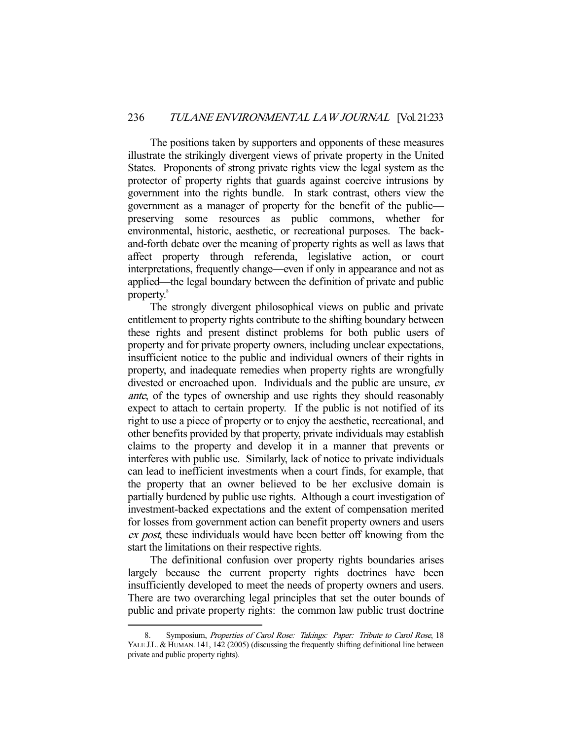The positions taken by supporters and opponents of these measures illustrate the strikingly divergent views of private property in the United States. Proponents of strong private rights view the legal system as the protector of property rights that guards against coercive intrusions by government into the rights bundle. In stark contrast, others view the government as a manager of property for the benefit of the public preserving some resources as public commons, whether for environmental, historic, aesthetic, or recreational purposes. The backand-forth debate over the meaning of property rights as well as laws that affect property through referenda, legislative action, or court interpretations, frequently change—even if only in appearance and not as applied—the legal boundary between the definition of private and public property.<sup>8</sup>

 The strongly divergent philosophical views on public and private entitlement to property rights contribute to the shifting boundary between these rights and present distinct problems for both public users of property and for private property owners, including unclear expectations, insufficient notice to the public and individual owners of their rights in property, and inadequate remedies when property rights are wrongfully divested or encroached upon. Individuals and the public are unsure, ex ante, of the types of ownership and use rights they should reasonably expect to attach to certain property. If the public is not notified of its right to use a piece of property or to enjoy the aesthetic, recreational, and other benefits provided by that property, private individuals may establish claims to the property and develop it in a manner that prevents or interferes with public use. Similarly, lack of notice to private individuals can lead to inefficient investments when a court finds, for example, that the property that an owner believed to be her exclusive domain is partially burdened by public use rights. Although a court investigation of investment-backed expectations and the extent of compensation merited for losses from government action can benefit property owners and users ex post, these individuals would have been better off knowing from the start the limitations on their respective rights.

 The definitional confusion over property rights boundaries arises largely because the current property rights doctrines have been insufficiently developed to meet the needs of property owners and users. There are two overarching legal principles that set the outer bounds of public and private property rights: the common law public trust doctrine

<sup>8.</sup> Symposium, Properties of Carol Rose: Takings: Paper: Tribute to Carol Rose, 18 YALE J.L. & HUMAN. 141, 142 (2005) (discussing the frequently shifting definitional line between private and public property rights).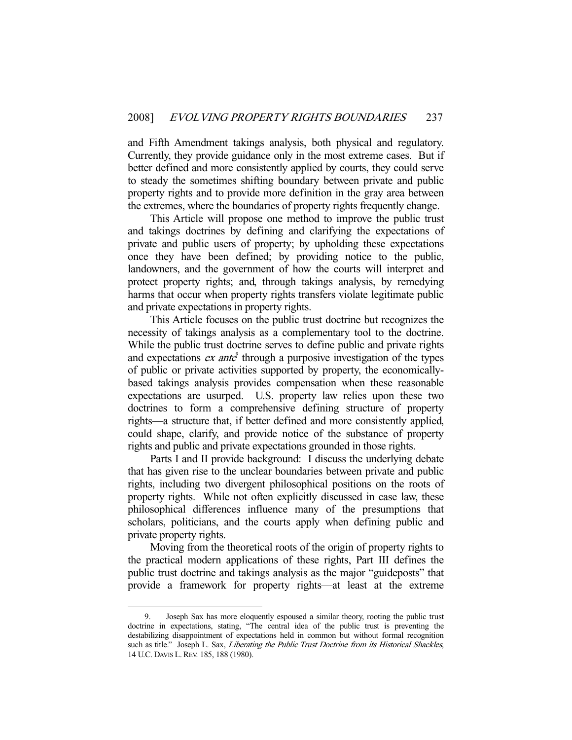and Fifth Amendment takings analysis, both physical and regulatory. Currently, they provide guidance only in the most extreme cases. But if better defined and more consistently applied by courts, they could serve to steady the sometimes shifting boundary between private and public property rights and to provide more definition in the gray area between the extremes, where the boundaries of property rights frequently change.

 This Article will propose one method to improve the public trust and takings doctrines by defining and clarifying the expectations of private and public users of property; by upholding these expectations once they have been defined; by providing notice to the public, landowners, and the government of how the courts will interpret and protect property rights; and, through takings analysis, by remedying harms that occur when property rights transfers violate legitimate public and private expectations in property rights.

 This Article focuses on the public trust doctrine but recognizes the necessity of takings analysis as a complementary tool to the doctrine. While the public trust doctrine serves to define public and private rights and expectations  $ex$  ante<sup>9</sup> through a purposive investigation of the types of public or private activities supported by property, the economicallybased takings analysis provides compensation when these reasonable expectations are usurped. U.S. property law relies upon these two doctrines to form a comprehensive defining structure of property rights—a structure that, if better defined and more consistently applied, could shape, clarify, and provide notice of the substance of property rights and public and private expectations grounded in those rights.

 Parts I and II provide background: I discuss the underlying debate that has given rise to the unclear boundaries between private and public rights, including two divergent philosophical positions on the roots of property rights. While not often explicitly discussed in case law, these philosophical differences influence many of the presumptions that scholars, politicians, and the courts apply when defining public and private property rights.

 Moving from the theoretical roots of the origin of property rights to the practical modern applications of these rights, Part III defines the public trust doctrine and takings analysis as the major "guideposts" that provide a framework for property rights—at least at the extreme

 <sup>9.</sup> Joseph Sax has more eloquently espoused a similar theory, rooting the public trust doctrine in expectations, stating, "The central idea of the public trust is preventing the destabilizing disappointment of expectations held in common but without formal recognition such as title." Joseph L. Sax, Liberating the Public Trust Doctrine from its Historical Shackles, 14 U.C. DAVIS L.REV. 185, 188 (1980).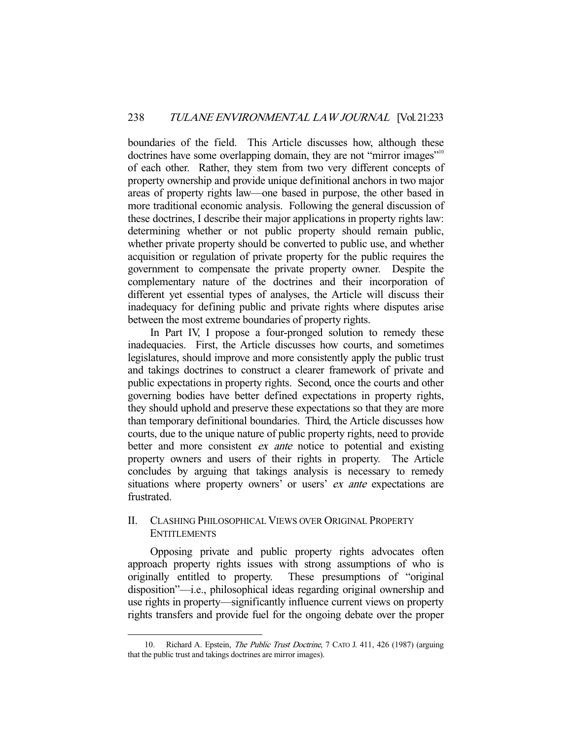boundaries of the field. This Article discusses how, although these doctrines have some overlapping domain, they are not "mirror images"<sup>10</sup> of each other. Rather, they stem from two very different concepts of property ownership and provide unique definitional anchors in two major areas of property rights law—one based in purpose, the other based in more traditional economic analysis. Following the general discussion of these doctrines, I describe their major applications in property rights law: determining whether or not public property should remain public, whether private property should be converted to public use, and whether acquisition or regulation of private property for the public requires the government to compensate the private property owner. Despite the complementary nature of the doctrines and their incorporation of different yet essential types of analyses, the Article will discuss their inadequacy for defining public and private rights where disputes arise between the most extreme boundaries of property rights.

 In Part IV, I propose a four-pronged solution to remedy these inadequacies. First, the Article discusses how courts, and sometimes legislatures, should improve and more consistently apply the public trust and takings doctrines to construct a clearer framework of private and public expectations in property rights. Second, once the courts and other governing bodies have better defined expectations in property rights, they should uphold and preserve these expectations so that they are more than temporary definitional boundaries. Third, the Article discusses how courts, due to the unique nature of public property rights, need to provide better and more consistent *ex ante* notice to potential and existing property owners and users of their rights in property. The Article concludes by arguing that takings analysis is necessary to remedy situations where property owners' or users' *ex ante* expectations are frustrated.

## II. CLASHING PHILOSOPHICAL VIEWS OVER ORIGINAL PROPERTY ENTITLEMENTS

 Opposing private and public property rights advocates often approach property rights issues with strong assumptions of who is originally entitled to property. These presumptions of "original" These presumptions of "original" disposition"—i.e., philosophical ideas regarding original ownership and use rights in property—significantly influence current views on property rights transfers and provide fuel for the ongoing debate over the proper

<sup>10.</sup> Richard A. Epstein, *The Public Trust Doctrine*, 7 CATO J. 411, 426 (1987) (arguing that the public trust and takings doctrines are mirror images).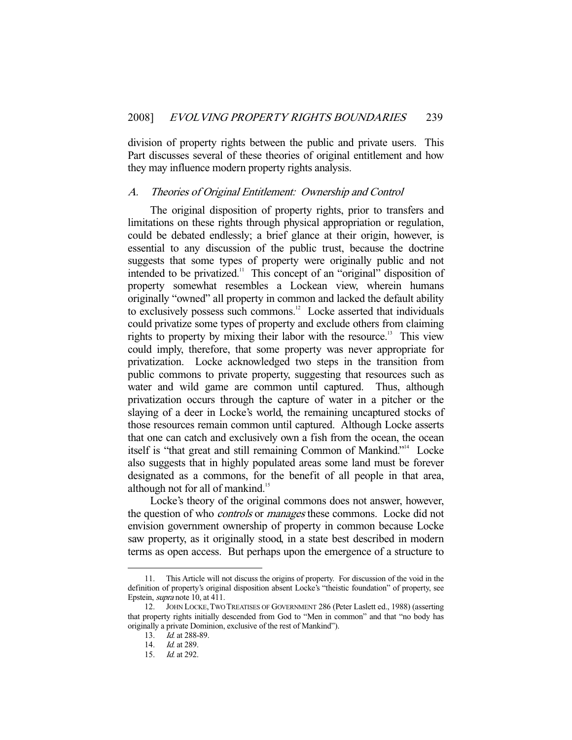division of property rights between the public and private users. This Part discusses several of these theories of original entitlement and how they may influence modern property rights analysis.

#### A. Theories of Original Entitlement: Ownership and Control

 The original disposition of property rights, prior to transfers and limitations on these rights through physical appropriation or regulation, could be debated endlessly; a brief glance at their origin, however, is essential to any discussion of the public trust, because the doctrine suggests that some types of property were originally public and not intended to be privatized.<sup>11</sup> This concept of an "original" disposition of property somewhat resembles a Lockean view, wherein humans originally "owned" all property in common and lacked the default ability to exclusively possess such commons.<sup>12</sup> Locke asserted that individuals could privatize some types of property and exclude others from claiming rights to property by mixing their labor with the resource.<sup>13</sup> This view could imply, therefore, that some property was never appropriate for privatization. Locke acknowledged two steps in the transition from public commons to private property, suggesting that resources such as water and wild game are common until captured. Thus, although privatization occurs through the capture of water in a pitcher or the slaying of a deer in Locke's world, the remaining uncaptured stocks of those resources remain common until captured. Although Locke asserts that one can catch and exclusively own a fish from the ocean, the ocean itself is "that great and still remaining Common of Mankind."14 Locke also suggests that in highly populated areas some land must be forever designated as a commons, for the benefit of all people in that area, although not for all of mankind.<sup>15</sup>

 Locke's theory of the original commons does not answer, however, the question of who *controls* or *manages* these commons. Locke did not envision government ownership of property in common because Locke saw property, as it originally stood, in a state best described in modern terms as open access. But perhaps upon the emergence of a structure to

 <sup>11.</sup> This Article will not discuss the origins of property. For discussion of the void in the definition of property's original disposition absent Locke's "theistic foundation" of property, see Epstein, supra note 10, at 411.

 <sup>12.</sup> JOHN LOCKE,TWO TREATISES OF GOVERNMENT 286 (Peter Laslett ed., 1988) (asserting that property rights initially descended from God to "Men in common" and that "no body has originally a private Dominion, exclusive of the rest of Mankind").

<sup>13.</sup> *Id.* at 288-89.

 <sup>14.</sup> Id. at 289.

 <sup>15.</sup> Id. at 292.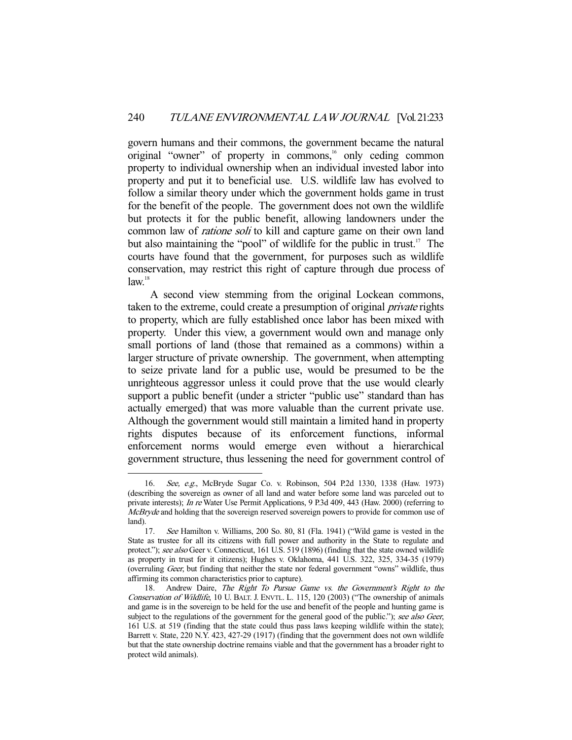govern humans and their commons, the government became the natural original "owner" of property in commons,<sup>16</sup> only ceding common property to individual ownership when an individual invested labor into property and put it to beneficial use. U.S. wildlife law has evolved to follow a similar theory under which the government holds game in trust for the benefit of the people. The government does not own the wildlife but protects it for the public benefit, allowing landowners under the common law of *ratione soli* to kill and capture game on their own land but also maintaining the "pool" of wildlife for the public in trust.<sup>17</sup> The courts have found that the government, for purposes such as wildlife conservation, may restrict this right of capture through due process of  $law<sup>18</sup>$ 

 A second view stemming from the original Lockean commons, taken to the extreme, could create a presumption of original *private* rights to property, which are fully established once labor has been mixed with property. Under this view, a government would own and manage only small portions of land (those that remained as a commons) within a larger structure of private ownership. The government, when attempting to seize private land for a public use, would be presumed to be the unrighteous aggressor unless it could prove that the use would clearly support a public benefit (under a stricter "public use" standard than has actually emerged) that was more valuable than the current private use. Although the government would still maintain a limited hand in property rights disputes because of its enforcement functions, informal enforcement norms would emerge even without a hierarchical government structure, thus lessening the need for government control of

 <sup>16.</sup> See, e.g., McBryde Sugar Co. v. Robinson, 504 P.2d 1330, 1338 (Haw. 1973) (describing the sovereign as owner of all land and water before some land was parceled out to private interests); In re Water Use Permit Applications, 9 P.3d 409, 443 (Haw. 2000) (referring to McBryde and holding that the sovereign reserved sovereign powers to provide for common use of land).

 <sup>17.</sup> See Hamilton v. Williams, 200 So. 80, 81 (Fla. 1941) ("Wild game is vested in the State as trustee for all its citizens with full power and authority in the State to regulate and protect."); see also Geer v. Connecticut, 161 U.S. 519 (1896) (finding that the state owned wildlife as property in trust for it citizens); Hughes v. Oklahoma, 441 U.S. 322, 325, 334-35 (1979) (overruling Geer, but finding that neither the state nor federal government "owns" wildlife, thus affirming its common characteristics prior to capture).

<sup>18.</sup> Andrew Daire, The Right To Pursue Game vs. the Government's Right to the Conservation of Wildlife, 10 U. BALT. J. ENVTL. L. 115, 120 (2003) ("The ownership of animals and game is in the sovereign to be held for the use and benefit of the people and hunting game is subject to the regulations of the government for the general good of the public."); see also Geer, 161 U.S. at 519 (finding that the state could thus pass laws keeping wildlife within the state); Barrett v. State, 220 N.Y. 423, 427-29 (1917) (finding that the government does not own wildlife but that the state ownership doctrine remains viable and that the government has a broader right to protect wild animals).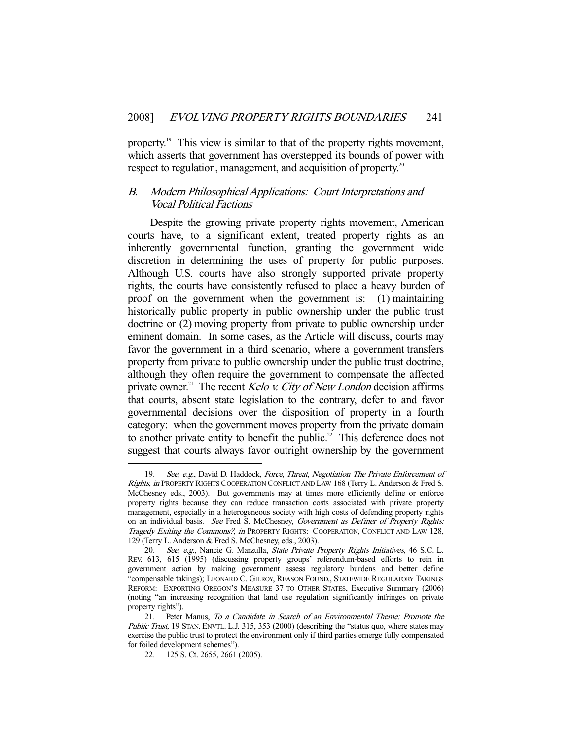property.<sup>19</sup> This view is similar to that of the property rights movement, which asserts that government has overstepped its bounds of power with respect to regulation, management, and acquisition of property.<sup>20</sup>

# B. Modern Philosophical Applications: Court Interpretations and Vocal Political Factions

 Despite the growing private property rights movement, American courts have, to a significant extent, treated property rights as an inherently governmental function, granting the government wide discretion in determining the uses of property for public purposes. Although U.S. courts have also strongly supported private property rights, the courts have consistently refused to place a heavy burden of proof on the government when the government is: (1) maintaining historically public property in public ownership under the public trust doctrine or (2) moving property from private to public ownership under eminent domain. In some cases, as the Article will discuss, courts may favor the government in a third scenario, where a government transfers property from private to public ownership under the public trust doctrine, although they often require the government to compensate the affected private owner.<sup>21</sup> The recent *Kelo v. City of New London* decision affirms that courts, absent state legislation to the contrary, defer to and favor governmental decisions over the disposition of property in a fourth category: when the government moves property from the private domain to another private entity to benefit the public.<sup>22</sup> This deference does not suggest that courts always favor outright ownership by the government

<sup>19.</sup> See, e.g., David D. Haddock, Force, Threat, Negotiation The Private Enforcement of Rights, in PROPERTY RIGHTS COOPERATION CONFLICT AND LAW 168 (Terry L. Anderson & Fred S. McChesney eds., 2003). But governments may at times more efficiently define or enforce property rights because they can reduce transaction costs associated with private property management, especially in a heterogeneous society with high costs of defending property rights on an individual basis. See Fred S. McChesney, Government as Definer of Property Rights: Tragedy Exiting the Commons?, in PROPERTY RIGHTS: COOPERATION, CONFLICT AND LAW 128, 129 (Terry L. Anderson & Fred S. McChesney, eds., 2003).

<sup>20.</sup> See, e.g., Nancie G. Marzulla, State Private Property Rights Initiatives, 46 S.C. L. REV. 613, 615 (1995) (discussing property groups' referendum-based efforts to rein in government action by making government assess regulatory burdens and better define "compensable takings); LEONARD C. GILROY, REASON FOUND., STATEWIDE REGULATORY TAKINGS REFORM: EXPORTING OREGON'S MEASURE 37 TO OTHER STATES, Executive Summary (2006) (noting "an increasing recognition that land use regulation significantly infringes on private property rights").

 <sup>21.</sup> Peter Manus, To a Candidate in Search of an Environmental Theme: Promote the Public Trust, 19 STAN. ENVTL. L.J. 315, 353 (2000) (describing the "status quo, where states may exercise the public trust to protect the environment only if third parties emerge fully compensated for foiled development schemes").

 <sup>22. 125</sup> S. Ct. 2655, 2661 (2005).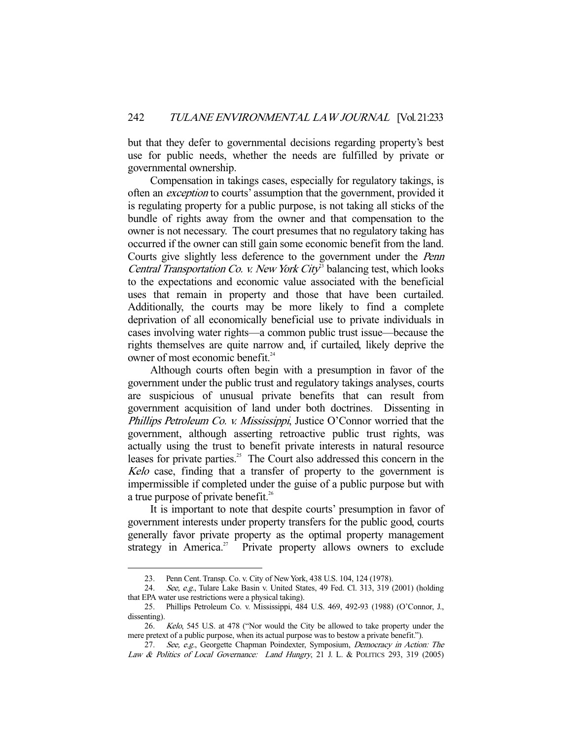but that they defer to governmental decisions regarding property's best use for public needs, whether the needs are fulfilled by private or governmental ownership.

 Compensation in takings cases, especially for regulatory takings, is often an exception to courts' assumption that the government, provided it is regulating property for a public purpose, is not taking all sticks of the bundle of rights away from the owner and that compensation to the owner is not necessary. The court presumes that no regulatory taking has occurred if the owner can still gain some economic benefit from the land. Courts give slightly less deference to the government under the Penn Central Transportation Co. v. New York City<sup>3</sup> balancing test, which looks to the expectations and economic value associated with the beneficial uses that remain in property and those that have been curtailed. Additionally, the courts may be more likely to find a complete deprivation of all economically beneficial use to private individuals in cases involving water rights—a common public trust issue—because the rights themselves are quite narrow and, if curtailed, likely deprive the owner of most economic benefit.<sup>24</sup>

 Although courts often begin with a presumption in favor of the government under the public trust and regulatory takings analyses, courts are suspicious of unusual private benefits that can result from government acquisition of land under both doctrines. Dissenting in Phillips Petroleum Co. v. Mississippi, Justice O'Connor worried that the government, although asserting retroactive public trust rights, was actually using the trust to benefit private interests in natural resource leases for private parties.<sup>25</sup> The Court also addressed this concern in the Kelo case, finding that a transfer of property to the government is impermissible if completed under the guise of a public purpose but with a true purpose of private benefit.<sup>26</sup>

 It is important to note that despite courts' presumption in favor of government interests under property transfers for the public good, courts generally favor private property as the optimal property management strategy in America.<sup>27</sup> Private property allows owners to exclude

 <sup>23.</sup> Penn Cent. Transp. Co. v. City of New York, 438 U.S. 104, 124 (1978).

<sup>24.</sup> See, e.g., Tulare Lake Basin v. United States, 49 Fed. Cl. 313, 319 (2001) (holding that EPA water use restrictions were a physical taking).

 <sup>25.</sup> Phillips Petroleum Co. v. Mississippi, 484 U.S. 469, 492-93 (1988) (O'Connor, J., dissenting).

 <sup>26.</sup> Kelo, 545 U.S. at 478 ("Nor would the City be allowed to take property under the mere pretext of a public purpose, when its actual purpose was to bestow a private benefit.").

<sup>27.</sup> See, e.g., Georgette Chapman Poindexter, Symposium, Democracy in Action: The Law & Politics of Local Governance: Land Hungry, 21 J. L. & POLITICS 293, 319 (2005)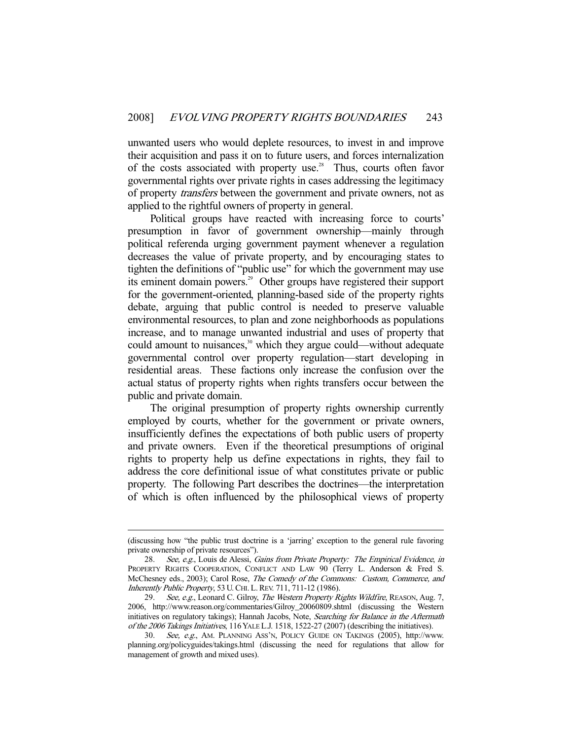unwanted users who would deplete resources, to invest in and improve their acquisition and pass it on to future users, and forces internalization of the costs associated with property use.<sup>28</sup> Thus, courts often favor governmental rights over private rights in cases addressing the legitimacy of property transfers between the government and private owners, not as applied to the rightful owners of property in general.

 Political groups have reacted with increasing force to courts' presumption in favor of government ownership—mainly through political referenda urging government payment whenever a regulation decreases the value of private property, and by encouraging states to tighten the definitions of "public use" for which the government may use its eminent domain powers.29 Other groups have registered their support for the government-oriented, planning-based side of the property rights debate, arguing that public control is needed to preserve valuable environmental resources, to plan and zone neighborhoods as populations increase, and to manage unwanted industrial and uses of property that could amount to nuisances, $30$  which they argue could—without adequate governmental control over property regulation—start developing in residential areas. These factions only increase the confusion over the actual status of property rights when rights transfers occur between the public and private domain.

 The original presumption of property rights ownership currently employed by courts, whether for the government or private owners, insufficiently defines the expectations of both public users of property and private owners. Even if the theoretical presumptions of original rights to property help us define expectations in rights, they fail to address the core definitional issue of what constitutes private or public property. The following Part describes the doctrines—the interpretation of which is often influenced by the philosophical views of property

<sup>(</sup>discussing how "the public trust doctrine is a 'jarring' exception to the general rule favoring private ownership of private resources").

<sup>28.</sup> See, e.g., Louis de Alessi, Gains from Private Property: The Empirical Evidence, in PROPERTY RIGHTS COOPERATION, CONFLICT AND LAW 90 (Terry L. Anderson & Fred S. McChesney eds., 2003); Carol Rose, The Comedy of the Commons: Custom, Commerce, and Inherently Public Property, 53 U.CHI. L.REV. 711, 711-12 (1986).

<sup>29.</sup> See, e.g., Leonard C. Gilroy, The Western Property Rights Wildfire, REASON, Aug. 7, 2006, http://www.reason.org/commentaries/Gilroy\_20060809.shtml (discussing the Western initiatives on regulatory takings); Hannah Jacobs, Note, Searching for Balance in the Aftermath of the 2006 Takings Initiatives, 116 YALE L.J. 1518, 1522-27 (2007) (describing the initiatives).

 <sup>30.</sup> See, e.g., AM. PLANNING ASS'N, POLICY GUIDE ON TAKINGS (2005), http://www. planning.org/policyguides/takings.html (discussing the need for regulations that allow for management of growth and mixed uses).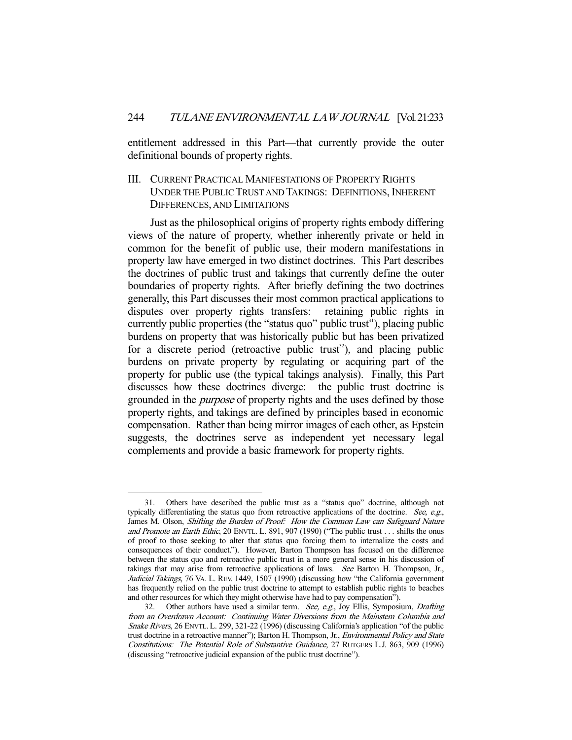entitlement addressed in this Part—that currently provide the outer definitional bounds of property rights.

# III. CURRENT PRACTICAL MANIFESTATIONS OF PROPERTY RIGHTS UNDER THE PUBLIC TRUST AND TAKINGS: DEFINITIONS, INHERENT DIFFERENCES, AND LIMITATIONS

 Just as the philosophical origins of property rights embody differing views of the nature of property, whether inherently private or held in common for the benefit of public use, their modern manifestations in property law have emerged in two distinct doctrines. This Part describes the doctrines of public trust and takings that currently define the outer boundaries of property rights. After briefly defining the two doctrines generally, this Part discusses their most common practical applications to disputes over property rights transfers: retaining public rights in currently public properties (the "status quo" public trust<sup>31</sup>), placing public burdens on property that was historically public but has been privatized for a discrete period (retroactive public trust<sup>32</sup>), and placing public burdens on private property by regulating or acquiring part of the property for public use (the typical takings analysis). Finally, this Part discusses how these doctrines diverge: the public trust doctrine is grounded in the *purpose* of property rights and the uses defined by those property rights, and takings are defined by principles based in economic compensation. Rather than being mirror images of each other, as Epstein suggests, the doctrines serve as independent yet necessary legal complements and provide a basic framework for property rights.

 <sup>31.</sup> Others have described the public trust as a "status quo" doctrine, although not typically differentiating the status quo from retroactive applications of the doctrine. See,  $e.g.,$ James M. Olson, Shifting the Burden of Proof: How the Common Law can Safeguard Nature and Promote an Earth Ethic, 20 ENVTL. L. 891, 907 (1990) ("The public trust . . . shifts the onus of proof to those seeking to alter that status quo forcing them to internalize the costs and consequences of their conduct."). However, Barton Thompson has focused on the difference between the status quo and retroactive public trust in a more general sense in his discussion of takings that may arise from retroactive applications of laws. See Barton H. Thompson, Jr., Judicial Takings, 76 VA. L. REV. 1449, 1507 (1990) (discussing how "the California government has frequently relied on the public trust doctrine to attempt to establish public rights to beaches and other resources for which they might otherwise have had to pay compensation").

<sup>32.</sup> Other authors have used a similar term. See, e.g., Joy Ellis, Symposium, Drafting from an Overdrawn Account: Continuing Water Diversions from the Mainstem Columbia and Snake Rivers, 26 ENVTL. L. 299, 321-22 (1996) (discussing California's application "of the public trust doctrine in a retroactive manner"); Barton H. Thompson, Jr., Environmental Policy and State Constitutions: The Potential Role of Substantive Guidance, 27 RUTGERS L.J. 863, 909 (1996) (discussing "retroactive judicial expansion of the public trust doctrine").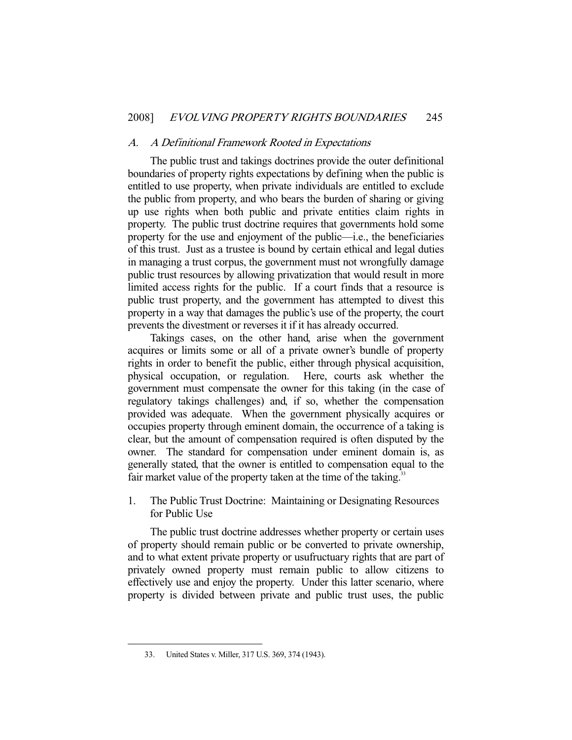#### A. A Definitional Framework Rooted in Expectations

 The public trust and takings doctrines provide the outer definitional boundaries of property rights expectations by defining when the public is entitled to use property, when private individuals are entitled to exclude the public from property, and who bears the burden of sharing or giving up use rights when both public and private entities claim rights in property. The public trust doctrine requires that governments hold some property for the use and enjoyment of the public—i.e., the beneficiaries of this trust. Just as a trustee is bound by certain ethical and legal duties in managing a trust corpus, the government must not wrongfully damage public trust resources by allowing privatization that would result in more limited access rights for the public. If a court finds that a resource is public trust property, and the government has attempted to divest this property in a way that damages the public's use of the property, the court prevents the divestment or reverses it if it has already occurred.

 Takings cases, on the other hand, arise when the government acquires or limits some or all of a private owner's bundle of property rights in order to benefit the public, either through physical acquisition, physical occupation, or regulation. Here, courts ask whether the government must compensate the owner for this taking (in the case of regulatory takings challenges) and, if so, whether the compensation provided was adequate. When the government physically acquires or occupies property through eminent domain, the occurrence of a taking is clear, but the amount of compensation required is often disputed by the owner. The standard for compensation under eminent domain is, as generally stated, that the owner is entitled to compensation equal to the fair market value of the property taken at the time of the taking.<sup>33</sup>

1. The Public Trust Doctrine: Maintaining or Designating Resources for Public Use

 The public trust doctrine addresses whether property or certain uses of property should remain public or be converted to private ownership, and to what extent private property or usufructuary rights that are part of privately owned property must remain public to allow citizens to effectively use and enjoy the property. Under this latter scenario, where property is divided between private and public trust uses, the public

 <sup>33.</sup> United States v. Miller, 317 U.S. 369, 374 (1943).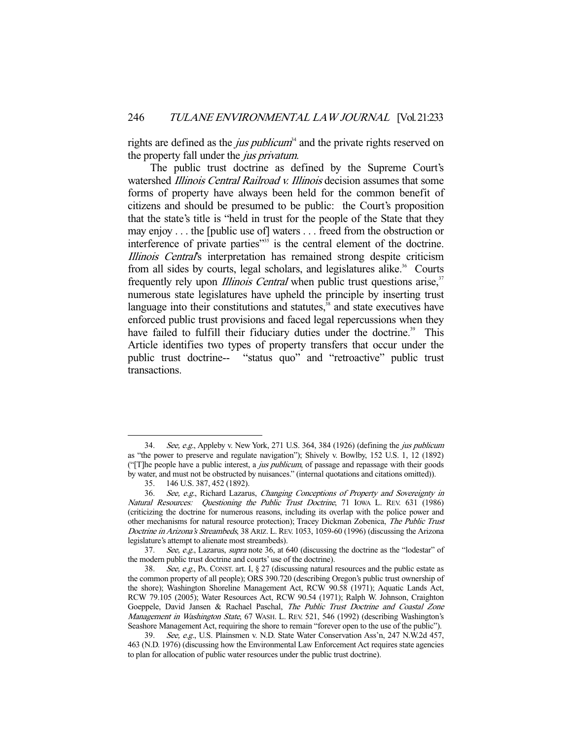rights are defined as the *jus publicum*<sup>34</sup> and the private rights reserved on the property fall under the *jus privatum*.

 The public trust doctrine as defined by the Supreme Court's watershed Illinois Central Railroad v. Illinois decision assumes that some forms of property have always been held for the common benefit of citizens and should be presumed to be public: the Court's proposition that the state's title is "held in trust for the people of the State that they may enjoy . . . the [public use of] waters . . . freed from the obstruction or interference of private parties $\frac{35}{35}$  is the central element of the doctrine. Illinois Central's interpretation has remained strong despite criticism from all sides by courts, legal scholars, and legislatures alike.<sup>36</sup> Courts frequently rely upon *Illinois Central* when public trust questions arise,<sup>37</sup> numerous state legislatures have upheld the principle by inserting trust language into their constitutions and statutes, $38$  and state executives have enforced public trust provisions and faced legal repercussions when they have failed to fulfill their fiduciary duties under the doctrine.<sup>39</sup> This Article identifies two types of property transfers that occur under the public trust doctrine-- "status quo" and "retroactive" public trust transactions.

<sup>34.</sup> See, e.g., Appleby v. New York, 271 U.S. 364, 384 (1926) (defining the *jus publicum* as "the power to preserve and regulate navigation"); Shively v. Bowlby, 152 U.S. 1, 12 (1892) ("[T]he people have a public interest, a jus publicum, of passage and repassage with their goods by water, and must not be obstructed by nuisances." (internal quotations and citations omitted)).

 <sup>35. 146</sup> U.S. 387, 452 (1892).

 <sup>36.</sup> See, e.g., Richard Lazarus, Changing Conceptions of Property and Sovereignty in Natural Resources: Questioning the Public Trust Doctrine, 71 IOWA L. REV. 631 (1986) (criticizing the doctrine for numerous reasons, including its overlap with the police power and other mechanisms for natural resource protection); Tracey Dickman Zobenica, The Public Trust Doctrine in Arizona's Streambeds, 38 ARIZ. L. REV. 1053, 1059-60 (1996) (discussing the Arizona legislature's attempt to alienate most streambeds).

<sup>37.</sup> See, e.g., Lazarus, *supra* note 36, at 640 (discussing the doctrine as the "lodestar" of the modern public trust doctrine and courts' use of the doctrine).

<sup>38.</sup> See, e.g., PA. CONST. art. I, § 27 (discussing natural resources and the public estate as the common property of all people); ORS 390.720 (describing Oregon's public trust ownership of the shore); Washington Shoreline Management Act, RCW 90.58 (1971); Aquatic Lands Act, RCW 79.105 (2005); Water Resources Act, RCW 90.54 (1971); Ralph W. Johnson, Craighton Goeppele, David Jansen & Rachael Paschal, The Public Trust Doctrine and Coastal Zone Management in Washington State, 67 WASH. L. REV. 521, 546 (1992) (describing Washington's Seashore Management Act, requiring the shore to remain "forever open to the use of the public").

 <sup>39.</sup> See, e.g., U.S. Plainsmen v. N.D. State Water Conservation Ass'n, 247 N.W.2d 457, 463 (N.D. 1976) (discussing how the Environmental Law Enforcement Act requires state agencies to plan for allocation of public water resources under the public trust doctrine).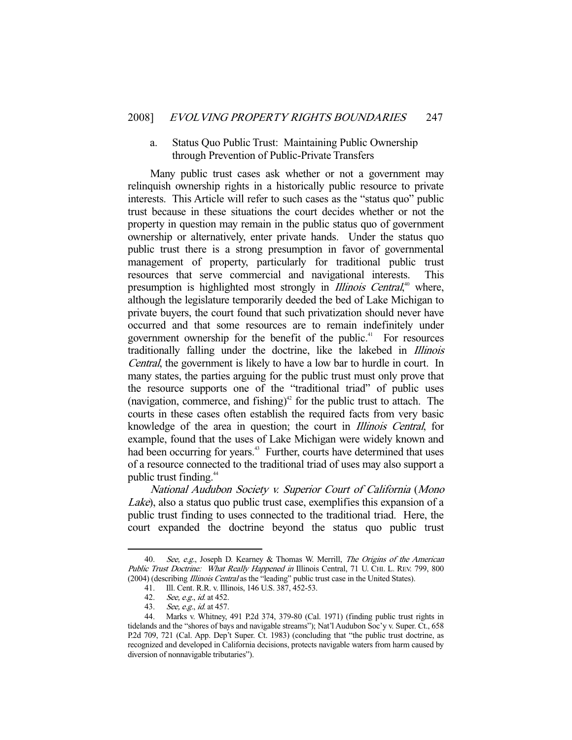### a. Status Quo Public Trust: Maintaining Public Ownership through Prevention of Public-Private Transfers

 Many public trust cases ask whether or not a government may relinquish ownership rights in a historically public resource to private interests. This Article will refer to such cases as the "status quo" public trust because in these situations the court decides whether or not the property in question may remain in the public status quo of government ownership or alternatively, enter private hands. Under the status quo public trust there is a strong presumption in favor of governmental management of property, particularly for traditional public trust resources that serve commercial and navigational interests. This presumption is highlighted most strongly in *Illinois Central*,<sup>40</sup> where, although the legislature temporarily deeded the bed of Lake Michigan to private buyers, the court found that such privatization should never have occurred and that some resources are to remain indefinitely under government ownership for the benefit of the public.<sup> $41$ </sup> For resources traditionally falling under the doctrine, like the lakebed in Illinois Central, the government is likely to have a low bar to hurdle in court. In many states, the parties arguing for the public trust must only prove that the resource supports one of the "traditional triad" of public uses (navigation, commerce, and fishing)<sup>42</sup> for the public trust to attach. The courts in these cases often establish the required facts from very basic knowledge of the area in question; the court in Illinois Central, for example, found that the uses of Lake Michigan were widely known and had been occurring for years.<sup>43</sup> Further, courts have determined that uses of a resource connected to the traditional triad of uses may also support a public trust finding.<sup>44</sup>

National Audubon Society v. Superior Court of California (Mono Lake), also a status quo public trust case, exemplifies this expansion of a public trust finding to uses connected to the traditional triad. Here, the court expanded the doctrine beyond the status quo public trust

<sup>40.</sup> See, e.g., Joseph D. Kearney & Thomas W. Merrill, The Origins of the American Public Trust Doctrine: What Really Happened in Illinois Central, 71 U. CHI. L. REV. 799, 800 (2004) (describing Illinois Central as the "leading" public trust case in the United States).

 <sup>41.</sup> Ill. Cent. R.R. v. Illinois, 146 U.S. 387, 452-53.

<sup>42.</sup> See, e.g., id. at 452.<br>43. See, e.g., id. at 457.

See, e.g., id. at 457.

 <sup>44.</sup> Marks v. Whitney, 491 P.2d 374, 379-80 (Cal. 1971) (finding public trust rights in tidelands and the "shores of bays and navigable streams"); Nat'l Audubon Soc'y v. Super. Ct., 658 P.2d 709, 721 (Cal. App. Dep't Super. Ct. 1983) (concluding that "the public trust doctrine, as recognized and developed in California decisions, protects navigable waters from harm caused by diversion of nonnavigable tributaries").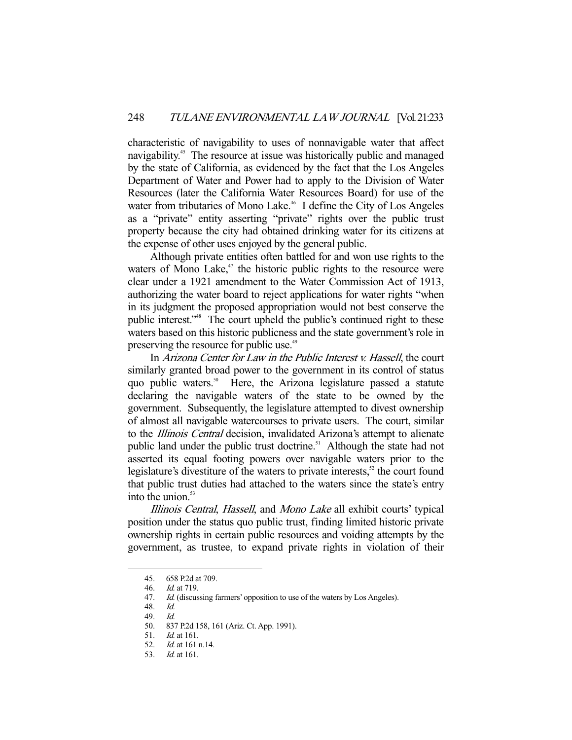characteristic of navigability to uses of nonnavigable water that affect navigability.<sup>45</sup> The resource at issue was historically public and managed by the state of California, as evidenced by the fact that the Los Angeles Department of Water and Power had to apply to the Division of Water Resources (later the California Water Resources Board) for use of the water from tributaries of Mono Lake.<sup>46</sup> I define the City of Los Angeles as a "private" entity asserting "private" rights over the public trust property because the city had obtained drinking water for its citizens at the expense of other uses enjoyed by the general public.

 Although private entities often battled for and won use rights to the waters of Mono Lake, $47$  the historic public rights to the resource were clear under a 1921 amendment to the Water Commission Act of 1913, authorizing the water board to reject applications for water rights "when in its judgment the proposed appropriation would not best conserve the public interest."48 The court upheld the public's continued right to these waters based on this historic publicness and the state government's role in preserving the resource for public use.<sup>49</sup>

 In Arizona Center for Law in the Public Interest v. Hassell, the court similarly granted broad power to the government in its control of status quo public waters.<sup>50</sup> Here, the Arizona legislature passed a statute declaring the navigable waters of the state to be owned by the government. Subsequently, the legislature attempted to divest ownership of almost all navigable watercourses to private users. The court, similar to the *Illinois Central* decision, invalidated Arizona's attempt to alienate public land under the public trust doctrine.<sup>51</sup> Although the state had not asserted its equal footing powers over navigable waters prior to the legislature's divestiture of the waters to private interests, $52$  the court found that public trust duties had attached to the waters since the state's entry into the union. $53$ 

Illinois Central, Hassell, and Mono Lake all exhibit courts' typical position under the status quo public trust, finding limited historic private ownership rights in certain public resources and voiding attempts by the government, as trustee, to expand private rights in violation of their

 <sup>45. 658</sup> P.2d at 709.

 <sup>46.</sup> Id. at 719.

<sup>47.</sup> *Id.* (discussing farmers' opposition to use of the waters by Los Angeles).

 <sup>48.</sup> Id.

<sup>49.</sup> *Id.*<br>50. 83

 <sup>50. 837</sup> P.2d 158, 161 (Ariz. Ct. App. 1991).

 <sup>51.</sup> Id. at 161.

 <sup>52.</sup> Id. at 161 n.14.

 <sup>53.</sup> Id. at 161.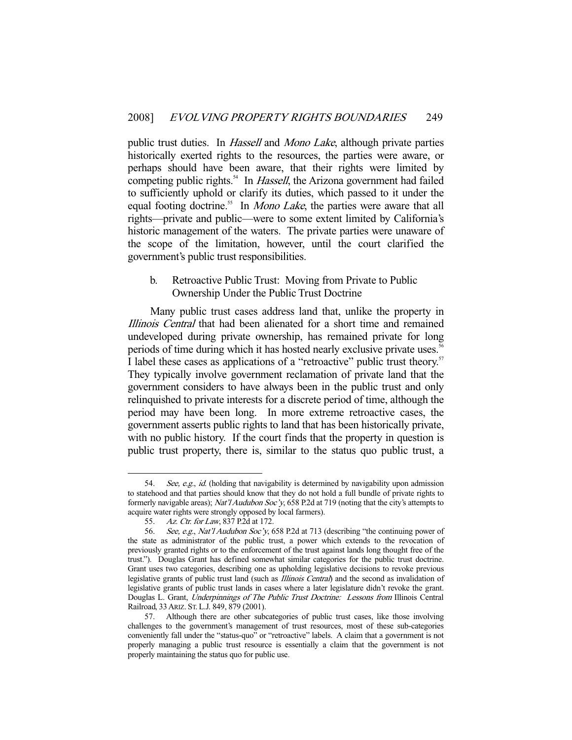public trust duties. In *Hassell* and *Mono Lake*, although private parties historically exerted rights to the resources, the parties were aware, or perhaps should have been aware, that their rights were limited by competing public rights.<sup>54</sup> In *Hassell*, the Arizona government had failed to sufficiently uphold or clarify its duties, which passed to it under the equal footing doctrine.<sup>55</sup> In *Mono Lake*, the parties were aware that all rights—private and public—were to some extent limited by California's historic management of the waters. The private parties were unaware of the scope of the limitation, however, until the court clarified the government's public trust responsibilities.

## b. Retroactive Public Trust: Moving from Private to Public Ownership Under the Public Trust Doctrine

 Many public trust cases address land that, unlike the property in Illinois Central that had been alienated for a short time and remained undeveloped during private ownership, has remained private for long periods of time during which it has hosted nearly exclusive private uses.<sup>56</sup> I label these cases as applications of a "retroactive" public trust theory.<sup>57</sup> They typically involve government reclamation of private land that the government considers to have always been in the public trust and only relinquished to private interests for a discrete period of time, although the period may have been long. In more extreme retroactive cases, the government asserts public rights to land that has been historically private, with no public history. If the court finds that the property in question is public trust property, there is, similar to the status quo public trust, a

 <sup>54.</sup> See, e.g., id. (holding that navigability is determined by navigability upon admission to statehood and that parties should know that they do not hold a full bundle of private rights to formerly navigable areas); Nat'l Audubon Soc'y, 658 P.2d at 719 (noting that the city's attempts to acquire water rights were strongly opposed by local farmers).

<sup>55.</sup> Az. Ctr. for Law, 837 P.2d at 172.

<sup>56.</sup> See, e.g., Nat'l Audubon Soc'y, 658 P.2d at 713 (describing "the continuing power of the state as administrator of the public trust, a power which extends to the revocation of previously granted rights or to the enforcement of the trust against lands long thought free of the trust."). Douglas Grant has defined somewhat similar categories for the public trust doctrine. Grant uses two categories, describing one as upholding legislative decisions to revoke previous legislative grants of public trust land (such as *Illinois Central*) and the second as invalidation of legislative grants of public trust lands in cases where a later legislature didn't revoke the grant. Douglas L. Grant, Underpinnings of The Public Trust Doctrine: Lessons from Illinois Central Railroad, 33ARIZ. ST.L.J. 849, 879 (2001).

 <sup>57.</sup> Although there are other subcategories of public trust cases, like those involving challenges to the government's management of trust resources, most of these sub-categories conveniently fall under the "status-quo" or "retroactive" labels. A claim that a government is not properly managing a public trust resource is essentially a claim that the government is not properly maintaining the status quo for public use.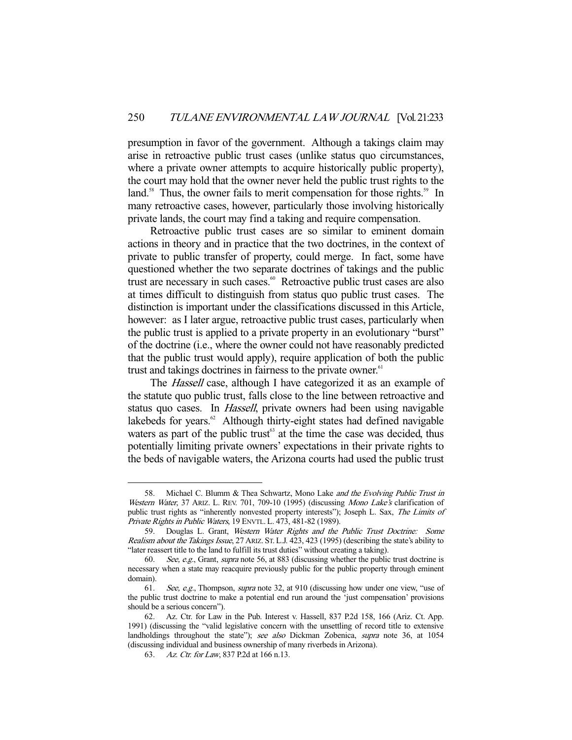presumption in favor of the government. Although a takings claim may arise in retroactive public trust cases (unlike status quo circumstances, where a private owner attempts to acquire historically public property), the court may hold that the owner never held the public trust rights to the land.<sup>58</sup> Thus, the owner fails to merit compensation for those rights.<sup>59</sup> In many retroactive cases, however, particularly those involving historically private lands, the court may find a taking and require compensation.

 Retroactive public trust cases are so similar to eminent domain actions in theory and in practice that the two doctrines, in the context of private to public transfer of property, could merge. In fact, some have questioned whether the two separate doctrines of takings and the public trust are necessary in such cases.<sup>60</sup> Retroactive public trust cases are also at times difficult to distinguish from status quo public trust cases. The distinction is important under the classifications discussed in this Article, however: as I later argue, retroactive public trust cases, particularly when the public trust is applied to a private property in an evolutionary "burst" of the doctrine (i.e., where the owner could not have reasonably predicted that the public trust would apply), require application of both the public trust and takings doctrines in fairness to the private owner.<sup>61</sup>

The *Hassell* case, although I have categorized it as an example of the statute quo public trust, falls close to the line between retroactive and status quo cases. In Hassell, private owners had been using navigable lakebeds for years.<sup>62</sup> Although thirty-eight states had defined navigable waters as part of the public trust $63$  at the time the case was decided, thus potentially limiting private owners' expectations in their private rights to the beds of navigable waters, the Arizona courts had used the public trust

<sup>58.</sup> Michael C. Blumm & Thea Schwartz, Mono Lake and the Evolving Public Trust in Western Water, 37 ARIZ. L. REV. 701, 709-10 (1995) (discussing Mono Lake's clarification of public trust rights as "inherently nonvested property interests"); Joseph L. Sax, The Limits of Private Rights in Public Waters, 19 ENVTL. L. 473, 481-82 (1989).

 <sup>59.</sup> Douglas L. Grant, Western Water Rights and the Public Trust Doctrine: Some Realism about the Takings Issue, 27 ARIZ. ST. L.J. 423, 423 (1995) (describing the state's ability to "later reassert title to the land to fulfill its trust duties" without creating a taking).

 <sup>60.</sup> See, e.g., Grant, supra note 56, at 883 (discussing whether the public trust doctrine is necessary when a state may reacquire previously public for the public property through eminent domain).

 <sup>61.</sup> See, e.g., Thompson, supra note 32, at 910 (discussing how under one view, "use of the public trust doctrine to make a potential end run around the 'just compensation' provisions should be a serious concern").

 <sup>62.</sup> Az. Ctr. for Law in the Pub. Interest v. Hassell, 837 P.2d 158, 166 (Ariz. Ct. App. 1991) (discussing the "valid legislative concern with the unsettling of record title to extensive landholdings throughout the state"); see also Dickman Zobenica, supra note 36, at 1054 (discussing individual and business ownership of many riverbeds in Arizona).

<sup>63.</sup> Az. Ctr. for Law, 837 P.2d at 166 n.13.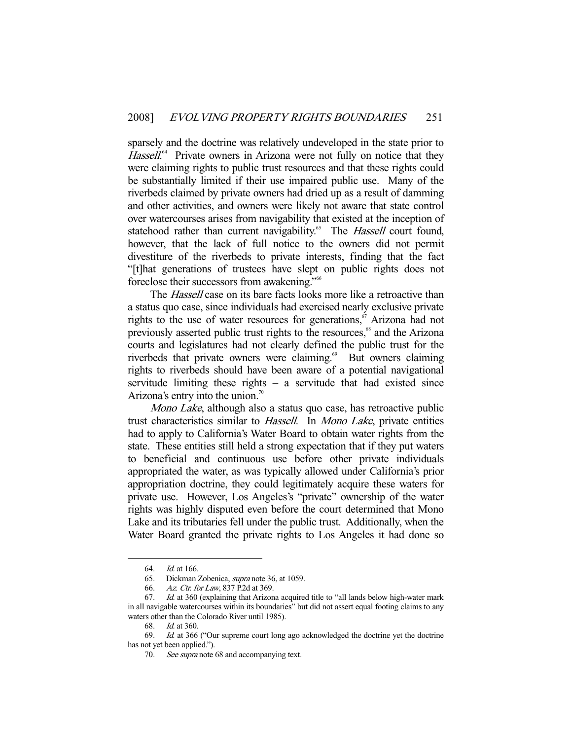sparsely and the doctrine was relatively undeveloped in the state prior to Hassell.<sup>64</sup> Private owners in Arizona were not fully on notice that they were claiming rights to public trust resources and that these rights could be substantially limited if their use impaired public use. Many of the riverbeds claimed by private owners had dried up as a result of damming and other activities, and owners were likely not aware that state control over watercourses arises from navigability that existed at the inception of statehood rather than current navigability.<sup>65</sup> The *Hassell* court found, however, that the lack of full notice to the owners did not permit divestiture of the riverbeds to private interests, finding that the fact "[t]hat generations of trustees have slept on public rights does not foreclose their successors from awakening."66

The *Hassell* case on its bare facts looks more like a retroactive than a status quo case, since individuals had exercised nearly exclusive private rights to the use of water resources for generations,<sup>67</sup> Arizona had not previously asserted public trust rights to the resources,<sup>68</sup> and the Arizona courts and legislatures had not clearly defined the public trust for the riverbeds that private owners were claiming.<sup>69</sup> But owners claiming rights to riverbeds should have been aware of a potential navigational servitude limiting these rights – a servitude that had existed since Arizona's entry into the union.<sup>70</sup>

Mono Lake, although also a status quo case, has retroactive public trust characteristics similar to Hassell. In Mono Lake, private entities had to apply to California's Water Board to obtain water rights from the state. These entities still held a strong expectation that if they put waters to beneficial and continuous use before other private individuals appropriated the water, as was typically allowed under California's prior appropriation doctrine, they could legitimately acquire these waters for private use. However, Los Angeles's "private" ownership of the water rights was highly disputed even before the court determined that Mono Lake and its tributaries fell under the public trust. Additionally, when the Water Board granted the private rights to Los Angeles it had done so

 <sup>64.</sup> Id. at 166.

 <sup>65.</sup> Dickman Zobenica, supra note 36, at 1059.

<sup>66.</sup> Az. Ctr. for Law, 837 P.2d at 369.

<sup>67.</sup> *Id.* at 360 (explaining that Arizona acquired title to "all lands below high-water mark in all navigable watercourses within its boundaries" but did not assert equal footing claims to any waters other than the Colorado River until 1985).

<sup>68.</sup> *Id.* at 360.

 <sup>69.</sup> Id. at 366 ("Our supreme court long ago acknowledged the doctrine yet the doctrine has not yet been applied.").

<sup>70.</sup> See supra note 68 and accompanying text.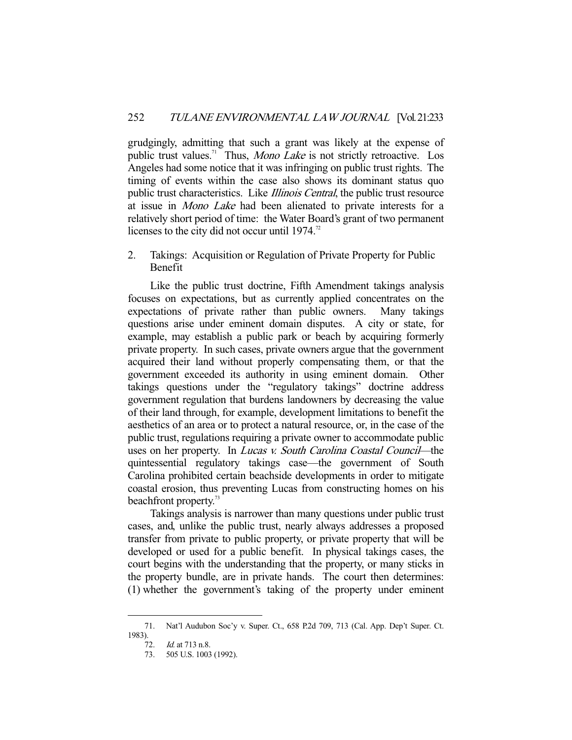grudgingly, admitting that such a grant was likely at the expense of public trust values.<sup>71</sup> Thus, *Mono Lake* is not strictly retroactive. Los Angeles had some notice that it was infringing on public trust rights. The timing of events within the case also shows its dominant status quo public trust characteristics. Like *Illinois Central*, the public trust resource at issue in Mono Lake had been alienated to private interests for a relatively short period of time: the Water Board's grant of two permanent licenses to the city did not occur until  $1974$ .<sup>72</sup>

2. Takings: Acquisition or Regulation of Private Property for Public Benefit

 Like the public trust doctrine, Fifth Amendment takings analysis focuses on expectations, but as currently applied concentrates on the expectations of private rather than public owners. Many takings questions arise under eminent domain disputes. A city or state, for example, may establish a public park or beach by acquiring formerly private property. In such cases, private owners argue that the government acquired their land without properly compensating them, or that the government exceeded its authority in using eminent domain. Other takings questions under the "regulatory takings" doctrine address government regulation that burdens landowners by decreasing the value of their land through, for example, development limitations to benefit the aesthetics of an area or to protect a natural resource, or, in the case of the public trust, regulations requiring a private owner to accommodate public uses on her property. In *Lucas v. South Carolina Coastal Council*—the quintessential regulatory takings case—the government of South Carolina prohibited certain beachside developments in order to mitigate coastal erosion, thus preventing Lucas from constructing homes on his beachfront property.<sup>73</sup>

 Takings analysis is narrower than many questions under public trust cases, and, unlike the public trust, nearly always addresses a proposed transfer from private to public property, or private property that will be developed or used for a public benefit. In physical takings cases, the court begins with the understanding that the property, or many sticks in the property bundle, are in private hands. The court then determines: (1) whether the government's taking of the property under eminent

 <sup>71.</sup> Nat'l Audubon Soc'y v. Super. Ct., 658 P.2d 709, 713 (Cal. App. Dep't Super. Ct. 1983).

 <sup>72.</sup> Id. at 713 n.8.

 <sup>73. 505</sup> U.S. 1003 (1992).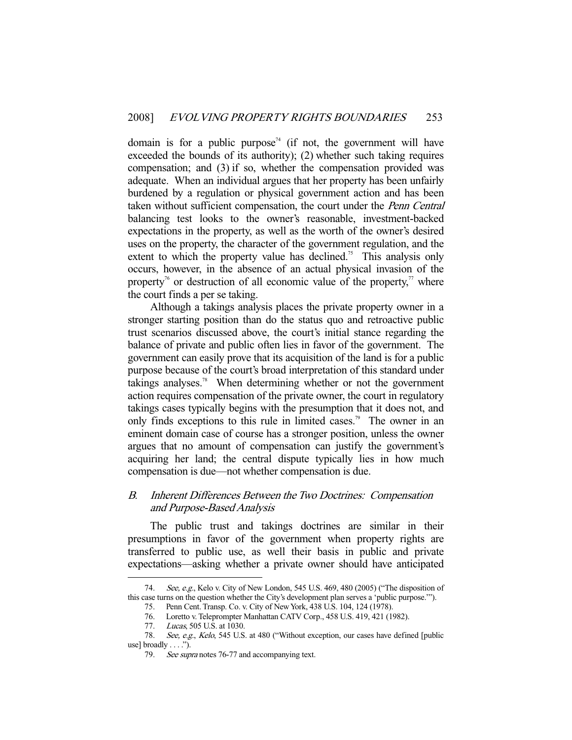domain is for a public purpose<sup> $74$ </sup> (if not, the government will have exceeded the bounds of its authority); (2) whether such taking requires compensation; and (3) if so, whether the compensation provided was adequate. When an individual argues that her property has been unfairly burdened by a regulation or physical government action and has been taken without sufficient compensation, the court under the Penn Central balancing test looks to the owner's reasonable, investment-backed expectations in the property, as well as the worth of the owner's desired uses on the property, the character of the government regulation, and the extent to which the property value has declined.<sup>75</sup> This analysis only occurs, however, in the absence of an actual physical invasion of the property<sup>76</sup> or destruction of all economic value of the property,<sup>77</sup> where the court finds a per se taking.

 Although a takings analysis places the private property owner in a stronger starting position than do the status quo and retroactive public trust scenarios discussed above, the court's initial stance regarding the balance of private and public often lies in favor of the government. The government can easily prove that its acquisition of the land is for a public purpose because of the court's broad interpretation of this standard under takings analyses.<sup>78</sup> When determining whether or not the government action requires compensation of the private owner, the court in regulatory takings cases typically begins with the presumption that it does not, and only finds exceptions to this rule in limited cases.<sup>79</sup> The owner in an eminent domain case of course has a stronger position, unless the owner argues that no amount of compensation can justify the government's acquiring her land; the central dispute typically lies in how much compensation is due—not whether compensation is due.

## B. Inherent Differences Between the Two Doctrines: Compensation and Purpose-Based Analysis

 The public trust and takings doctrines are similar in their presumptions in favor of the government when property rights are transferred to public use, as well their basis in public and private expectations—asking whether a private owner should have anticipated

<sup>74.</sup> See, e.g., Kelo v. City of New London, 545 U.S. 469, 480 (2005) ("The disposition of this case turns on the question whether the City's development plan serves a 'public purpose.'").

 <sup>75.</sup> Penn Cent. Transp. Co. v. City of New York, 438 U.S. 104, 124 (1978).

Loretto v. Teleprompter Manhattan CATV Corp., 458 U.S. 419, 421 (1982). 76. Loretto v. Teleprompter 1<br>77. Lucas, 505 U.S. at 1030.

<sup>78.</sup> See, e.g., Kelo, 545 U.S. at 480 ("Without exception, our cases have defined [public use] broadly  $\dots$  .").

<sup>79.</sup> See supra notes 76-77 and accompanying text.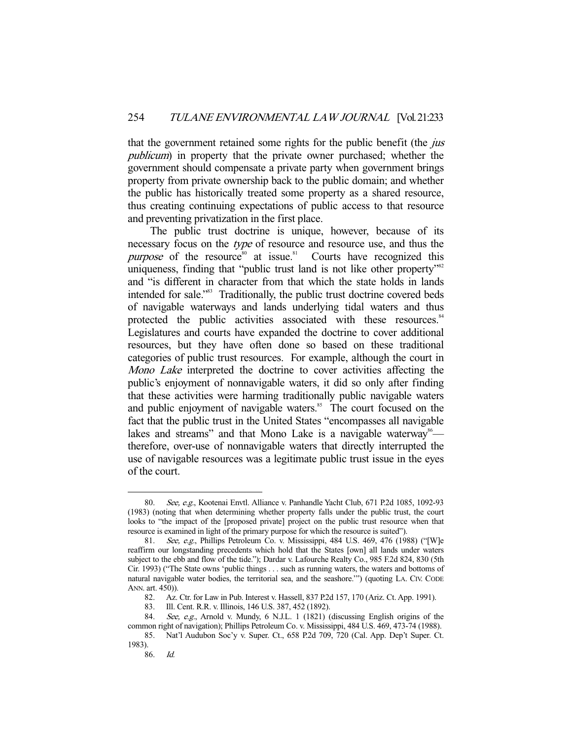that the government retained some rights for the public benefit (the *jus* publicum) in property that the private owner purchased; whether the government should compensate a private party when government brings property from private ownership back to the public domain; and whether the public has historically treated some property as a shared resource, thus creating continuing expectations of public access to that resource and preventing privatization in the first place.

 The public trust doctrine is unique, however, because of its necessary focus on the *type* of resource and resource use, and thus the  $purpose$  of the resource<sup>80</sup> at issue.<sup>81</sup> Courts have recognized this uniqueness, finding that "public trust land is not like other property"<sup>82</sup> and "is different in character from that which the state holds in lands intended for sale."83 Traditionally, the public trust doctrine covered beds of navigable waterways and lands underlying tidal waters and thus protected the public activities associated with these resources.<sup>84</sup> Legislatures and courts have expanded the doctrine to cover additional resources, but they have often done so based on these traditional categories of public trust resources. For example, although the court in Mono Lake interpreted the doctrine to cover activities affecting the public's enjoyment of nonnavigable waters, it did so only after finding that these activities were harming traditionally public navigable waters and public enjoyment of navigable waters.<sup>85</sup> The court focused on the fact that the public trust in the United States "encompasses all navigable lakes and streams" and that Mono Lake is a navigable waterway<sup>86</sup> therefore, over-use of nonnavigable waters that directly interrupted the use of navigable resources was a legitimate public trust issue in the eyes of the court.

<sup>80.</sup> See, e.g., Kootenai Envtl. Alliance v. Panhandle Yacht Club, 671 P.2d 1085, 1092-93 (1983) (noting that when determining whether property falls under the public trust, the court looks to "the impact of the [proposed private] project on the public trust resource when that resource is examined in light of the primary purpose for which the resource is suited").

 <sup>81.</sup> See, e.g., Phillips Petroleum Co. v. Mississippi, 484 U.S. 469, 476 (1988) ("[W]e reaffirm our longstanding precedents which hold that the States [own] all lands under waters subject to the ebb and flow of the tide."); Dardar v. Lafourche Realty Co., 985 F.2d 824, 830 (5th Cir. 1993) ("The State owns 'public things . . . such as running waters, the waters and bottoms of natural navigable water bodies, the territorial sea, and the seashore.'") (quoting LA. CIV. CODE ANN. art. 450)).

 <sup>82.</sup> Az. Ctr. for Law in Pub. Interest v. Hassell, 837 P.2d 157, 170 (Ariz. Ct. App. 1991).

 <sup>83.</sup> Ill. Cent. R.R. v. Illinois, 146 U.S. 387, 452 (1892).

<sup>84.</sup> See, e.g., Arnold v. Mundy, 6 N.J.L. 1 (1821) (discussing English origins of the common right of navigation); Phillips Petroleum Co. v. Mississippi, 484 U.S. 469, 473-74 (1988).

 <sup>85.</sup> Nat'l Audubon Soc'y v. Super. Ct., 658 P.2d 709, 720 (Cal. App. Dep't Super. Ct. 1983).

 <sup>86.</sup> Id.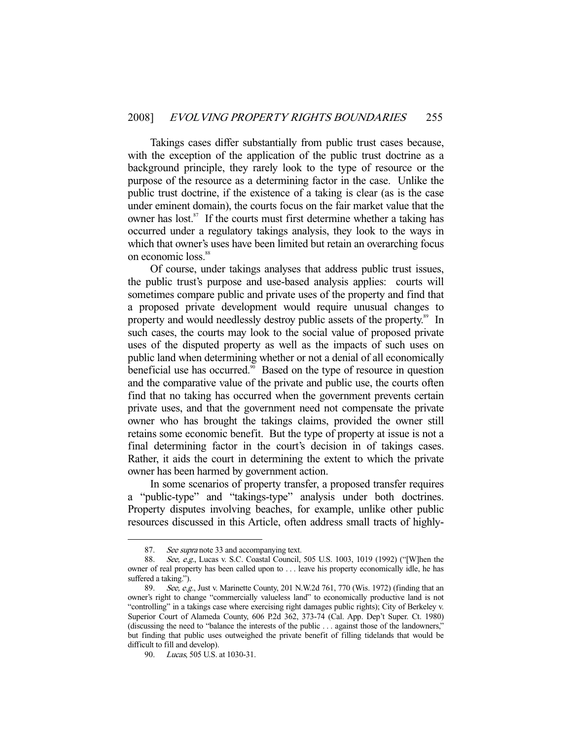Takings cases differ substantially from public trust cases because, with the exception of the application of the public trust doctrine as a background principle, they rarely look to the type of resource or the purpose of the resource as a determining factor in the case. Unlike the public trust doctrine, if the existence of a taking is clear (as is the case under eminent domain), the courts focus on the fair market value that the owner has lost.<sup>87</sup> If the courts must first determine whether a taking has occurred under a regulatory takings analysis, they look to the ways in which that owner's uses have been limited but retain an overarching focus on economic loss.<sup>88</sup>

 Of course, under takings analyses that address public trust issues, the public trust's purpose and use-based analysis applies: courts will sometimes compare public and private uses of the property and find that a proposed private development would require unusual changes to property and would needlessly destroy public assets of the property.<sup>89</sup> In such cases, the courts may look to the social value of proposed private uses of the disputed property as well as the impacts of such uses on public land when determining whether or not a denial of all economically beneficial use has occurred.<sup>90</sup> Based on the type of resource in question and the comparative value of the private and public use, the courts often find that no taking has occurred when the government prevents certain private uses, and that the government need not compensate the private owner who has brought the takings claims, provided the owner still retains some economic benefit. But the type of property at issue is not a final determining factor in the court's decision in of takings cases. Rather, it aids the court in determining the extent to which the private owner has been harmed by government action.

 In some scenarios of property transfer, a proposed transfer requires a "public-type" and "takings-type" analysis under both doctrines. Property disputes involving beaches, for example, unlike other public resources discussed in this Article, often address small tracts of highly-

<sup>87.</sup> See supra note 33 and accompanying text.

 <sup>88.</sup> See, e.g., Lucas v. S.C. Coastal Council, 505 U.S. 1003, 1019 (1992) ("[W]hen the owner of real property has been called upon to . . . leave his property economically idle, he has suffered a taking.").

 <sup>89.</sup> See, e.g., Just v. Marinette County, 201 N.W.2d 761, 770 (Wis. 1972) (finding that an owner's right to change "commercially valueless land" to economically productive land is not "controlling" in a takings case where exercising right damages public rights); City of Berkeley v. Superior Court of Alameda County, 606 P.2d 362, 373-74 (Cal. App. Dep't Super. Ct. 1980) (discussing the need to "balance the interests of the public . . . against those of the landowners," but finding that public uses outweighed the private benefit of filling tidelands that would be difficult to fill and develop).

 <sup>90.</sup> Lucas, 505 U.S. at 1030-31.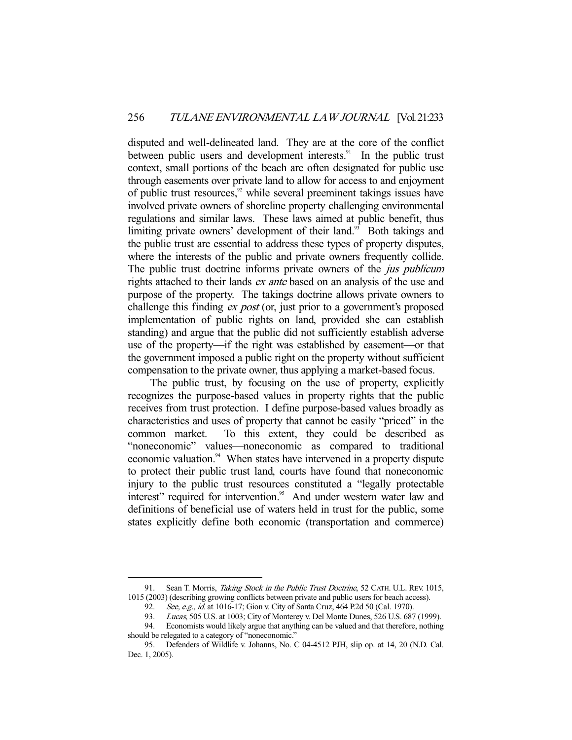disputed and well-delineated land. They are at the core of the conflict between public users and development interests.<sup>91</sup> In the public trust context, small portions of the beach are often designated for public use through easements over private land to allow for access to and enjoyment of public trust resources, $92$  while several preeminent takings issues have involved private owners of shoreline property challenging environmental regulations and similar laws. These laws aimed at public benefit, thus limiting private owners' development of their land.<sup>93</sup> Both takings and the public trust are essential to address these types of property disputes, where the interests of the public and private owners frequently collide. The public trust doctrine informs private owners of the *jus publicum* rights attached to their lands *ex ante* based on an analysis of the use and purpose of the property. The takings doctrine allows private owners to challenge this finding *ex post* (or, just prior to a government's proposed implementation of public rights on land, provided she can establish standing) and argue that the public did not sufficiently establish adverse use of the property—if the right was established by easement—or that the government imposed a public right on the property without sufficient compensation to the private owner, thus applying a market-based focus.

 The public trust, by focusing on the use of property, explicitly recognizes the purpose-based values in property rights that the public receives from trust protection. I define purpose-based values broadly as characteristics and uses of property that cannot be easily "priced" in the common market. To this extent, they could be described as "noneconomic" values—noneconomic as compared to traditional economic valuation.<sup>94</sup> When states have intervened in a property dispute to protect their public trust land, courts have found that noneconomic injury to the public trust resources constituted a "legally protectable interest" required for intervention.<sup>95</sup> And under western water law and definitions of beneficial use of waters held in trust for the public, some states explicitly define both economic (transportation and commerce)

<sup>91.</sup> Sean T. Morris, Taking Stock in the Public Trust Doctrine, 52 CATH. U.L. REV. 1015, 1015 (2003) (describing growing conflicts between private and public users for beach access).

<sup>92.</sup> See, e.g., id. at 1016-17; Gion v. City of Santa Cruz, 464 P.2d 50 (Cal. 1970).

<sup>93.</sup> Lucas, 505 U.S. at 1003; City of Monterey v. Del Monte Dunes, 526 U.S. 687 (1999).

 <sup>94.</sup> Economists would likely argue that anything can be valued and that therefore, nothing should be relegated to a category of "noneconomic."

 <sup>95.</sup> Defenders of Wildlife v. Johanns, No. C 04-4512 PJH, slip op. at 14, 20 (N.D. Cal. Dec. 1, 2005).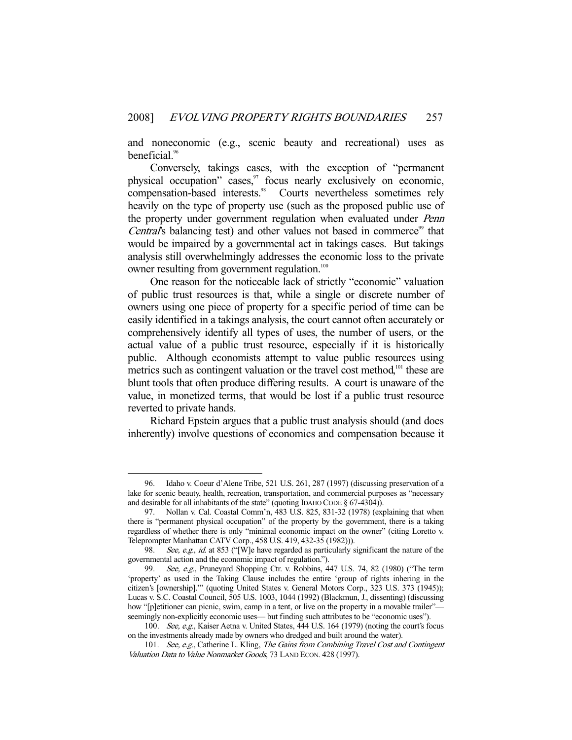and noneconomic (e.g., scenic beauty and recreational) uses as beneficial.<sup>96</sup>

 Conversely, takings cases, with the exception of "permanent physical occupation" cases, $\frac{97}{10}$  focus nearly exclusively on economic, compensation-based interests.<sup>98</sup> Courts nevertheless sometimes rely heavily on the type of property use (such as the proposed public use of the property under government regulation when evaluated under Penn Central's balancing test) and other values not based in commerce<sup>99</sup> that would be impaired by a governmental act in takings cases. But takings analysis still overwhelmingly addresses the economic loss to the private owner resulting from government regulation.<sup>100</sup>

 One reason for the noticeable lack of strictly "economic" valuation of public trust resources is that, while a single or discrete number of owners using one piece of property for a specific period of time can be easily identified in a takings analysis, the court cannot often accurately or comprehensively identify all types of uses, the number of users, or the actual value of a public trust resource, especially if it is historically public. Although economists attempt to value public resources using metrics such as contingent valuation or the travel cost method,<sup>101</sup> these are blunt tools that often produce differing results. A court is unaware of the value, in monetized terms, that would be lost if a public trust resource reverted to private hands.

 Richard Epstein argues that a public trust analysis should (and does inherently) involve questions of economics and compensation because it

 <sup>96.</sup> Idaho v. Coeur d'Alene Tribe, 521 U.S. 261, 287 (1997) (discussing preservation of a lake for scenic beauty, health, recreation, transportation, and commercial purposes as "necessary and desirable for all inhabitants of the state" (quoting IDAHO CODE § 67-4304)).

 <sup>97.</sup> Nollan v. Cal. Coastal Comm'n, 483 U.S. 825, 831-32 (1978) (explaining that when there is "permanent physical occupation" of the property by the government, there is a taking regardless of whether there is only "minimal economic impact on the owner" (citing Loretto v. Teleprompter Manhattan CATV Corp., 458 U.S. 419, 432-35 (1982))).

<sup>98.</sup> See, e.g., id. at 853 ("[W]e have regarded as particularly significant the nature of the governmental action and the economic impact of regulation.").

<sup>99.</sup> See, e.g., Pruneyard Shopping Ctr. v. Robbins, 447 U.S. 74, 82 (1980) ("The term 'property' as used in the Taking Clause includes the entire 'group of rights inhering in the citizen's [ownership].'" (quoting United States v. General Motors Corp., 323 U.S. 373 (1945)); Lucas v. S.C. Coastal Council, 505 U.S. 1003, 1044 (1992) (Blackmun, J., dissenting) (discussing how "[p]etitioner can picnic, swim, camp in a tent, or live on the property in a movable trailer" seemingly non-explicitly economic uses— but finding such attributes to be "economic uses").

<sup>100.</sup> See, e.g., Kaiser Aetna v. United States, 444 U.S. 164 (1979) (noting the court's focus on the investments already made by owners who dredged and built around the water).

<sup>101.</sup> See, e.g., Catherine L. Kling, The Gains from Combining Travel Cost and Contingent Valuation Data to Value Nonmarket Goods, 73 LAND ECON. 428 (1997).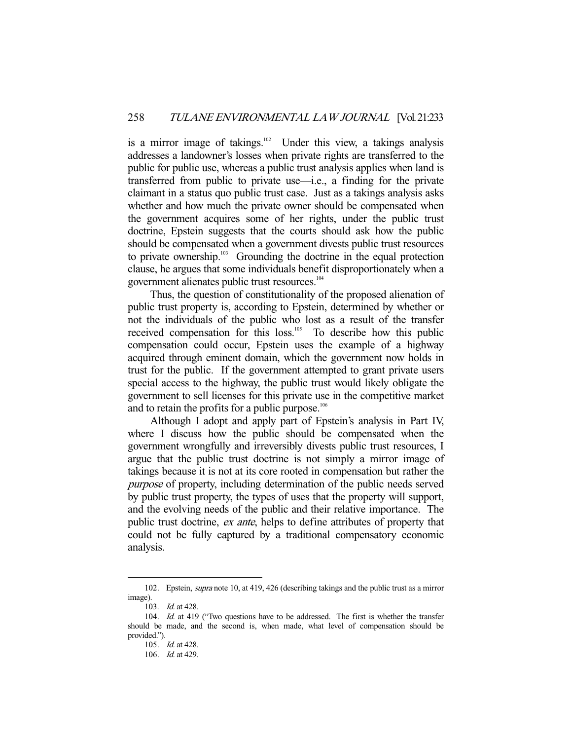is a mirror image of takings.<sup>102</sup> Under this view, a takings analysis addresses a landowner's losses when private rights are transferred to the public for public use, whereas a public trust analysis applies when land is transferred from public to private use—i.e., a finding for the private claimant in a status quo public trust case. Just as a takings analysis asks whether and how much the private owner should be compensated when the government acquires some of her rights, under the public trust doctrine, Epstein suggests that the courts should ask how the public should be compensated when a government divests public trust resources to private ownership.<sup>103</sup> Grounding the doctrine in the equal protection clause, he argues that some individuals benefit disproportionately when a government alienates public trust resources.104

 Thus, the question of constitutionality of the proposed alienation of public trust property is, according to Epstein, determined by whether or not the individuals of the public who lost as a result of the transfer received compensation for this loss.<sup>105</sup> To describe how this public compensation could occur, Epstein uses the example of a highway acquired through eminent domain, which the government now holds in trust for the public. If the government attempted to grant private users special access to the highway, the public trust would likely obligate the government to sell licenses for this private use in the competitive market and to retain the profits for a public purpose.<sup>106</sup>

 Although I adopt and apply part of Epstein's analysis in Part IV, where I discuss how the public should be compensated when the government wrongfully and irreversibly divests public trust resources, I argue that the public trust doctrine is not simply a mirror image of takings because it is not at its core rooted in compensation but rather the purpose of property, including determination of the public needs served by public trust property, the types of uses that the property will support, and the evolving needs of the public and their relative importance. The public trust doctrine, ex ante, helps to define attributes of property that could not be fully captured by a traditional compensatory economic analysis.

<sup>102.</sup> Epstein, *supra* note 10, at 419, 426 (describing takings and the public trust as a mirror image).

<sup>103.</sup> *Id.* at 428.

<sup>104.</sup> Id. at 419 ("Two questions have to be addressed. The first is whether the transfer should be made, and the second is, when made, what level of compensation should be provided.").

 <sup>105.</sup> Id. at 428.

 <sup>106.</sup> Id. at 429.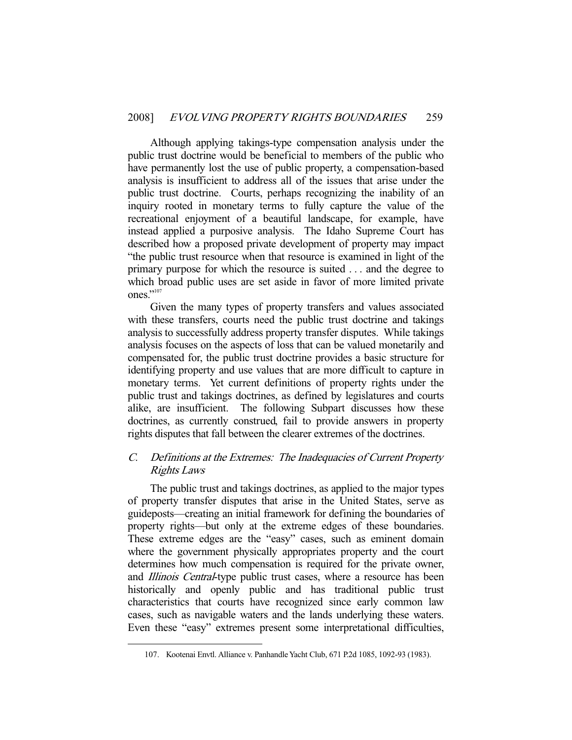Although applying takings-type compensation analysis under the public trust doctrine would be beneficial to members of the public who have permanently lost the use of public property, a compensation-based analysis is insufficient to address all of the issues that arise under the public trust doctrine. Courts, perhaps recognizing the inability of an inquiry rooted in monetary terms to fully capture the value of the recreational enjoyment of a beautiful landscape, for example, have instead applied a purposive analysis. The Idaho Supreme Court has described how a proposed private development of property may impact "the public trust resource when that resource is examined in light of the primary purpose for which the resource is suited . . . and the degree to which broad public uses are set aside in favor of more limited private ones."<sup>107</sup>

 Given the many types of property transfers and values associated with these transfers, courts need the public trust doctrine and takings analysis to successfully address property transfer disputes. While takings analysis focuses on the aspects of loss that can be valued monetarily and compensated for, the public trust doctrine provides a basic structure for identifying property and use values that are more difficult to capture in monetary terms. Yet current definitions of property rights under the public trust and takings doctrines, as defined by legislatures and courts alike, are insufficient. The following Subpart discusses how these doctrines, as currently construed, fail to provide answers in property rights disputes that fall between the clearer extremes of the doctrines.

# C. Definitions at the Extremes: The Inadequacies of Current Property Rights Laws

 The public trust and takings doctrines, as applied to the major types of property transfer disputes that arise in the United States, serve as guideposts—creating an initial framework for defining the boundaries of property rights—but only at the extreme edges of these boundaries. These extreme edges are the "easy" cases, such as eminent domain where the government physically appropriates property and the court determines how much compensation is required for the private owner, and *Illinois Central*-type public trust cases, where a resource has been historically and openly public and has traditional public trust characteristics that courts have recognized since early common law cases, such as navigable waters and the lands underlying these waters. Even these "easy" extremes present some interpretational difficulties,

 <sup>107.</sup> Kootenai Envtl. Alliance v. Panhandle Yacht Club, 671 P.2d 1085, 1092-93 (1983).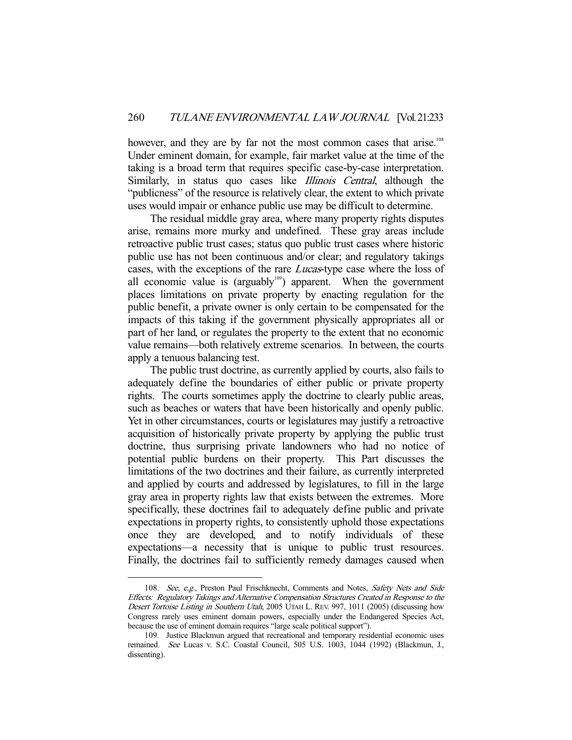however, and they are by far not the most common cases that arise.<sup>108</sup> Under eminent domain, for example, fair market value at the time of the taking is a broad term that requires specific case-by-case interpretation. Similarly, in status quo cases like *Illinois Central*, although the "publicness" of the resource is relatively clear, the extent to which private uses would impair or enhance public use may be difficult to determine.

 The residual middle gray area, where many property rights disputes arise, remains more murky and undefined. These gray areas include retroactive public trust cases; status quo public trust cases where historic public use has not been continuous and/or clear; and regulatory takings cases, with the exceptions of the rare Lucas-type case where the loss of all economic value is (arguably $10^{109}$ ) apparent. When the government places limitations on private property by enacting regulation for the public benefit, a private owner is only certain to be compensated for the impacts of this taking if the government physically appropriates all or part of her land, or regulates the property to the extent that no economic value remains—both relatively extreme scenarios. In between, the courts apply a tenuous balancing test.

 The public trust doctrine, as currently applied by courts, also fails to adequately define the boundaries of either public or private property rights. The courts sometimes apply the doctrine to clearly public areas, such as beaches or waters that have been historically and openly public. Yet in other circumstances, courts or legislatures may justify a retroactive acquisition of historically private property by applying the public trust doctrine, thus surprising private landowners who had no notice of potential public burdens on their property. This Part discusses the limitations of the two doctrines and their failure, as currently interpreted and applied by courts and addressed by legislatures, to fill in the large gray area in property rights law that exists between the extremes. More specifically, these doctrines fail to adequately define public and private expectations in property rights, to consistently uphold those expectations once they are developed, and to notify individuals of these expectations—a necessity that is unique to public trust resources. Finally, the doctrines fail to sufficiently remedy damages caused when

<sup>108.</sup> See, e.g., Preston Paul Frischknecht, Comments and Notes, Safety Nets and Side Effects: Regulatory Takings and Alternative Compensation Structures Created in Response to the Desert Tortoise Listing in Southern Utah, 2005 UTAH L. REV. 997, 1011 (2005) (discussing how Congress rarely uses eminent domain powers, especially under the Endangered Species Act, because the use of eminent domain requires "large scale political support").

 <sup>109.</sup> Justice Blackmun argued that recreational and temporary residential economic uses remained. See Lucas v. S.C. Coastal Council, 505 U.S. 1003, 1044 (1992) (Blackmun, J., dissenting).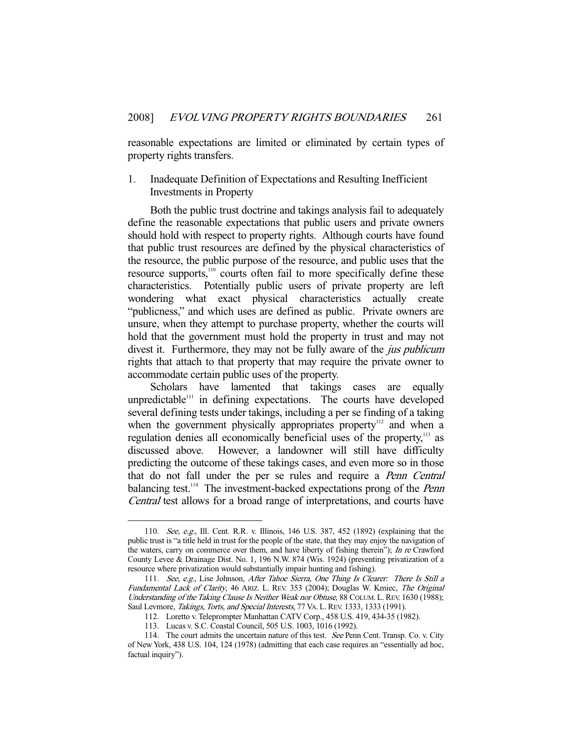reasonable expectations are limited or eliminated by certain types of property rights transfers.

## 1. Inadequate Definition of Expectations and Resulting Inefficient Investments in Property

 Both the public trust doctrine and takings analysis fail to adequately define the reasonable expectations that public users and private owners should hold with respect to property rights. Although courts have found that public trust resources are defined by the physical characteristics of the resource, the public purpose of the resource, and public uses that the resource supports,<sup>110</sup> courts often fail to more specifically define these characteristics. Potentially public users of private property are left wondering what exact physical characteristics actually create "publicness," and which uses are defined as public. Private owners are unsure, when they attempt to purchase property, whether the courts will hold that the government must hold the property in trust and may not divest it. Furthermore, they may not be fully aware of the *jus publicum* rights that attach to that property that may require the private owner to accommodate certain public uses of the property.

 Scholars have lamented that takings cases are equally unpredictable<sup>111</sup> in defining expectations. The courts have developed several defining tests under takings, including a per se finding of a taking when the government physically appropriates property<sup>112</sup> and when a regulation denies all economically beneficial uses of the property,<sup>113</sup> as discussed above. However, a landowner will still have difficulty predicting the outcome of these takings cases, and even more so in those that do not fall under the per se rules and require a Penn Central balancing test.<sup>114</sup> The investment-backed expectations prong of the *Penn* Central test allows for a broad range of interpretations, and courts have

 <sup>110.</sup> See, e.g., Ill. Cent. R.R. v. Illinois, 146 U.S. 387, 452 (1892) (explaining that the public trust is "a title held in trust for the people of the state, that they may enjoy the navigation of the waters, carry on commerce over them, and have liberty of fishing therein"); In re Crawford County Levee & Drainage Dist. No. 1, 196 N.W. 874 (Wis. 1924) (preventing privatization of a resource where privatization would substantially impair hunting and fishing).

 <sup>111.</sup> See, e.g., Lise Johnson, After Tahoe Sierra, One Thing Is Clearer: There Is Still a Fundamental Lack of Clarity, 46 ARIZ. L. REV. 353 (2004); Douglas W. Kmiec, The Original Understanding of the Taking Clause Is Neither Weak nor Obtuse, 88 COLUM. L. REV. 1630 (1988); Saul Levmore, Takings, Torts, and Special Interests, 77 VA. L. REV. 1333, 1333 (1991).

 <sup>112.</sup> Loretto v. Teleprompter Manhattan CATV Corp., 458 U.S. 419, 434-35 (1982).

 <sup>113.</sup> Lucas v. S.C. Coastal Council, 505 U.S. 1003, 1016 (1992).

<sup>114.</sup> The court admits the uncertain nature of this test. See Penn Cent. Transp. Co. v. City of New York, 438 U.S. 104, 124 (1978) (admitting that each case requires an "essentially ad hoc, factual inquiry").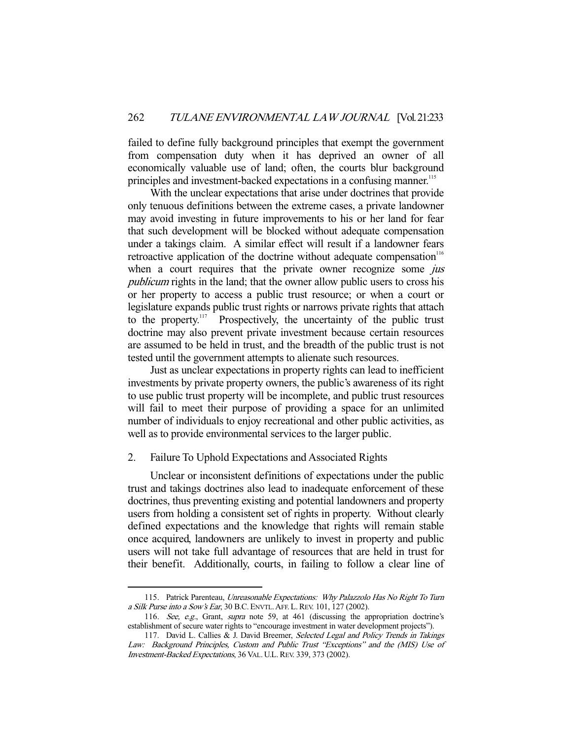failed to define fully background principles that exempt the government from compensation duty when it has deprived an owner of all economically valuable use of land; often, the courts blur background principles and investment-backed expectations in a confusing manner.<sup>115</sup>

 With the unclear expectations that arise under doctrines that provide only tenuous definitions between the extreme cases, a private landowner may avoid investing in future improvements to his or her land for fear that such development will be blocked without adequate compensation under a takings claim. A similar effect will result if a landowner fears retroactive application of the doctrine without adequate compensation<sup>116</sup> when a court requires that the private owner recognize some *jus* publicum rights in the land; that the owner allow public users to cross his or her property to access a public trust resource; or when a court or legislature expands public trust rights or narrows private rights that attach to the property.<sup>117</sup> Prospectively, the uncertainty of the public trust doctrine may also prevent private investment because certain resources are assumed to be held in trust, and the breadth of the public trust is not tested until the government attempts to alienate such resources.

 Just as unclear expectations in property rights can lead to inefficient investments by private property owners, the public's awareness of its right to use public trust property will be incomplete, and public trust resources will fail to meet their purpose of providing a space for an unlimited number of individuals to enjoy recreational and other public activities, as well as to provide environmental services to the larger public.

## 2. Failure To Uphold Expectations and Associated Rights

-

 Unclear or inconsistent definitions of expectations under the public trust and takings doctrines also lead to inadequate enforcement of these doctrines, thus preventing existing and potential landowners and property users from holding a consistent set of rights in property. Without clearly defined expectations and the knowledge that rights will remain stable once acquired, landowners are unlikely to invest in property and public users will not take full advantage of resources that are held in trust for their benefit. Additionally, courts, in failing to follow a clear line of

<sup>115.</sup> Patrick Parenteau, Unreasonable Expectations: Why Palazzolo Has No Right To Turn a Silk Purse into a Sow's Ear, 30 B.C.ENVTL.AFF. L.REV. 101, 127 (2002).

<sup>116.</sup> See, e.g., Grant, supra note 59, at 461 (discussing the appropriation doctrine's establishment of secure water rights to "encourage investment in water development projects").

<sup>117.</sup> David L. Callies & J. David Breemer, Selected Legal and Policy Trends in Takings Law: Background Principles, Custom and Public Trust "Exceptions" and the (MIS) Use of Investment-Backed Expectations, 36 VAL. U.L.REV. 339, 373 (2002).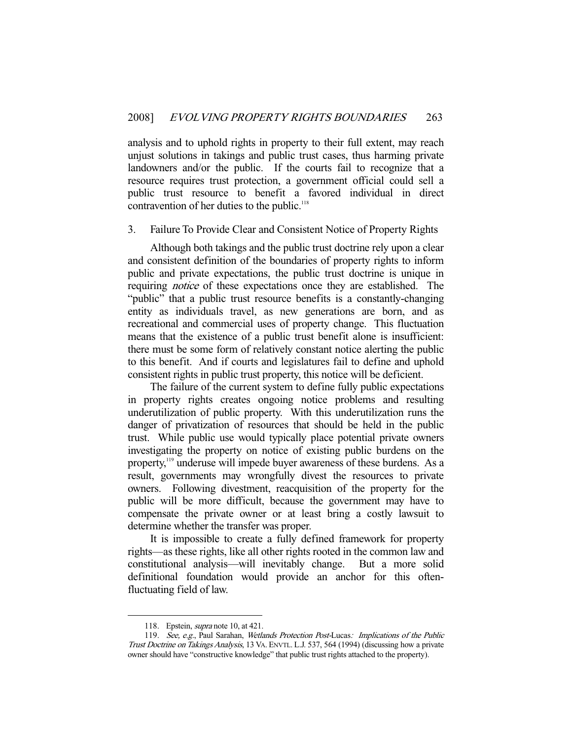analysis and to uphold rights in property to their full extent, may reach unjust solutions in takings and public trust cases, thus harming private landowners and/or the public. If the courts fail to recognize that a resource requires trust protection, a government official could sell a public trust resource to benefit a favored individual in direct contravention of her duties to the public.<sup>118</sup>

#### 3. Failure To Provide Clear and Consistent Notice of Property Rights

 Although both takings and the public trust doctrine rely upon a clear and consistent definition of the boundaries of property rights to inform public and private expectations, the public trust doctrine is unique in requiring notice of these expectations once they are established. The "public" that a public trust resource benefits is a constantly-changing entity as individuals travel, as new generations are born, and as recreational and commercial uses of property change. This fluctuation means that the existence of a public trust benefit alone is insufficient: there must be some form of relatively constant notice alerting the public to this benefit. And if courts and legislatures fail to define and uphold consistent rights in public trust property, this notice will be deficient.

 The failure of the current system to define fully public expectations in property rights creates ongoing notice problems and resulting underutilization of public property. With this underutilization runs the danger of privatization of resources that should be held in the public trust. While public use would typically place potential private owners investigating the property on notice of existing public burdens on the property,<sup>119</sup> underuse will impede buyer awareness of these burdens. As a result, governments may wrongfully divest the resources to private owners. Following divestment, reacquisition of the property for the public will be more difficult, because the government may have to compensate the private owner or at least bring a costly lawsuit to determine whether the transfer was proper.

 It is impossible to create a fully defined framework for property rights—as these rights, like all other rights rooted in the common law and constitutional analysis—will inevitably change. But a more solid definitional foundation would provide an anchor for this oftenfluctuating field of law.

<sup>118.</sup> Epstein, *supra* note 10, at 421.

<sup>119.</sup> See, e.g., Paul Sarahan, Wetlands Protection Post-Lucas: Implications of the Public Trust Doctrine on Takings Analysis, 13 VA. ENVTL. L.J. 537, 564 (1994) (discussing how a private owner should have "constructive knowledge" that public trust rights attached to the property).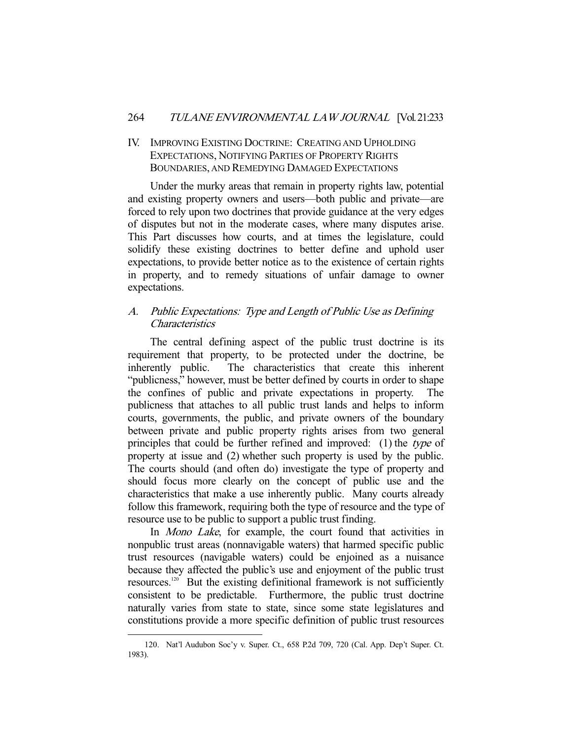# IV. IMPROVING EXISTING DOCTRINE: CREATING AND UPHOLDING EXPECTATIONS, NOTIFYING PARTIES OF PROPERTY RIGHTS BOUNDARIES, AND REMEDYING DAMAGED EXPECTATIONS

 Under the murky areas that remain in property rights law, potential and existing property owners and users—both public and private—are forced to rely upon two doctrines that provide guidance at the very edges of disputes but not in the moderate cases, where many disputes arise. This Part discusses how courts, and at times the legislature, could solidify these existing doctrines to better define and uphold user expectations, to provide better notice as to the existence of certain rights in property, and to remedy situations of unfair damage to owner expectations.

# A. Public Expectations: Type and Length of Public Use as Defining **Characteristics**

 The central defining aspect of the public trust doctrine is its requirement that property, to be protected under the doctrine, be inherently public. The characteristics that create this inherent "publicness," however, must be better defined by courts in order to shape the confines of public and private expectations in property. The publicness that attaches to all public trust lands and helps to inform courts, governments, the public, and private owners of the boundary between private and public property rights arises from two general principles that could be further refined and improved: (1) the type of property at issue and (2) whether such property is used by the public. The courts should (and often do) investigate the type of property and should focus more clearly on the concept of public use and the characteristics that make a use inherently public. Many courts already follow this framework, requiring both the type of resource and the type of resource use to be public to support a public trust finding.

In *Mono Lake*, for example, the court found that activities in nonpublic trust areas (nonnavigable waters) that harmed specific public trust resources (navigable waters) could be enjoined as a nuisance because they affected the public's use and enjoyment of the public trust resources.120 But the existing definitional framework is not sufficiently consistent to be predictable. Furthermore, the public trust doctrine naturally varies from state to state, since some state legislatures and constitutions provide a more specific definition of public trust resources

<sup>-</sup> 120. Nat'l Audubon Soc'y v. Super. Ct., 658 P.2d 709, 720 (Cal. App. Dep't Super. Ct. 1983).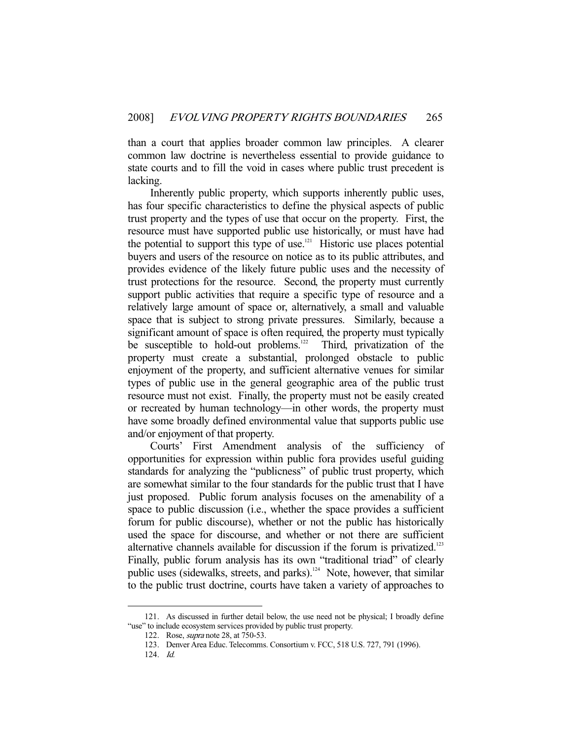than a court that applies broader common law principles. A clearer common law doctrine is nevertheless essential to provide guidance to state courts and to fill the void in cases where public trust precedent is lacking.

 Inherently public property, which supports inherently public uses, has four specific characteristics to define the physical aspects of public trust property and the types of use that occur on the property. First, the resource must have supported public use historically, or must have had the potential to support this type of use.<sup>121</sup> Historic use places potential buyers and users of the resource on notice as to its public attributes, and provides evidence of the likely future public uses and the necessity of trust protections for the resource. Second, the property must currently support public activities that require a specific type of resource and a relatively large amount of space or, alternatively, a small and valuable space that is subject to strong private pressures. Similarly, because a significant amount of space is often required, the property must typically be susceptible to hold-out problems.<sup>122</sup> Third, privatization of the property must create a substantial, prolonged obstacle to public enjoyment of the property, and sufficient alternative venues for similar types of public use in the general geographic area of the public trust resource must not exist. Finally, the property must not be easily created or recreated by human technology—in other words, the property must have some broadly defined environmental value that supports public use and/or enjoyment of that property.

 Courts' First Amendment analysis of the sufficiency of opportunities for expression within public fora provides useful guiding standards for analyzing the "publicness" of public trust property, which are somewhat similar to the four standards for the public trust that I have just proposed. Public forum analysis focuses on the amenability of a space to public discussion (i.e., whether the space provides a sufficient forum for public discourse), whether or not the public has historically used the space for discourse, and whether or not there are sufficient alternative channels available for discussion if the forum is privatized.<sup>123</sup> Finally, public forum analysis has its own "traditional triad" of clearly public uses (sidewalks, streets, and parks).<sup>124</sup> Note, however, that similar to the public trust doctrine, courts have taken a variety of approaches to

 <sup>121.</sup> As discussed in further detail below, the use need not be physical; I broadly define "use" to include ecosystem services provided by public trust property.

 <sup>122.</sup> Rose, supra note 28, at 750-53.

 <sup>123.</sup> Denver Area Educ. Telecomms. Consortium v. FCC, 518 U.S. 727, 791 (1996).

 <sup>124.</sup> Id.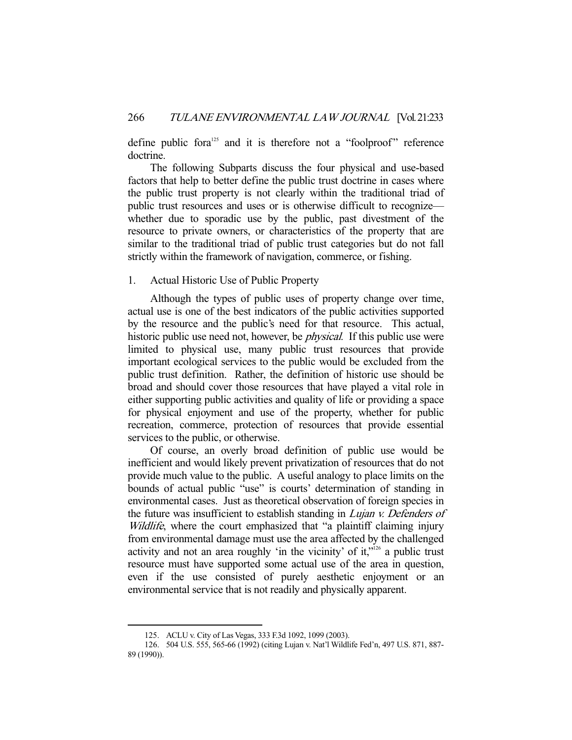define public fora<sup>125</sup> and it is therefore not a "foolproof" reference doctrine.

 The following Subparts discuss the four physical and use-based factors that help to better define the public trust doctrine in cases where the public trust property is not clearly within the traditional triad of public trust resources and uses or is otherwise difficult to recognize whether due to sporadic use by the public, past divestment of the resource to private owners, or characteristics of the property that are similar to the traditional triad of public trust categories but do not fall strictly within the framework of navigation, commerce, or fishing.

#### 1. Actual Historic Use of Public Property

 Although the types of public uses of property change over time, actual use is one of the best indicators of the public activities supported by the resource and the public's need for that resource. This actual, historic public use need not, however, be *physical*. If this public use were limited to physical use, many public trust resources that provide important ecological services to the public would be excluded from the public trust definition. Rather, the definition of historic use should be broad and should cover those resources that have played a vital role in either supporting public activities and quality of life or providing a space for physical enjoyment and use of the property, whether for public recreation, commerce, protection of resources that provide essential services to the public, or otherwise.

 Of course, an overly broad definition of public use would be inefficient and would likely prevent privatization of resources that do not provide much value to the public. A useful analogy to place limits on the bounds of actual public "use" is courts' determination of standing in environmental cases. Just as theoretical observation of foreign species in the future was insufficient to establish standing in *Lujan v. Defenders of* Wildlife, where the court emphasized that "a plaintiff claiming injury from environmental damage must use the area affected by the challenged activity and not an area roughly 'in the vicinity' of it,"126 a public trust resource must have supported some actual use of the area in question, even if the use consisted of purely aesthetic enjoyment or an environmental service that is not readily and physically apparent.

 <sup>125.</sup> ACLU v. City of Las Vegas, 333 F.3d 1092, 1099 (2003).

 <sup>126. 504</sup> U.S. 555, 565-66 (1992) (citing Lujan v. Nat'l Wildlife Fed'n, 497 U.S. 871, 887- 89 (1990)).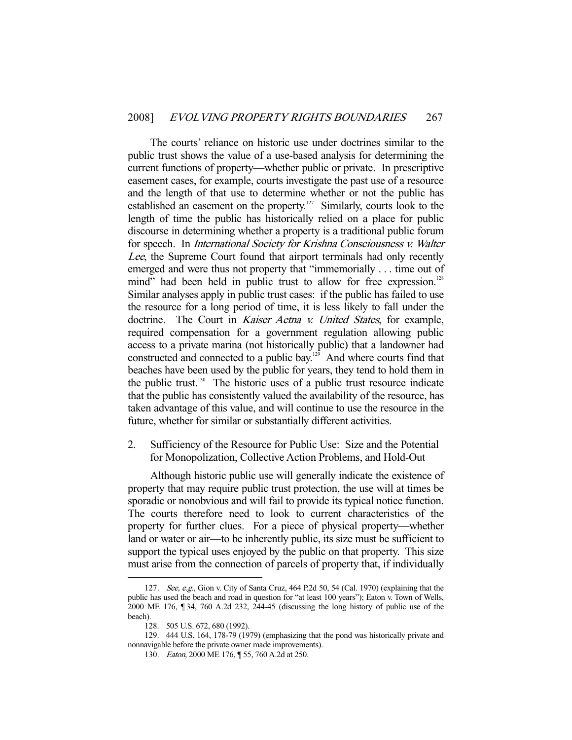The courts' reliance on historic use under doctrines similar to the public trust shows the value of a use-based analysis for determining the current functions of property—whether public or private. In prescriptive easement cases, for example, courts investigate the past use of a resource and the length of that use to determine whether or not the public has established an easement on the property.<sup>127</sup> Similarly, courts look to the length of time the public has historically relied on a place for public discourse in determining whether a property is a traditional public forum for speech. In International Society for Krishna Consciousness v. Walter Lee, the Supreme Court found that airport terminals had only recently emerged and were thus not property that "immemorially . . . time out of mind" had been held in public trust to allow for free expression.<sup>128</sup> Similar analyses apply in public trust cases: if the public has failed to use the resource for a long period of time, it is less likely to fall under the doctrine. The Court in Kaiser Aetna v. United States, for example, required compensation for a government regulation allowing public access to a private marina (not historically public) that a landowner had constructed and connected to a public bay.<sup>129</sup> And where courts find that beaches have been used by the public for years, they tend to hold them in the public trust.<sup>130</sup> The historic uses of a public trust resource indicate that the public has consistently valued the availability of the resource, has taken advantage of this value, and will continue to use the resource in the future, whether for similar or substantially different activities.

2. Sufficiency of the Resource for Public Use: Size and the Potential for Monopolization, Collective Action Problems, and Hold-Out

 Although historic public use will generally indicate the existence of property that may require public trust protection, the use will at times be sporadic or nonobvious and will fail to provide its typical notice function. The courts therefore need to look to current characteristics of the property for further clues. For a piece of physical property—whether land or water or air—to be inherently public, its size must be sufficient to support the typical uses enjoyed by the public on that property. This size must arise from the connection of parcels of property that, if individually

<sup>127.</sup> See, e.g., Gion v. City of Santa Cruz, 464 P.2d 50, 54 (Cal. 1970) (explaining that the public has used the beach and road in question for "at least 100 years"); Eaton v. Town of Wells, 2000 ME 176, ¶ 34, 760 A.2d 232, 244-45 (discussing the long history of public use of the beach).

 <sup>128. 505</sup> U.S. 672, 680 (1992).

 <sup>129. 444</sup> U.S. 164, 178-79 (1979) (emphasizing that the pond was historically private and nonnavigable before the private owner made improvements).

 <sup>130.</sup> Eaton, 2000 ME 176, ¶ 55, 760 A.2d at 250.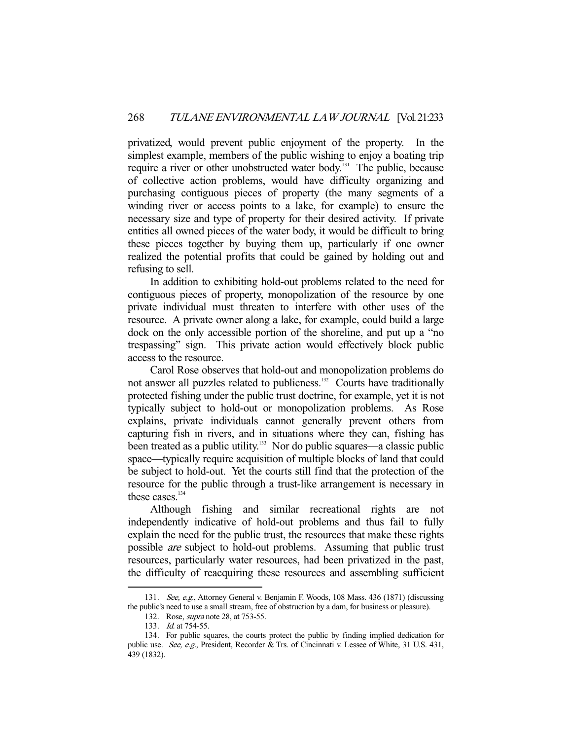privatized, would prevent public enjoyment of the property. In the simplest example, members of the public wishing to enjoy a boating trip require a river or other unobstructed water body.<sup>131</sup> The public, because of collective action problems, would have difficulty organizing and purchasing contiguous pieces of property (the many segments of a winding river or access points to a lake, for example) to ensure the necessary size and type of property for their desired activity. If private entities all owned pieces of the water body, it would be difficult to bring these pieces together by buying them up, particularly if one owner realized the potential profits that could be gained by holding out and refusing to sell.

 In addition to exhibiting hold-out problems related to the need for contiguous pieces of property, monopolization of the resource by one private individual must threaten to interfere with other uses of the resource. A private owner along a lake, for example, could build a large dock on the only accessible portion of the shoreline, and put up a "no trespassing" sign. This private action would effectively block public access to the resource.

 Carol Rose observes that hold-out and monopolization problems do not answer all puzzles related to publicness.<sup>132</sup> Courts have traditionally protected fishing under the public trust doctrine, for example, yet it is not typically subject to hold-out or monopolization problems. As Rose explains, private individuals cannot generally prevent others from capturing fish in rivers, and in situations where they can, fishing has been treated as a public utility.<sup>133</sup> Nor do public squares—a classic public space—typically require acquisition of multiple blocks of land that could be subject to hold-out. Yet the courts still find that the protection of the resource for the public through a trust-like arrangement is necessary in these cases. $134$ 

 Although fishing and similar recreational rights are not independently indicative of hold-out problems and thus fail to fully explain the need for the public trust, the resources that make these rights possible are subject to hold-out problems. Assuming that public trust resources, particularly water resources, had been privatized in the past, the difficulty of reacquiring these resources and assembling sufficient

 <sup>131.</sup> See, e.g., Attorney General v. Benjamin F. Woods, 108 Mass. 436 (1871) (discussing the public's need to use a small stream, free of obstruction by a dam, for business or pleasure).

<sup>132.</sup> Rose, *supra* note 28, at 753-55.

<sup>133.</sup> *Id.* at 754-55.

 <sup>134.</sup> For public squares, the courts protect the public by finding implied dedication for public use. See, e.g., President, Recorder & Trs. of Cincinnati v. Lessee of White, 31 U.S. 431, 439 (1832).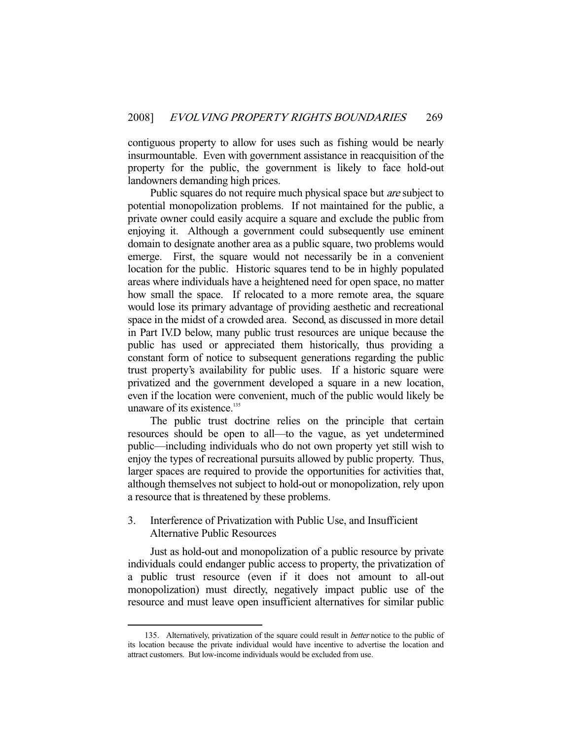contiguous property to allow for uses such as fishing would be nearly insurmountable. Even with government assistance in reacquisition of the property for the public, the government is likely to face hold-out landowners demanding high prices.

Public squares do not require much physical space but *are* subject to potential monopolization problems. If not maintained for the public, a private owner could easily acquire a square and exclude the public from enjoying it. Although a government could subsequently use eminent domain to designate another area as a public square, two problems would emerge. First, the square would not necessarily be in a convenient location for the public. Historic squares tend to be in highly populated areas where individuals have a heightened need for open space, no matter how small the space. If relocated to a more remote area, the square would lose its primary advantage of providing aesthetic and recreational space in the midst of a crowded area. Second, as discussed in more detail in Part IV.D below, many public trust resources are unique because the public has used or appreciated them historically, thus providing a constant form of notice to subsequent generations regarding the public trust property's availability for public uses. If a historic square were privatized and the government developed a square in a new location, even if the location were convenient, much of the public would likely be unaware of its existence.<sup>135</sup>

 The public trust doctrine relies on the principle that certain resources should be open to all—to the vague, as yet undetermined public—including individuals who do not own property yet still wish to enjoy the types of recreational pursuits allowed by public property. Thus, larger spaces are required to provide the opportunities for activities that, although themselves not subject to hold-out or monopolization, rely upon a resource that is threatened by these problems.

#### 3. Interference of Privatization with Public Use, and Insufficient Alternative Public Resources

 Just as hold-out and monopolization of a public resource by private individuals could endanger public access to property, the privatization of a public trust resource (even if it does not amount to all-out monopolization) must directly, negatively impact public use of the resource and must leave open insufficient alternatives for similar public

<sup>135.</sup> Alternatively, privatization of the square could result in *better* notice to the public of its location because the private individual would have incentive to advertise the location and attract customers. But low-income individuals would be excluded from use.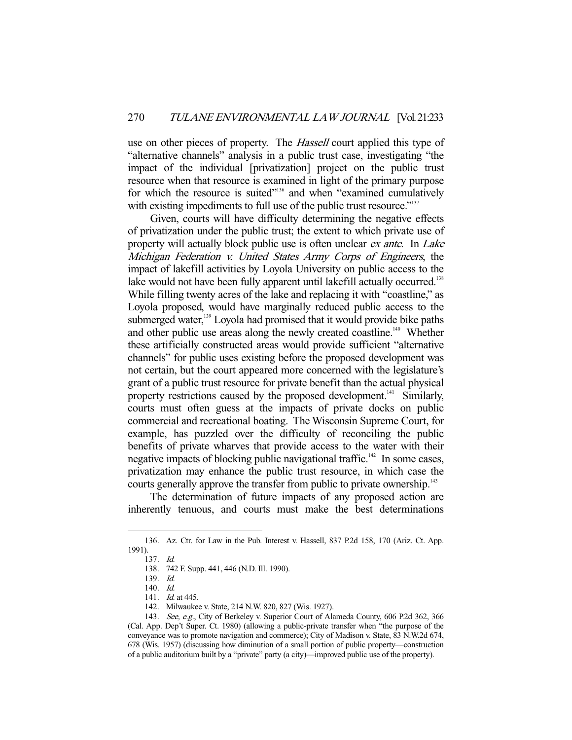use on other pieces of property. The *Hassell* court applied this type of "alternative channels" analysis in a public trust case, investigating "the impact of the individual [privatization] project on the public trust resource when that resource is examined in light of the primary purpose for which the resource is suited"136 and when "examined cumulatively with existing impediments to full use of the public trust resource."<sup>137</sup>

 Given, courts will have difficulty determining the negative effects of privatization under the public trust; the extent to which private use of property will actually block public use is often unclear *ex ante*. In *Lake* Michigan Federation v. United States Army Corps of Engineers, the impact of lakefill activities by Loyola University on public access to the lake would not have been fully apparent until lakefill actually occurred.<sup>138</sup> While filling twenty acres of the lake and replacing it with "coastline," as Loyola proposed, would have marginally reduced public access to the submerged water, $139$  Loyola had promised that it would provide bike paths and other public use areas along the newly created coastline.<sup>140</sup> Whether these artificially constructed areas would provide sufficient "alternative channels" for public uses existing before the proposed development was not certain, but the court appeared more concerned with the legislature's grant of a public trust resource for private benefit than the actual physical property restrictions caused by the proposed development.<sup>141</sup> Similarly, courts must often guess at the impacts of private docks on public commercial and recreational boating. The Wisconsin Supreme Court, for example, has puzzled over the difficulty of reconciling the public benefits of private wharves that provide access to the water with their negative impacts of blocking public navigational traffic.<sup>142</sup> In some cases, privatization may enhance the public trust resource, in which case the courts generally approve the transfer from public to private ownership.<sup>143</sup>

 The determination of future impacts of any proposed action are inherently tenuous, and courts must make the best determinations

 <sup>136.</sup> Az. Ctr. for Law in the Pub. Interest v. Hassell, 837 P.2d 158, 170 (Ariz. Ct. App. 1991).

 <sup>137.</sup> Id.

 <sup>138. 742</sup> F. Supp. 441, 446 (N.D. Ill. 1990).

 <sup>139.</sup> Id.

 <sup>140.</sup> Id.

<sup>141.</sup> *Id.* at 445.

 <sup>142.</sup> Milwaukee v. State, 214 N.W. 820, 827 (Wis. 1927).

 <sup>143.</sup> See, e.g., City of Berkeley v. Superior Court of Alameda County, 606 P.2d 362, 366 (Cal. App. Dep't Super. Ct. 1980) (allowing a public-private transfer when "the purpose of the conveyance was to promote navigation and commerce); City of Madison v. State, 83 N.W.2d 674, 678 (Wis. 1957) (discussing how diminution of a small portion of public property—construction of a public auditorium built by a "private" party (a city)—improved public use of the property).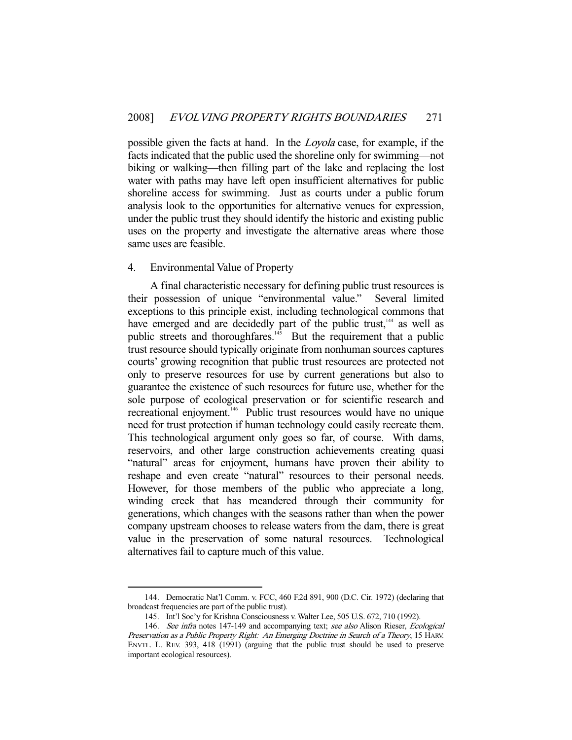possible given the facts at hand. In the Loyola case, for example, if the facts indicated that the public used the shoreline only for swimming—not biking or walking—then filling part of the lake and replacing the lost water with paths may have left open insufficient alternatives for public shoreline access for swimming. Just as courts under a public forum analysis look to the opportunities for alternative venues for expression, under the public trust they should identify the historic and existing public uses on the property and investigate the alternative areas where those same uses are feasible.

### 4. Environmental Value of Property

-

 A final characteristic necessary for defining public trust resources is their possession of unique "environmental value." Several limited exceptions to this principle exist, including technological commons that have emerged and are decidedly part of the public trust,<sup>144</sup> as well as public streets and thoroughfares.<sup>145</sup> But the requirement that a public trust resource should typically originate from nonhuman sources captures courts' growing recognition that public trust resources are protected not only to preserve resources for use by current generations but also to guarantee the existence of such resources for future use, whether for the sole purpose of ecological preservation or for scientific research and recreational enjoyment.<sup>146</sup> Public trust resources would have no unique need for trust protection if human technology could easily recreate them. This technological argument only goes so far, of course. With dams, reservoirs, and other large construction achievements creating quasi "natural" areas for enjoyment, humans have proven their ability to reshape and even create "natural" resources to their personal needs. However, for those members of the public who appreciate a long, winding creek that has meandered through their community for generations, which changes with the seasons rather than when the power company upstream chooses to release waters from the dam, there is great value in the preservation of some natural resources. Technological alternatives fail to capture much of this value.

 <sup>144.</sup> Democratic Nat'l Comm. v. FCC, 460 F.2d 891, 900 (D.C. Cir. 1972) (declaring that broadcast frequencies are part of the public trust).

 <sup>145.</sup> Int'l Soc'y for Krishna Consciousness v. Walter Lee, 505 U.S. 672, 710 (1992).

<sup>146.</sup> See infra notes 147-149 and accompanying text; see also Alison Rieser, Ecological Preservation as a Public Property Right: An Emerging Doctrine in Search of a Theory, 15 HARV. ENVTL. L. REV. 393, 418 (1991) (arguing that the public trust should be used to preserve important ecological resources).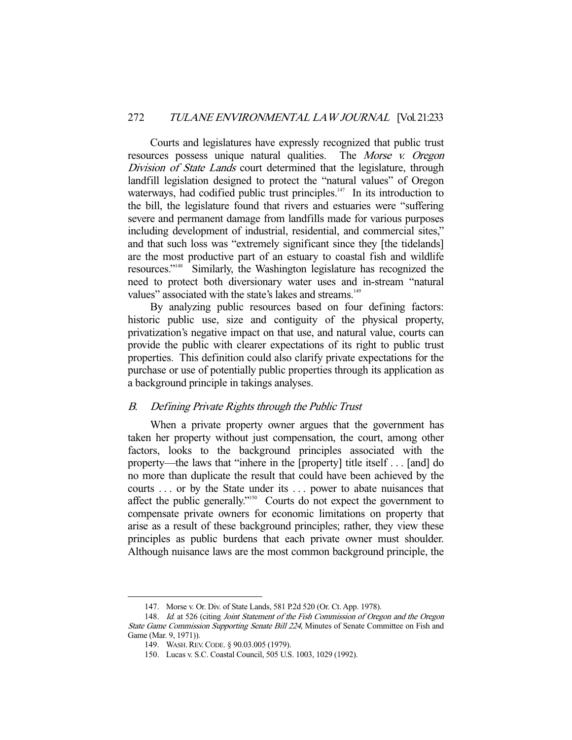Courts and legislatures have expressly recognized that public trust resources possess unique natural qualities. The Morse v. Oregon Division of State Lands court determined that the legislature, through landfill legislation designed to protect the "natural values" of Oregon waterways, had codified public trust principles. $147$  In its introduction to the bill, the legislature found that rivers and estuaries were "suffering severe and permanent damage from landfills made for various purposes including development of industrial, residential, and commercial sites," and that such loss was "extremely significant since they [the tidelands] are the most productive part of an estuary to coastal fish and wildlife resources."148 Similarly, the Washington legislature has recognized the need to protect both diversionary water uses and in-stream "natural values" associated with the state's lakes and streams.<sup>149</sup>

By analyzing public resources based on four defining factors: historic public use, size and contiguity of the physical property, privatization's negative impact on that use, and natural value, courts can provide the public with clearer expectations of its right to public trust properties. This definition could also clarify private expectations for the purchase or use of potentially public properties through its application as a background principle in takings analyses.

#### B. Defining Private Rights through the Public Trust

 When a private property owner argues that the government has taken her property without just compensation, the court, among other factors, looks to the background principles associated with the property—the laws that "inhere in the [property] title itself . . . [and] do no more than duplicate the result that could have been achieved by the courts . . . or by the State under its . . . power to abate nuisances that affect the public generally."150 Courts do not expect the government to compensate private owners for economic limitations on property that arise as a result of these background principles; rather, they view these principles as public burdens that each private owner must shoulder. Although nuisance laws are the most common background principle, the

 <sup>147.</sup> Morse v. Or. Div. of State Lands, 581 P.2d 520 (Or. Ct. App. 1978).

<sup>148.</sup> Id. at 526 (citing Joint Statement of the Fish Commission of Oregon and the Oregon State Game Commission Supporting Senate Bill 224, Minutes of Senate Committee on Fish and Game (Mar. 9, 1971)).

 <sup>149.</sup> WASH.REV.CODE. § 90.03.005 (1979).

 <sup>150.</sup> Lucas v. S.C. Coastal Council, 505 U.S. 1003, 1029 (1992).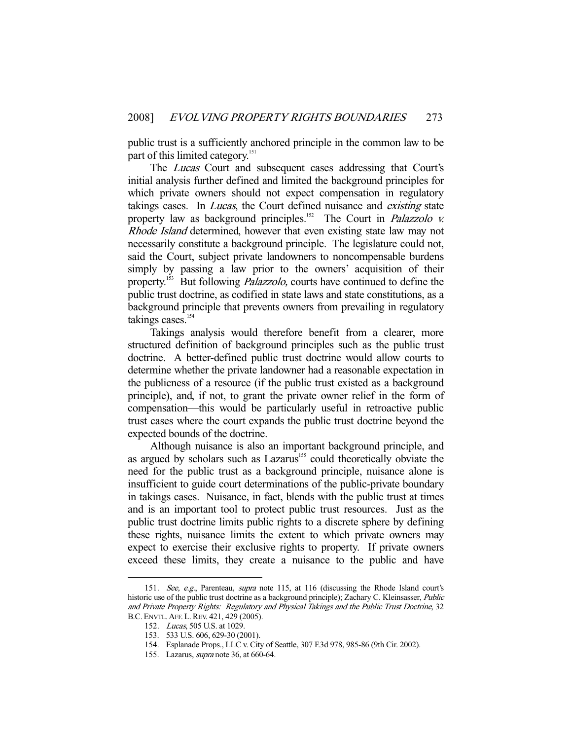public trust is a sufficiently anchored principle in the common law to be part of this limited category.<sup>151</sup>

The *Lucas* Court and subsequent cases addressing that Court's initial analysis further defined and limited the background principles for which private owners should not expect compensation in regulatory takings cases. In *Lucas*, the Court defined nuisance and *existing* state property law as background principles.<sup>152</sup> The Court in *Palazzolo v.* Rhode Island determined, however that even existing state law may not necessarily constitute a background principle. The legislature could not, said the Court, subject private landowners to noncompensable burdens simply by passing a law prior to the owners' acquisition of their property.<sup>153</sup> But following *Palazzolo*, courts have continued to define the public trust doctrine, as codified in state laws and state constitutions, as a background principle that prevents owners from prevailing in regulatory takings cases.<sup>154</sup>

 Takings analysis would therefore benefit from a clearer, more structured definition of background principles such as the public trust doctrine. A better-defined public trust doctrine would allow courts to determine whether the private landowner had a reasonable expectation in the publicness of a resource (if the public trust existed as a background principle), and, if not, to grant the private owner relief in the form of compensation—this would be particularly useful in retroactive public trust cases where the court expands the public trust doctrine beyond the expected bounds of the doctrine.

 Although nuisance is also an important background principle, and as argued by scholars such as Lazarus<sup>155</sup> could theoretically obviate the need for the public trust as a background principle, nuisance alone is insufficient to guide court determinations of the public-private boundary in takings cases. Nuisance, in fact, blends with the public trust at times and is an important tool to protect public trust resources. Just as the public trust doctrine limits public rights to a discrete sphere by defining these rights, nuisance limits the extent to which private owners may expect to exercise their exclusive rights to property. If private owners exceed these limits, they create a nuisance to the public and have

<sup>151.</sup> See, e.g., Parenteau, supra note 115, at 116 (discussing the Rhode Island court's historic use of the public trust doctrine as a background principle); Zachary C. Kleinsasser, *Public* and Private Property Rights: Regulatory and Physical Takings and the Public Trust Doctrine, 32 B.C.ENVTL.AFF. L.REV. 421, 429 (2005).

 <sup>152.</sup> Lucas, 505 U.S. at 1029.

 <sup>153. 533</sup> U.S. 606, 629-30 (2001).

 <sup>154.</sup> Esplanade Props., LLC v. City of Seattle, 307 F.3d 978, 985-86 (9th Cir. 2002).

 <sup>155.</sup> Lazarus, supra note 36, at 660-64.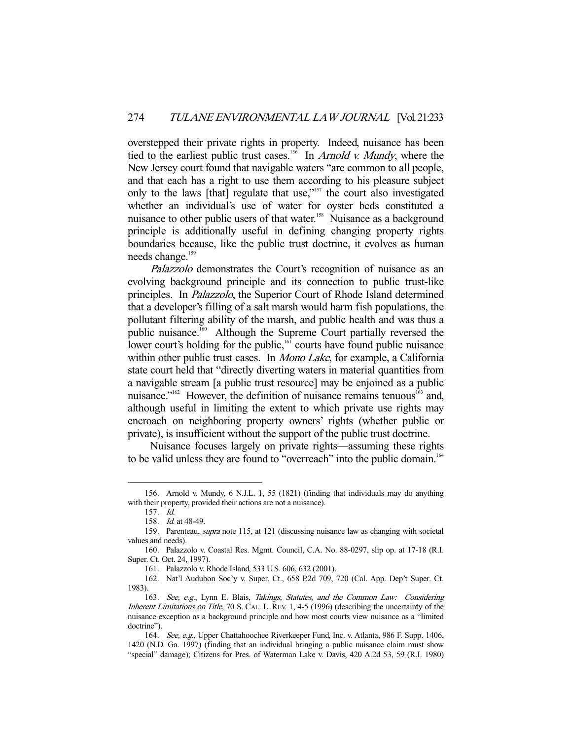overstepped their private rights in property. Indeed, nuisance has been tied to the earliest public trust cases.<sup>156</sup> In *Arnold v. Mundy*, where the New Jersey court found that navigable waters "are common to all people, and that each has a right to use them according to his pleasure subject only to the laws [that] regulate that use,"157 the court also investigated whether an individual's use of water for oyster beds constituted a nuisance to other public users of that water.<sup>158</sup> Nuisance as a background principle is additionally useful in defining changing property rights boundaries because, like the public trust doctrine, it evolves as human needs change.<sup>159</sup>

Palazzolo demonstrates the Court's recognition of nuisance as an evolving background principle and its connection to public trust-like principles. In Palazzolo, the Superior Court of Rhode Island determined that a developer's filling of a salt marsh would harm fish populations, the pollutant filtering ability of the marsh, and public health and was thus a public nuisance.160 Although the Supreme Court partially reversed the lower court's holding for the public,<sup>161</sup> courts have found public nuisance within other public trust cases. In *Mono Lake*, for example, a California state court held that "directly diverting waters in material quantities from a navigable stream [a public trust resource] may be enjoined as a public nuisance."<sup>162</sup> However, the definition of nuisance remains tenuous<sup>163</sup> and, although useful in limiting the extent to which private use rights may encroach on neighboring property owners' rights (whether public or private), is insufficient without the support of the public trust doctrine.

 Nuisance focuses largely on private rights—assuming these rights to be valid unless they are found to "overreach" into the public domain.<sup>164</sup>

 <sup>156.</sup> Arnold v. Mundy, 6 N.J.L. 1, 55 (1821) (finding that individuals may do anything with their property, provided their actions are not a nuisance).

 <sup>157.</sup> Id.

 <sup>158.</sup> Id. at 48-49.

 <sup>159.</sup> Parenteau, supra note 115, at 121 (discussing nuisance law as changing with societal values and needs).

 <sup>160.</sup> Palazzolo v. Coastal Res. Mgmt. Council, C.A. No. 88-0297, slip op. at 17-18 (R.I. Super. Ct. Oct. 24, 1997).

 <sup>161.</sup> Palazzolo v. Rhode Island, 533 U.S. 606, 632 (2001).

 <sup>162.</sup> Nat'l Audubon Soc'y v. Super. Ct., 658 P.2d 709, 720 (Cal. App. Dep't Super. Ct. 1983).

 <sup>163.</sup> See, e.g., Lynn E. Blais, Takings, Statutes, and the Common Law: Considering Inherent Limitations on Title, 70 S. CAL. L. REV. 1, 4-5 (1996) (describing the uncertainty of the nuisance exception as a background principle and how most courts view nuisance as a "limited doctrine").

<sup>164.</sup> See, e.g., Upper Chattahoochee Riverkeeper Fund, Inc. v. Atlanta, 986 F. Supp. 1406, 1420 (N.D. Ga. 1997) (finding that an individual bringing a public nuisance claim must show "special" damage); Citizens for Pres. of Waterman Lake v. Davis, 420 A.2d 53, 59 (R.I. 1980)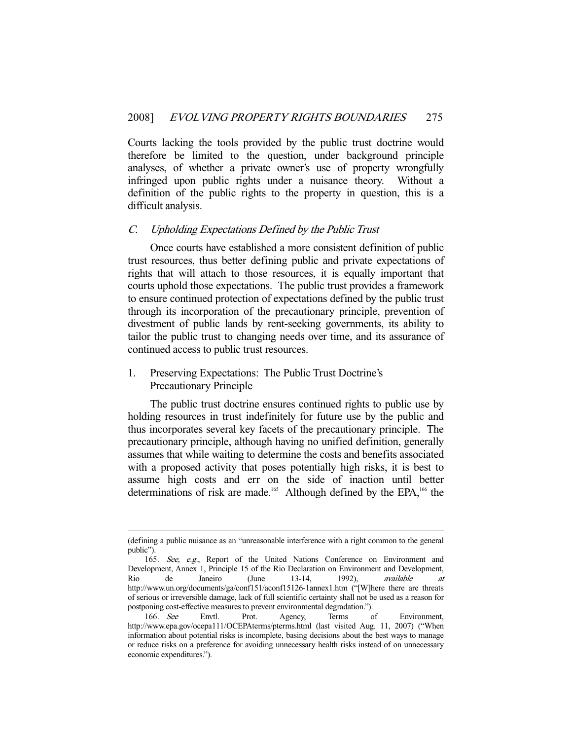Courts lacking the tools provided by the public trust doctrine would therefore be limited to the question, under background principle analyses, of whether a private owner's use of property wrongfully infringed upon public rights under a nuisance theory. Without a definition of the public rights to the property in question, this is a difficult analysis.

#### C. Upholding Expectations Defined by the Public Trust

 Once courts have established a more consistent definition of public trust resources, thus better defining public and private expectations of rights that will attach to those resources, it is equally important that courts uphold those expectations. The public trust provides a framework to ensure continued protection of expectations defined by the public trust through its incorporation of the precautionary principle, prevention of divestment of public lands by rent-seeking governments, its ability to tailor the public trust to changing needs over time, and its assurance of continued access to public trust resources.

# 1. Preserving Expectations: The Public Trust Doctrine's Precautionary Principle

-

 The public trust doctrine ensures continued rights to public use by holding resources in trust indefinitely for future use by the public and thus incorporates several key facets of the precautionary principle. The precautionary principle, although having no unified definition, generally assumes that while waiting to determine the costs and benefits associated with a proposed activity that poses potentially high risks, it is best to assume high costs and err on the side of inaction until better determinations of risk are made.<sup>165</sup> Although defined by the EPA,<sup>166</sup> the

<sup>(</sup>defining a public nuisance as an "unreasonable interference with a right common to the general public").

 <sup>165.</sup> See, e.g., Report of the United Nations Conference on Environment and Development, Annex 1, Principle 15 of the Rio Declaration on Environment and Development,<br>Rio de Janeiro (June 13-14, 1992), *available at* Rio de Janeiro (June 13-14, 1992), available at http://www.un.org/documents/ga/conf151/aconf15126-1annex1.htm ("[W]here there are threats of serious or irreversible damage, lack of full scientific certainty shall not be used as a reason for postponing cost-effective measures to prevent environmental degradation.").

<sup>166.</sup> See Envtl. Prot. Agency, Terms of Environment, http://www.epa.gov/ocepa111/OCEPAterms/pterms.html (last visited Aug. 11, 2007) ("When information about potential risks is incomplete, basing decisions about the best ways to manage or reduce risks on a preference for avoiding unnecessary health risks instead of on unnecessary economic expenditures.").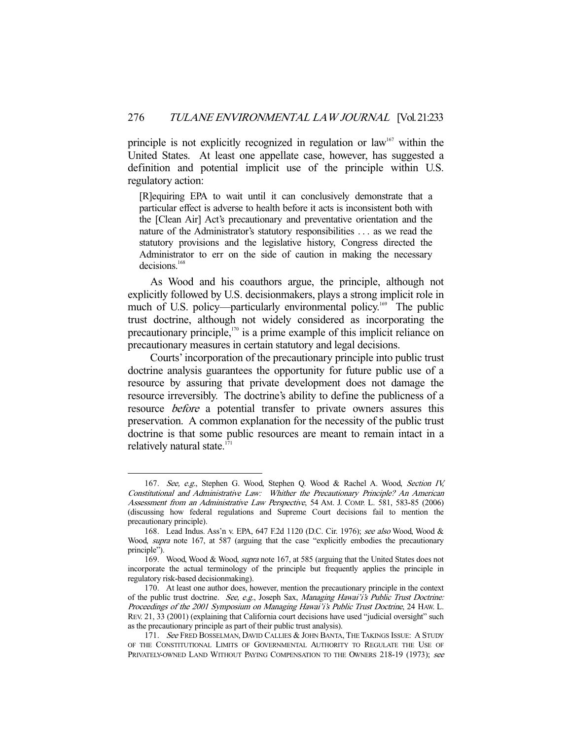principle is not explicitly recognized in regulation or law<sup>167</sup> within the United States. At least one appellate case, however, has suggested a definition and potential implicit use of the principle within U.S. regulatory action:

[R]equiring EPA to wait until it can conclusively demonstrate that a particular effect is adverse to health before it acts is inconsistent both with the [Clean Air] Act's precautionary and preventative orientation and the nature of the Administrator's statutory responsibilities . . . as we read the statutory provisions and the legislative history, Congress directed the Administrator to err on the side of caution in making the necessary decisions.168

 As Wood and his coauthors argue, the principle, although not explicitly followed by U.S. decisionmakers, plays a strong implicit role in much of U.S. policy—particularly environmental policy.<sup>169</sup> The public trust doctrine, although not widely considered as incorporating the precautionary principle, $170$  is a prime example of this implicit reliance on precautionary measures in certain statutory and legal decisions.

 Courts' incorporation of the precautionary principle into public trust doctrine analysis guarantees the opportunity for future public use of a resource by assuring that private development does not damage the resource irreversibly. The doctrine's ability to define the publicness of a resource before a potential transfer to private owners assures this preservation. A common explanation for the necessity of the public trust doctrine is that some public resources are meant to remain intact in a relatively natural state.<sup>171</sup>

<sup>167.</sup> See, e.g., Stephen G. Wood, Stephen Q. Wood & Rachel A. Wood, Section IV, Constitutional and Administrative Law: Whither the Precautionary Principle? An American Assessment from an Administrative Law Perspective, 54 AM. J. COMP. L. 581, 583-85 (2006) (discussing how federal regulations and Supreme Court decisions fail to mention the precautionary principle).

 <sup>168.</sup> Lead Indus. Ass'n v. EPA, 647 F.2d 1120 (D.C. Cir. 1976); see also Wood, Wood & Wood, *supra* note 167, at 587 (arguing that the case "explicitly embodies the precautionary principle").

<sup>169.</sup> Wood, Wood & Wood, *supra* note 167, at 585 (arguing that the United States does not incorporate the actual terminology of the principle but frequently applies the principle in regulatory risk-based decisionmaking).

 <sup>170.</sup> At least one author does, however, mention the precautionary principle in the context of the public trust doctrine. See, e.g., Joseph Sax, Managing Hawai'i's Public Trust Doctrine: Proceedings of the 2001 Symposium on Managing Hawai'i's Public Trust Doctrine, 24 HAW. L. REV. 21, 33 (2001) (explaining that California court decisions have used "judicial oversight" such as the precautionary principle as part of their public trust analysis).

<sup>171.</sup> See FRED BOSSELMAN, DAVID CALLIES & JOHN BANTA, THE TAKINGS ISSUE: A STUDY OF THE CONSTITUTIONAL LIMITS OF GOVERNMENTAL AUTHORITY TO REGULATE THE USE OF PRIVATELY-OWNED LAND WITHOUT PAYING COMPENSATION TO THE OWNERS 218-19 (1973); see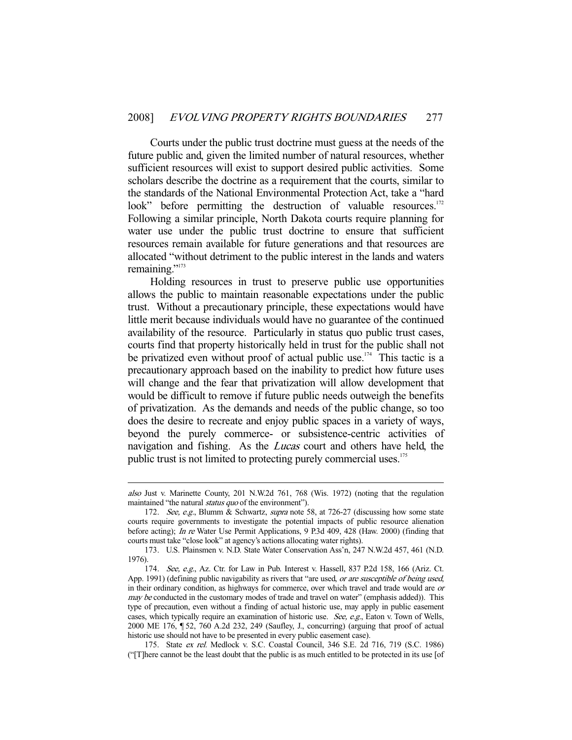Courts under the public trust doctrine must guess at the needs of the future public and, given the limited number of natural resources, whether sufficient resources will exist to support desired public activities. Some scholars describe the doctrine as a requirement that the courts, similar to the standards of the National Environmental Protection Act, take a "hard look" before permitting the destruction of valuable resources.<sup>172</sup> Following a similar principle, North Dakota courts require planning for water use under the public trust doctrine to ensure that sufficient resources remain available for future generations and that resources are allocated "without detriment to the public interest in the lands and waters remaining."173

 Holding resources in trust to preserve public use opportunities allows the public to maintain reasonable expectations under the public trust. Without a precautionary principle, these expectations would have little merit because individuals would have no guarantee of the continued availability of the resource. Particularly in status quo public trust cases, courts find that property historically held in trust for the public shall not be privatized even without proof of actual public use.<sup>174</sup> This tactic is a precautionary approach based on the inability to predict how future uses will change and the fear that privatization will allow development that would be difficult to remove if future public needs outweigh the benefits of privatization. As the demands and needs of the public change, so too does the desire to recreate and enjoy public spaces in a variety of ways, beyond the purely commerce- or subsistence-centric activities of navigation and fishing. As the *Lucas* court and others have held, the public trust is not limited to protecting purely commercial uses.<sup>175</sup>

also Just v. Marinette County, 201 N.W.2d 761, 768 (Wis. 1972) (noting that the regulation maintained "the natural *status quo* of the environment").

 <sup>172.</sup> See, e.g., Blumm & Schwartz, supra note 58, at 726-27 (discussing how some state courts require governments to investigate the potential impacts of public resource alienation before acting); In re Water Use Permit Applications, 9 P.3d 409, 428 (Haw. 2000) (finding that courts must take "close look" at agency's actions allocating water rights).

 <sup>173.</sup> U.S. Plainsmen v. N.D. State Water Conservation Ass'n, 247 N.W.2d 457, 461 (N.D. 1976).

<sup>174.</sup> See, e.g., Az. Ctr. for Law in Pub. Interest v. Hassell, 837 P.2d 158, 166 (Ariz. Ct. App. 1991) (defining public navigability as rivers that "are used, or are susceptible of being used, in their ordinary condition, as highways for commerce, over which travel and trade would are or may be conducted in the customary modes of trade and travel on water" (emphasis added)). This type of precaution, even without a finding of actual historic use, may apply in public easement cases, which typically require an examination of historic use. See, e.g., Eaton v. Town of Wells, 2000 ME 176, ¶ 52, 760 A.2d 232, 249 (Saufley, J., concurring) (arguing that proof of actual historic use should not have to be presented in every public easement case).

 <sup>175.</sup> State ex rel. Medlock v. S.C. Coastal Council, 346 S.E. 2d 716, 719 (S.C. 1986) ("[T]here cannot be the least doubt that the public is as much entitled to be protected in its use [of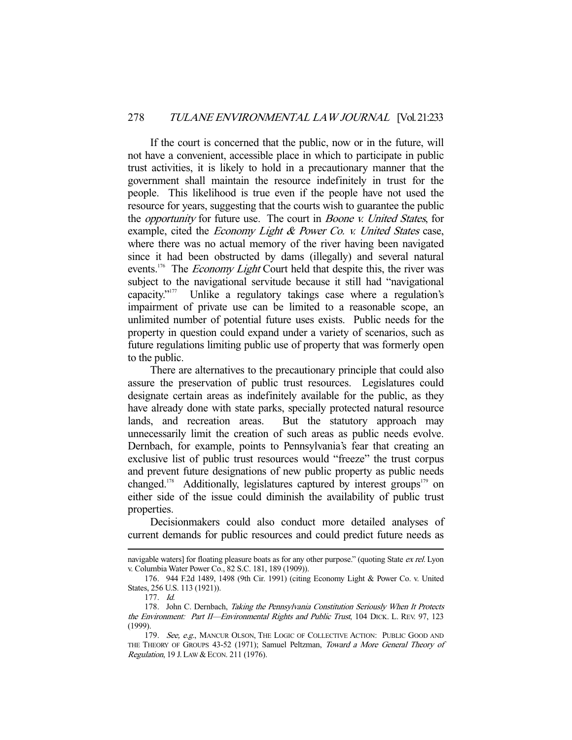If the court is concerned that the public, now or in the future, will not have a convenient, accessible place in which to participate in public trust activities, it is likely to hold in a precautionary manner that the government shall maintain the resource indefinitely in trust for the people. This likelihood is true even if the people have not used the resource for years, suggesting that the courts wish to guarantee the public the opportunity for future use. The court in Boone v. United States, for example, cited the *Economy Light & Power Co. v. United States* case, where there was no actual memory of the river having been navigated since it had been obstructed by dams (illegally) and several natural events.<sup>176</sup> The *Economy Light* Court held that despite this, the river was subject to the navigational servitude because it still had "navigational capacity."<sup>177</sup> Unlike a regulatory takings case where a regulation's impairment of private use can be limited to a reasonable scope, an unlimited number of potential future uses exists. Public needs for the property in question could expand under a variety of scenarios, such as future regulations limiting public use of property that was formerly open to the public.

 There are alternatives to the precautionary principle that could also assure the preservation of public trust resources. Legislatures could designate certain areas as indefinitely available for the public, as they have already done with state parks, specially protected natural resource lands, and recreation areas. But the statutory approach may unnecessarily limit the creation of such areas as public needs evolve. Dernbach, for example, points to Pennsylvania's fear that creating an exclusive list of public trust resources would "freeze" the trust corpus and prevent future designations of new public property as public needs changed.<sup>178</sup> Additionally, legislatures captured by interest groups<sup>179</sup> on either side of the issue could diminish the availability of public trust properties.

 Decisionmakers could also conduct more detailed analyses of current demands for public resources and could predict future needs as

navigable waters] for floating pleasure boats as for any other purpose." (quoting State ex rel. Lyon v. Columbia Water Power Co., 82 S.C. 181, 189 (1909)).

 <sup>176. 944</sup> F.2d 1489, 1498 (9th Cir. 1991) (citing Economy Light & Power Co. v. United States, 256 U.S. 113 (1921)).

 <sup>177.</sup> Id.

<sup>178.</sup> John C. Dernbach, Taking the Pennsylvania Constitution Seriously When It Protects the Environment: Part II—Environmental Rights and Public Trust, 104 DICK. L. REV. 97, 123 (1999).

<sup>179.</sup> See, e.g., MANCUR OLSON, THE LOGIC OF COLLECTIVE ACTION: PUBLIC GOOD AND THE THEORY OF GROUPS 43-52 (1971); Samuel Peltzman, Toward a More General Theory of Regulation, 19 J. LAW & ECON. 211 (1976).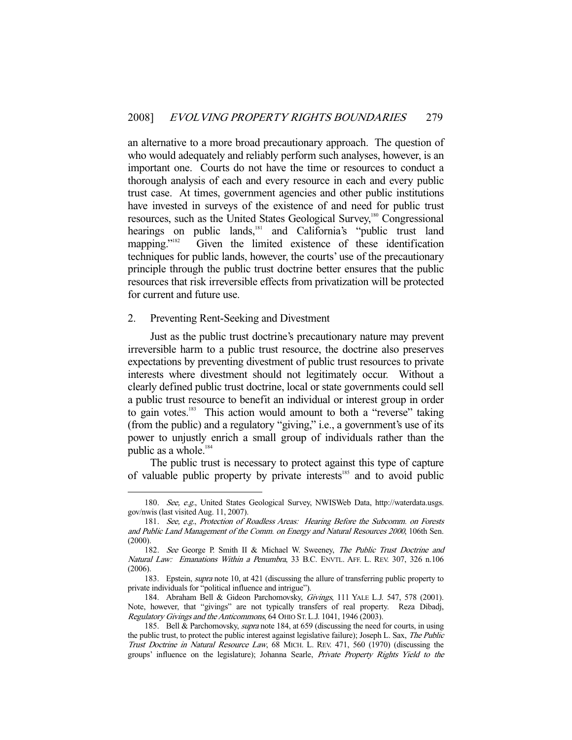an alternative to a more broad precautionary approach. The question of who would adequately and reliably perform such analyses, however, is an important one. Courts do not have the time or resources to conduct a thorough analysis of each and every resource in each and every public trust case. At times, government agencies and other public institutions have invested in surveys of the existence of and need for public trust resources, such as the United States Geological Survey,<sup>180</sup> Congressional hearings on public lands,<sup>181</sup> and California's "public trust land mapping."<sup>182</sup> Given the limited existence of these identification techniques for public lands, however, the courts' use of the precautionary principle through the public trust doctrine better ensures that the public resources that risk irreversible effects from privatization will be protected for current and future use.

#### 2. Preventing Rent-Seeking and Divestment

-

 Just as the public trust doctrine's precautionary nature may prevent irreversible harm to a public trust resource, the doctrine also preserves expectations by preventing divestment of public trust resources to private interests where divestment should not legitimately occur. Without a clearly defined public trust doctrine, local or state governments could sell a public trust resource to benefit an individual or interest group in order to gain votes.<sup>183</sup> This action would amount to both a "reverse" taking (from the public) and a regulatory "giving," i.e., a government's use of its power to unjustly enrich a small group of individuals rather than the public as a whole.<sup>184</sup>

 The public trust is necessary to protect against this type of capture of valuable public property by private interests<sup>185</sup> and to avoid public

 <sup>180.</sup> See, e.g., United States Geological Survey, NWISWeb Data, http://waterdata.usgs. gov/nwis (last visited Aug. 11, 2007).

 <sup>181.</sup> See, e.g., Protection of Roadless Areas: Hearing Before the Subcomm. on Forests and Public Land Management of the Comm. on Energy and Natural Resources 2000, 106th Sen. (2000).

 <sup>182.</sup> See George P. Smith II & Michael W. Sweeney, The Public Trust Doctrine and Natural Law: Emanations Within a Penumbra, 33 B.C. ENVTL. AFF. L. REV. 307, 326 n.106 (2006).

<sup>183.</sup> Epstein, *supra* note 10, at 421 (discussing the allure of transferring public property to private individuals for "political influence and intrigue").

 <sup>184.</sup> Abraham Bell & Gideon Parchomovsky, Givings, 111 YALE L.J. 547, 578 (2001). Note, however, that "givings" are not typically transfers of real property. Reza Dibadj, Regulatory Givings and the Anticommons, 64 OHIO ST. L.J. 1041, 1946 (2003).

<sup>185.</sup> Bell & Parchomovsky, *supra* note 184, at 659 (discussing the need for courts, in using the public trust, to protect the public interest against legislative failure); Joseph L. Sax, The Public Trust Doctrine in Natural Resource Law, 68 MICH. L. REV. 471, 560 (1970) (discussing the groups' influence on the legislature); Johanna Searle, Private Property Rights Yield to the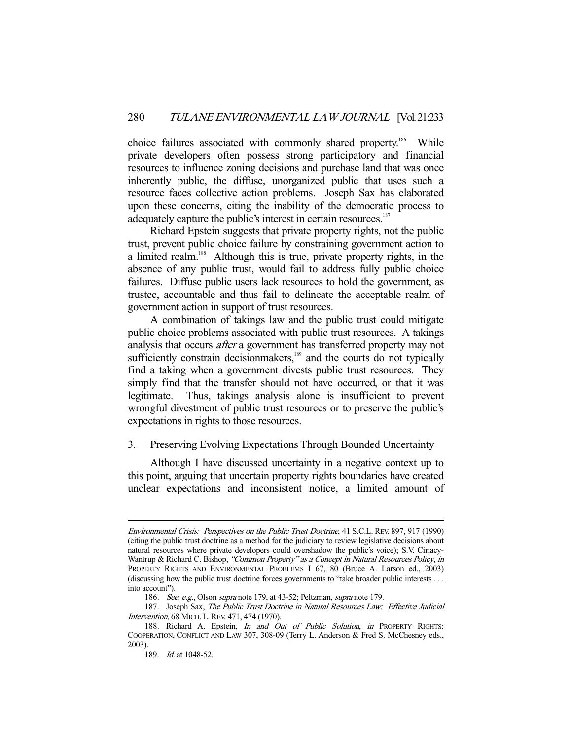choice failures associated with commonly shared property.<sup>186</sup> While private developers often possess strong participatory and financial resources to influence zoning decisions and purchase land that was once inherently public, the diffuse, unorganized public that uses such a resource faces collective action problems. Joseph Sax has elaborated upon these concerns, citing the inability of the democratic process to adequately capture the public's interest in certain resources.<sup>187</sup>

 Richard Epstein suggests that private property rights, not the public trust, prevent public choice failure by constraining government action to a limited realm.<sup>188</sup> Although this is true, private property rights, in the absence of any public trust, would fail to address fully public choice failures. Diffuse public users lack resources to hold the government, as trustee, accountable and thus fail to delineate the acceptable realm of government action in support of trust resources.

 A combination of takings law and the public trust could mitigate public choice problems associated with public trust resources. A takings analysis that occurs after a government has transferred property may not sufficiently constrain decisionmakers,<sup>189</sup> and the courts do not typically find a taking when a government divests public trust resources. They simply find that the transfer should not have occurred, or that it was legitimate. Thus, takings analysis alone is insufficient to prevent wrongful divestment of public trust resources or to preserve the public's expectations in rights to those resources.

## 3. Preserving Evolving Expectations Through Bounded Uncertainty

 Although I have discussed uncertainty in a negative context up to this point, arguing that uncertain property rights boundaries have created unclear expectations and inconsistent notice, a limited amount of

Environmental Crisis: Perspectives on the Public Trust Doctrine, 41 S.C.L. REV. 897, 917 (1990) (citing the public trust doctrine as a method for the judiciary to review legislative decisions about natural resources where private developers could overshadow the public's voice); S.V. Ciriacy-Wantrup & Richard C. Bishop, "Common Property" as a Concept in Natural Resources Policy, in PROPERTY RIGHTS AND ENVIRONMENTAL PROBLEMS I 67, 80 (Bruce A. Larson ed., 2003) (discussing how the public trust doctrine forces governments to "take broader public interests . . . into account").

<sup>186.</sup> See, e.g., Olson supra note 179, at 43-52; Peltzman, supra note 179.

<sup>187.</sup> Joseph Sax, The Public Trust Doctrine in Natural Resources Law: Effective Judicial Intervention, 68 MICH. L.REV. 471, 474 (1970).

<sup>188.</sup> Richard A. Epstein, In and Out of Public Solution, in PROPERTY RIGHTS: COOPERATION, CONFLICT AND LAW 307, 308-09 (Terry L. Anderson & Fred S. McChesney eds., 2003).

 <sup>189.</sup> Id. at 1048-52.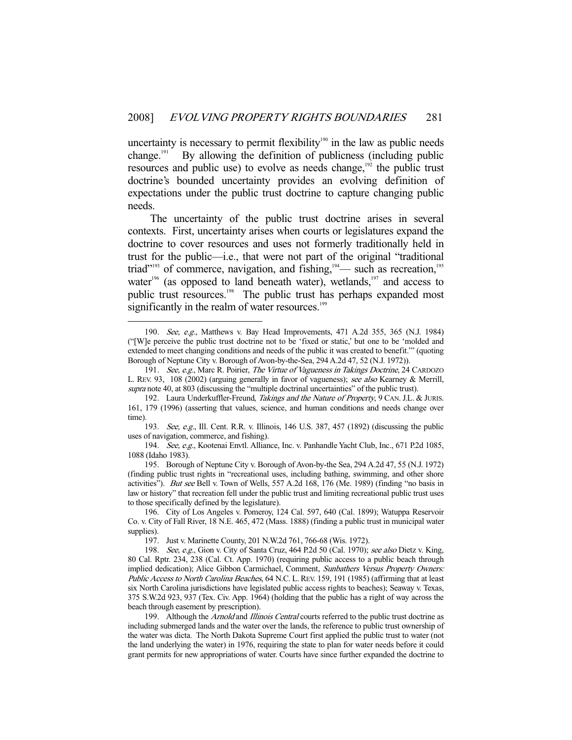uncertainty is necessary to permit flexibility<sup>190</sup> in the law as public needs change.<sup>191</sup> By allowing the definition of publicness (including public resources and public use) to evolve as needs change,<sup>192</sup> the public trust doctrine's bounded uncertainty provides an evolving definition of expectations under the public trust doctrine to capture changing public needs.

 The uncertainty of the public trust doctrine arises in several contexts. First, uncertainty arises when courts or legislatures expand the doctrine to cover resources and uses not formerly traditionally held in trust for the public—i.e., that were not part of the original "traditional triad"<sup>193</sup> of commerce, navigation, and fishing, $194$  such as recreation,<sup>195</sup> water<sup>196</sup> (as opposed to land beneath water), wetlands, $197$  and access to public trust resources.<sup>198</sup> The public trust has perhaps expanded most significantly in the realm of water resources.<sup>199</sup>

<sup>190.</sup> See, e.g., Matthews v. Bay Head Improvements, 471 A.2d 355, 365 (N.J. 1984) ("[W]e perceive the public trust doctrine not to be 'fixed or static,' but one to be 'molded and extended to meet changing conditions and needs of the public it was created to benefit.'" (quoting Borough of Neptune City v. Borough of Avon-by-the-Sea, 294 A.2d 47, 52 (N.J. 1972)).

<sup>191.</sup> See, e.g., Marc R. Poirier, The Virtue of Vagueness in Takings Doctrine, 24 CARDOZO L. REV. 93, 108 (2002) (arguing generally in favor of vagueness); see also Kearney & Merrill, supra note 40, at 803 (discussing the "multiple doctrinal uncertainties" of the public trust).

<sup>192.</sup> Laura Underkuffler-Freund, Takings and the Nature of Property, 9 CAN. J.L. & JURIS. 161, 179 (1996) (asserting that values, science, and human conditions and needs change over time).

<sup>193.</sup> See, e.g., Ill. Cent. R.R. v. Illinois, 146 U.S. 387, 457 (1892) (discussing the public uses of navigation, commerce, and fishing).

<sup>194.</sup> See, e.g., Kootenai Envtl. Alliance, Inc. v. Panhandle Yacht Club, Inc., 671 P.2d 1085, 1088 (Idaho 1983).

 <sup>195.</sup> Borough of Neptune City v. Borough of Avon-by-the Sea, 294 A.2d 47, 55 (N.J. 1972) (finding public trust rights in "recreational uses, including bathing, swimming, and other shore activities"). But see Bell v. Town of Wells, 557 A.2d 168, 176 (Me. 1989) (finding "no basis in law or history" that recreation fell under the public trust and limiting recreational public trust uses to those specifically defined by the legislature).

 <sup>196.</sup> City of Los Angeles v. Pomeroy, 124 Cal. 597, 640 (Cal. 1899); Watuppa Reservoir Co. v. City of Fall River, 18 N.E. 465, 472 (Mass. 1888) (finding a public trust in municipal water supplies).

 <sup>197.</sup> Just v. Marinette County, 201 N.W.2d 761, 766-68 (Wis. 1972).

<sup>198.</sup> See, e.g., Gion v. City of Santa Cruz, 464 P.2d 50 (Cal. 1970); see also Dietz v. King, 80 Cal. Rptr. 234, 238 (Cal. Ct. App. 1970) (requiring public access to a public beach through implied dedication); Alice Gibbon Carmichael, Comment, Sunbathers Versus Property Owners: Public Access to North Carolina Beaches, 64 N.C. L. REV. 159, 191 (1985) (affirming that at least six North Carolina jurisdictions have legislated public access rights to beaches); Seaway v. Texas, 375 S.W.2d 923, 937 (Tex. Civ. App. 1964) (holding that the public has a right of way across the beach through easement by prescription).

<sup>199.</sup> Although the Arnold and Illinois Central courts referred to the public trust doctrine as including submerged lands and the water over the lands, the reference to public trust ownership of the water was dicta. The North Dakota Supreme Court first applied the public trust to water (not the land underlying the water) in 1976, requiring the state to plan for water needs before it could grant permits for new appropriations of water. Courts have since further expanded the doctrine to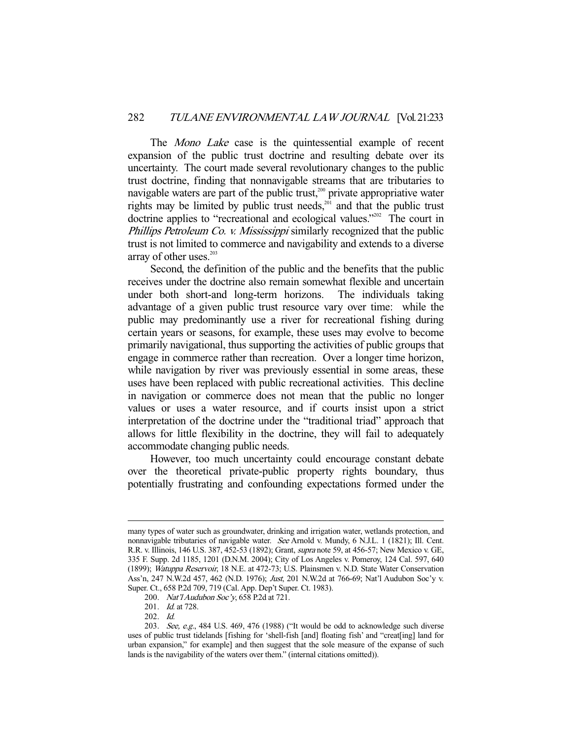The *Mono Lake* case is the quintessential example of recent expansion of the public trust doctrine and resulting debate over its uncertainty. The court made several revolutionary changes to the public trust doctrine, finding that nonnavigable streams that are tributaries to navigable waters are part of the public trust, $200$  private appropriative water rights may be limited by public trust needs,<sup> $201$ </sup> and that the public trust doctrine applies to "recreational and ecological values."<sup>202</sup> The court in Phillips Petroleum Co. v. Mississippi similarly recognized that the public trust is not limited to commerce and navigability and extends to a diverse array of other uses. $203$ 

 Second, the definition of the public and the benefits that the public receives under the doctrine also remain somewhat flexible and uncertain under both short-and long-term horizons. The individuals taking advantage of a given public trust resource vary over time: while the public may predominantly use a river for recreational fishing during certain years or seasons, for example, these uses may evolve to become primarily navigational, thus supporting the activities of public groups that engage in commerce rather than recreation. Over a longer time horizon, while navigation by river was previously essential in some areas, these uses have been replaced with public recreational activities. This decline in navigation or commerce does not mean that the public no longer values or uses a water resource, and if courts insist upon a strict interpretation of the doctrine under the "traditional triad" approach that allows for little flexibility in the doctrine, they will fail to adequately accommodate changing public needs.

 However, too much uncertainty could encourage constant debate over the theoretical private-public property rights boundary, thus potentially frustrating and confounding expectations formed under the

202. Id.

many types of water such as groundwater, drinking and irrigation water, wetlands protection, and nonnavigable tributaries of navigable water. See Arnold v. Mundy, 6 N.J.L. 1 (1821); Ill. Cent. R.R. v. Illinois, 146 U.S. 387, 452-53 (1892); Grant, supra note 59, at 456-57; New Mexico v. GE, 335 F. Supp. 2d 1185, 1201 (D.N.M. 2004); City of Los Angeles v. Pomeroy, 124 Cal. 597, 640 (1899); Watuppa Reservoir, 18 N.E. at 472-73; U.S. Plainsmen v. N.D. State Water Conservation Ass'n, 247 N.W.2d 457, 462 (N.D. 1976); Just, 201 N.W.2d at 766-69; Nat'l Audubon Soc'y v. Super. Ct., 658 P.2d 709, 719 (Cal. App. Dep't Super. Ct. 1983).

<sup>200.</sup> Nat'l Audubon Soc'y, 658 P.2d at 721.

<sup>201.</sup> *Id.* at 728.

<sup>203.</sup> See, e.g., 484 U.S. 469, 476 (1988) ("It would be odd to acknowledge such diverse uses of public trust tidelands [fishing for 'shell-fish [and] floating fish' and "creat[ing] land for urban expansion," for example] and then suggest that the sole measure of the expanse of such lands is the navigability of the waters over them." (internal citations omitted)).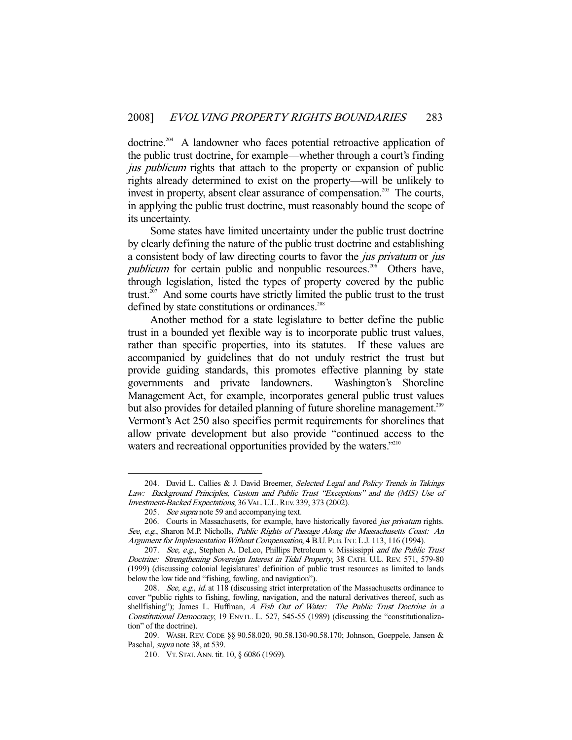doctrine.<sup>204</sup> A landowner who faces potential retroactive application of the public trust doctrine, for example—whether through a court's finding jus *publicum* rights that attach to the property or expansion of public rights already determined to exist on the property—will be unlikely to invest in property, absent clear assurance of compensation.<sup>205</sup> The courts, in applying the public trust doctrine, must reasonably bound the scope of its uncertainty.

 Some states have limited uncertainty under the public trust doctrine by clearly defining the nature of the public trust doctrine and establishing a consistent body of law directing courts to favor the jus privatum or jus *publicum* for certain public and nonpublic resources.<sup>206</sup> Others have, through legislation, listed the types of property covered by the public trust.<sup>207</sup> And some courts have strictly limited the public trust to the trust defined by state constitutions or ordinances.<sup>208</sup>

 Another method for a state legislature to better define the public trust in a bounded yet flexible way is to incorporate public trust values, rather than specific properties, into its statutes. If these values are accompanied by guidelines that do not unduly restrict the trust but provide guiding standards, this promotes effective planning by state governments and private landowners. Washington's Shoreline Management Act, for example, incorporates general public trust values but also provides for detailed planning of future shoreline management.<sup>209</sup> Vermont's Act 250 also specifies permit requirements for shorelines that allow private development but also provide "continued access to the waters and recreational opportunities provided by the waters."<sup>210</sup>

<sup>204.</sup> David L. Callies & J. David Breemer, Selected Legal and Policy Trends in Takings Law: Background Principles, Custom and Public Trust "Exceptions" and the (MIS) Use of Investment-Backed Expectations, 36 VAL. U.L.REV. 339, 373 (2002).

<sup>205.</sup> See supra note 59 and accompanying text.

<sup>206.</sup> Courts in Massachusetts, for example, have historically favored jus privatum rights. See, e.g., Sharon M.P. Nicholls, Public Rights of Passage Along the Massachusetts Coast: An Argument for Implementation Without Compensation, 4 B.U. PUB.INT. L.J. 113, 116 (1994).

<sup>207.</sup> See, e.g., Stephen A. DeLeo, Phillips Petroleum v. Mississippi and the Public Trust Doctrine: Strengthening Sovereign Interest in Tidal Property, 38 CATH. U.L. REV. 571, 579-80 (1999) (discussing colonial legislatures' definition of public trust resources as limited to lands below the low tide and "fishing, fowling, and navigation").

<sup>208.</sup> See, e.g., id. at 118 (discussing strict interpretation of the Massachusetts ordinance to cover "public rights to fishing, fowling, navigation, and the natural derivatives thereof, such as shellfishing"); James L. Huffman, A Fish Out of Water: The Public Trust Doctrine in a Constitutional Democracy, 19 ENVTL. L. 527, 545-55 (1989) (discussing the "constitutionalization" of the doctrine).

 <sup>209.</sup> WASH. REV. CODE §§ 90.58.020, 90.58.130-90.58.170; Johnson, Goeppele, Jansen & Paschal, supra note 38, at 539.

 <sup>210.</sup> VT. STAT.ANN. tit. 10, § 6086 (1969).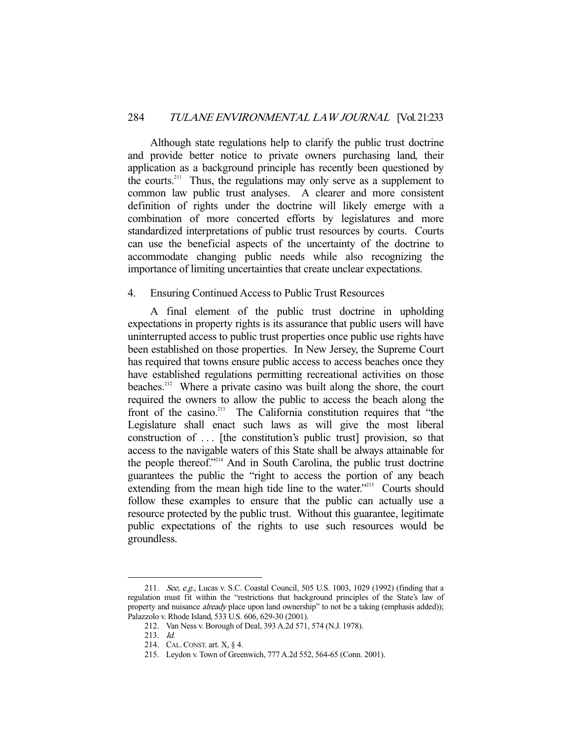Although state regulations help to clarify the public trust doctrine and provide better notice to private owners purchasing land, their application as a background principle has recently been questioned by the courts.<sup>211</sup> Thus, the regulations may only serve as a supplement to common law public trust analyses. A clearer and more consistent definition of rights under the doctrine will likely emerge with a combination of more concerted efforts by legislatures and more standardized interpretations of public trust resources by courts. Courts can use the beneficial aspects of the uncertainty of the doctrine to accommodate changing public needs while also recognizing the importance of limiting uncertainties that create unclear expectations.

## 4. Ensuring Continued Access to Public Trust Resources

 A final element of the public trust doctrine in upholding expectations in property rights is its assurance that public users will have uninterrupted access to public trust properties once public use rights have been established on those properties. In New Jersey, the Supreme Court has required that towns ensure public access to access beaches once they have established regulations permitting recreational activities on those beaches.<sup>212</sup> Where a private casino was built along the shore, the court required the owners to allow the public to access the beach along the front of the casino.<sup>213</sup> The California constitution requires that "the Legislature shall enact such laws as will give the most liberal construction of ... [the constitution's public trust] provision, so that access to the navigable waters of this State shall be always attainable for the people thereof."<sup>214</sup> And in South Carolina, the public trust doctrine guarantees the public the "right to access the portion of any beach extending from the mean high tide line to the water."<sup>215</sup> Courts should follow these examples to ensure that the public can actually use a resource protected by the public trust. Without this guarantee, legitimate public expectations of the rights to use such resources would be groundless.

 <sup>211.</sup> See, e.g., Lucas v. S.C. Coastal Council, 505 U.S. 1003, 1029 (1992) (finding that a regulation must fit within the "restrictions that background principles of the State's law of property and nuisance *already* place upon land ownership" to not be a taking (emphasis added)); Palazzolo v. Rhode Island, 533 U.S. 606, 629-30 (2001).

 <sup>212.</sup> Van Ness v. Borough of Deal, 393 A.2d 571, 574 (N.J. 1978).

 <sup>213.</sup> Id.

 <sup>214.</sup> CAL.CONST. art. X, § 4.

 <sup>215.</sup> Leydon v. Town of Greenwich, 777 A.2d 552, 564-65 (Conn. 2001).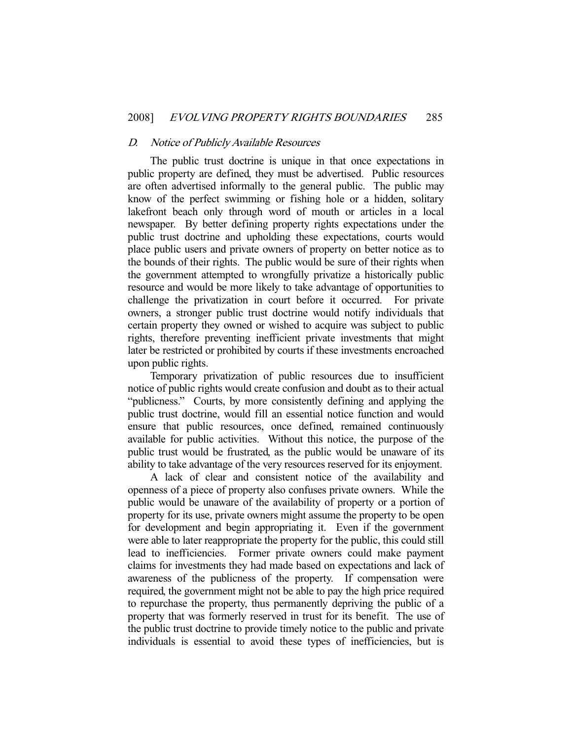#### D. Notice of Publicly Available Resources

 The public trust doctrine is unique in that once expectations in public property are defined, they must be advertised. Public resources are often advertised informally to the general public. The public may know of the perfect swimming or fishing hole or a hidden, solitary lakefront beach only through word of mouth or articles in a local newspaper. By better defining property rights expectations under the public trust doctrine and upholding these expectations, courts would place public users and private owners of property on better notice as to the bounds of their rights. The public would be sure of their rights when the government attempted to wrongfully privatize a historically public resource and would be more likely to take advantage of opportunities to challenge the privatization in court before it occurred. For private owners, a stronger public trust doctrine would notify individuals that certain property they owned or wished to acquire was subject to public rights, therefore preventing inefficient private investments that might later be restricted or prohibited by courts if these investments encroached upon public rights.

 Temporary privatization of public resources due to insufficient notice of public rights would create confusion and doubt as to their actual "publicness." Courts, by more consistently defining and applying the public trust doctrine, would fill an essential notice function and would ensure that public resources, once defined, remained continuously available for public activities. Without this notice, the purpose of the public trust would be frustrated, as the public would be unaware of its ability to take advantage of the very resources reserved for its enjoyment.

 A lack of clear and consistent notice of the availability and openness of a piece of property also confuses private owners. While the public would be unaware of the availability of property or a portion of property for its use, private owners might assume the property to be open for development and begin appropriating it. Even if the government were able to later reappropriate the property for the public, this could still lead to inefficiencies. Former private owners could make payment claims for investments they had made based on expectations and lack of awareness of the publicness of the property. If compensation were required, the government might not be able to pay the high price required to repurchase the property, thus permanently depriving the public of a property that was formerly reserved in trust for its benefit. The use of the public trust doctrine to provide timely notice to the public and private individuals is essential to avoid these types of inefficiencies, but is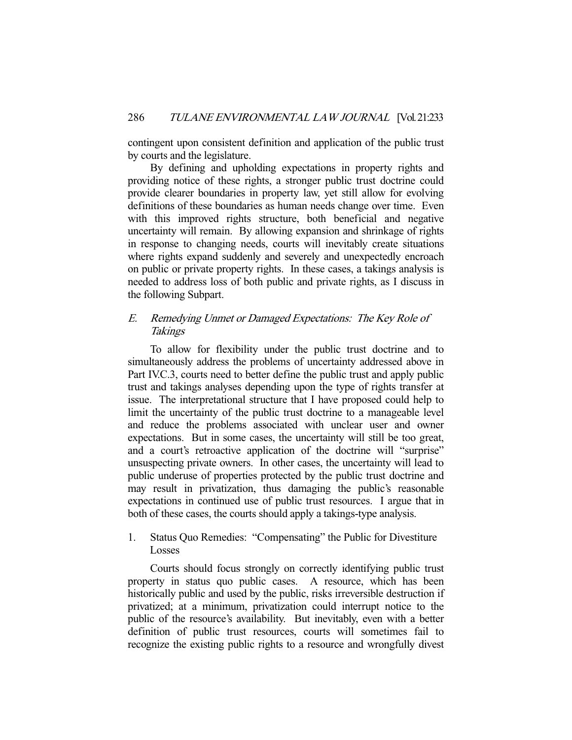contingent upon consistent definition and application of the public trust by courts and the legislature.

 By defining and upholding expectations in property rights and providing notice of these rights, a stronger public trust doctrine could provide clearer boundaries in property law, yet still allow for evolving definitions of these boundaries as human needs change over time. Even with this improved rights structure, both beneficial and negative uncertainty will remain. By allowing expansion and shrinkage of rights in response to changing needs, courts will inevitably create situations where rights expand suddenly and severely and unexpectedly encroach on public or private property rights. In these cases, a takings analysis is needed to address loss of both public and private rights, as I discuss in the following Subpart.

# E. Remedying Unmet or Damaged Expectations: The Key Role of Takings

 To allow for flexibility under the public trust doctrine and to simultaneously address the problems of uncertainty addressed above in Part IV.C.3, courts need to better define the public trust and apply public trust and takings analyses depending upon the type of rights transfer at issue. The interpretational structure that I have proposed could help to limit the uncertainty of the public trust doctrine to a manageable level and reduce the problems associated with unclear user and owner expectations. But in some cases, the uncertainty will still be too great, and a court's retroactive application of the doctrine will "surprise" unsuspecting private owners. In other cases, the uncertainty will lead to public underuse of properties protected by the public trust doctrine and may result in privatization, thus damaging the public's reasonable expectations in continued use of public trust resources. I argue that in both of these cases, the courts should apply a takings-type analysis.

## 1. Status Quo Remedies: "Compensating" the Public for Divestiture Losses

 Courts should focus strongly on correctly identifying public trust property in status quo public cases. A resource, which has been historically public and used by the public, risks irreversible destruction if privatized; at a minimum, privatization could interrupt notice to the public of the resource's availability. But inevitably, even with a better definition of public trust resources, courts will sometimes fail to recognize the existing public rights to a resource and wrongfully divest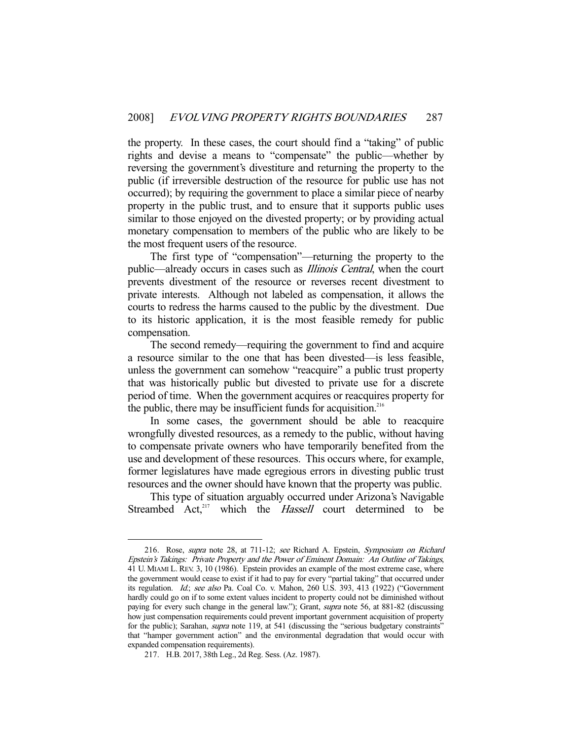the property. In these cases, the court should find a "taking" of public rights and devise a means to "compensate" the public—whether by reversing the government's divestiture and returning the property to the public (if irreversible destruction of the resource for public use has not occurred); by requiring the government to place a similar piece of nearby property in the public trust, and to ensure that it supports public uses similar to those enjoyed on the divested property; or by providing actual monetary compensation to members of the public who are likely to be the most frequent users of the resource.

 The first type of "compensation"—returning the property to the public—already occurs in cases such as Illinois Central, when the court prevents divestment of the resource or reverses recent divestment to private interests. Although not labeled as compensation, it allows the courts to redress the harms caused to the public by the divestment. Due to its historic application, it is the most feasible remedy for public compensation.

 The second remedy—requiring the government to find and acquire a resource similar to the one that has been divested—is less feasible, unless the government can somehow "reacquire" a public trust property that was historically public but divested to private use for a discrete period of time. When the government acquires or reacquires property for the public, there may be insufficient funds for acquisition.<sup>216</sup>

 In some cases, the government should be able to reacquire wrongfully divested resources, as a remedy to the public, without having to compensate private owners who have temporarily benefited from the use and development of these resources. This occurs where, for example, former legislatures have made egregious errors in divesting public trust resources and the owner should have known that the property was public.

 This type of situation arguably occurred under Arizona's Navigable Streambed Act, $217$  which the *Hassell* court determined to be

 <sup>216.</sup> Rose, supra note 28, at 711-12; see Richard A. Epstein, Symposium on Richard Epstein's Takings: Private Property and the Power of Eminent Domain: An Outline of Takings, 41 U. MIAMI L. REV. 3, 10 (1986). Epstein provides an example of the most extreme case, where the government would cease to exist if it had to pay for every "partial taking" that occurred under its regulation. Id.; see also Pa. Coal Co. v. Mahon, 260 U.S. 393, 413 (1922) ("Government hardly could go on if to some extent values incident to property could not be diminished without paying for every such change in the general law."); Grant, supra note 56, at 881-82 (discussing how just compensation requirements could prevent important government acquisition of property for the public); Sarahan, *supra* note 119, at 541 (discussing the "serious budgetary constraints" that "hamper government action" and the environmental degradation that would occur with expanded compensation requirements).

 <sup>217.</sup> H.B. 2017, 38th Leg., 2d Reg. Sess. (Az. 1987).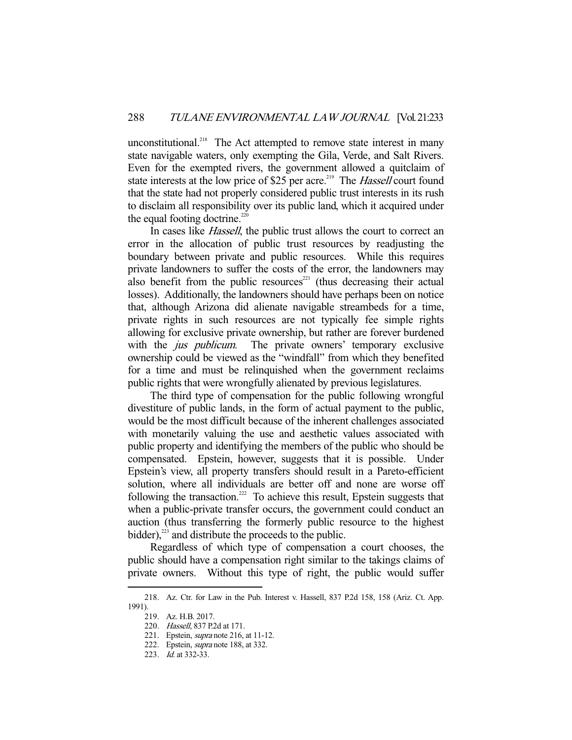unconstitutional.<sup>218</sup> The Act attempted to remove state interest in many state navigable waters, only exempting the Gila, Verde, and Salt Rivers. Even for the exempted rivers, the government allowed a quitclaim of state interests at the low price of \$25 per acre.<sup>219</sup> The *Hassell* court found that the state had not properly considered public trust interests in its rush to disclaim all responsibility over its public land, which it acquired under the equal footing doctrine.<sup>220</sup>

In cases like *Hassell*, the public trust allows the court to correct an error in the allocation of public trust resources by readjusting the boundary between private and public resources. While this requires private landowners to suffer the costs of the error, the landowners may also benefit from the public resources<sup>221</sup> (thus decreasing their actual losses). Additionally, the landowners should have perhaps been on notice that, although Arizona did alienate navigable streambeds for a time, private rights in such resources are not typically fee simple rights allowing for exclusive private ownership, but rather are forever burdened with the *jus publicum*. The private owners' temporary exclusive ownership could be viewed as the "windfall" from which they benefited for a time and must be relinquished when the government reclaims public rights that were wrongfully alienated by previous legislatures.

 The third type of compensation for the public following wrongful divestiture of public lands, in the form of actual payment to the public, would be the most difficult because of the inherent challenges associated with monetarily valuing the use and aesthetic values associated with public property and identifying the members of the public who should be compensated. Epstein, however, suggests that it is possible. Under Epstein's view, all property transfers should result in a Pareto-efficient solution, where all individuals are better off and none are worse off following the transaction.<sup>222</sup> To achieve this result, Epstein suggests that when a public-private transfer occurs, the government could conduct an auction (thus transferring the formerly public resource to the highest bidder), $^{223}$  and distribute the proceeds to the public.

 Regardless of which type of compensation a court chooses, the public should have a compensation right similar to the takings claims of private owners. Without this type of right, the public would suffer

 <sup>218.</sup> Az. Ctr. for Law in the Pub. Interest v. Hassell, 837 P.2d 158, 158 (Ariz. Ct. App. 1991).

 <sup>219.</sup> Az. H.B. 2017.

 <sup>220.</sup> Hassell, 837 P.2d at 171.

<sup>221.</sup> Epstein, *supra* note 216, at 11-12.

<sup>222.</sup> Epstein, *supra* note 188, at 332.

 <sup>223.</sup> Id. at 332-33.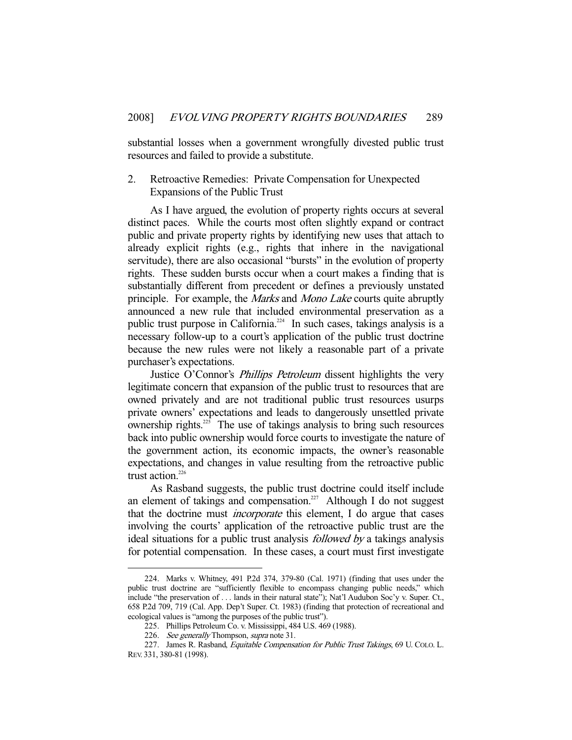substantial losses when a government wrongfully divested public trust resources and failed to provide a substitute.

#### 2. Retroactive Remedies: Private Compensation for Unexpected Expansions of the Public Trust

 As I have argued, the evolution of property rights occurs at several distinct paces. While the courts most often slightly expand or contract public and private property rights by identifying new uses that attach to already explicit rights (e.g., rights that inhere in the navigational servitude), there are also occasional "bursts" in the evolution of property rights. These sudden bursts occur when a court makes a finding that is substantially different from precedent or defines a previously unstated principle. For example, the *Marks* and *Mono Lake* courts quite abruptly announced a new rule that included environmental preservation as a public trust purpose in California.<sup>224</sup> In such cases, takings analysis is a necessary follow-up to a court's application of the public trust doctrine because the new rules were not likely a reasonable part of a private purchaser's expectations.

Justice O'Connor's *Phillips Petroleum* dissent highlights the very legitimate concern that expansion of the public trust to resources that are owned privately and are not traditional public trust resources usurps private owners' expectations and leads to dangerously unsettled private ownership rights.<sup>225</sup> The use of takings analysis to bring such resources back into public ownership would force courts to investigate the nature of the government action, its economic impacts, the owner's reasonable expectations, and changes in value resulting from the retroactive public trust action.<sup>226</sup>

 As Rasband suggests, the public trust doctrine could itself include an element of takings and compensation.<sup>227</sup> Although I do not suggest that the doctrine must incorporate this element, I do argue that cases involving the courts' application of the retroactive public trust are the ideal situations for a public trust analysis followed by a takings analysis for potential compensation. In these cases, a court must first investigate

 <sup>224.</sup> Marks v. Whitney, 491 P.2d 374, 379-80 (Cal. 1971) (finding that uses under the public trust doctrine are "sufficiently flexible to encompass changing public needs," which include "the preservation of . . . lands in their natural state"); Nat'l Audubon Soc'y v. Super. Ct., 658 P.2d 709, 719 (Cal. App. Dep't Super. Ct. 1983) (finding that protection of recreational and ecological values is "among the purposes of the public trust").

 <sup>225.</sup> Phillips Petroleum Co. v. Mississippi, 484 U.S. 469 (1988).

<sup>226.</sup> See generally Thompson, supra note 31.

<sup>227.</sup> James R. Rasband, Equitable Compensation for Public Trust Takings, 69 U. COLO. L. REV. 331, 380-81 (1998).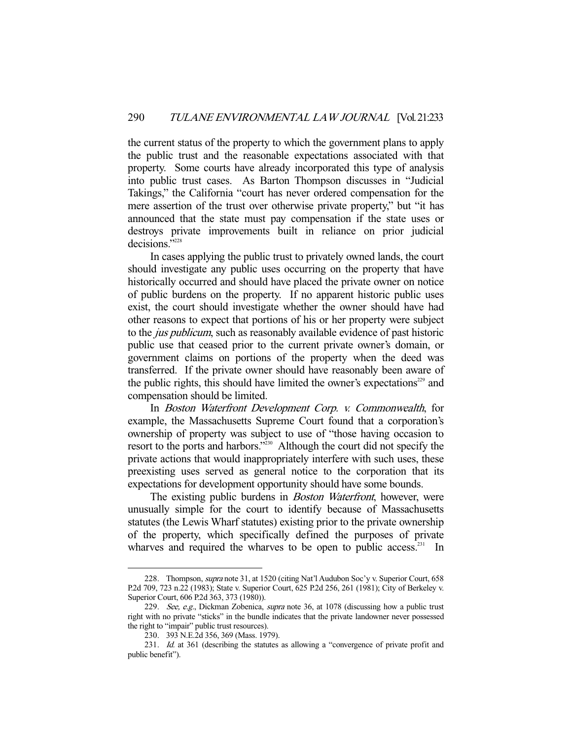the current status of the property to which the government plans to apply the public trust and the reasonable expectations associated with that property. Some courts have already incorporated this type of analysis into public trust cases. As Barton Thompson discusses in "Judicial Takings," the California "court has never ordered compensation for the mere assertion of the trust over otherwise private property," but "it has announced that the state must pay compensation if the state uses or destroys private improvements built in reliance on prior judicial decisions."<sup>228</sup>

 In cases applying the public trust to privately owned lands, the court should investigate any public uses occurring on the property that have historically occurred and should have placed the private owner on notice of public burdens on the property. If no apparent historic public uses exist, the court should investigate whether the owner should have had other reasons to expect that portions of his or her property were subject to the jus publicum, such as reasonably available evidence of past historic public use that ceased prior to the current private owner's domain, or government claims on portions of the property when the deed was transferred. If the private owner should have reasonably been aware of the public rights, this should have limited the owner's expectations<sup> $229$ </sup> and compensation should be limited.

 In Boston Waterfront Development Corp. v. Commonwealth, for example, the Massachusetts Supreme Court found that a corporation's ownership of property was subject to use of "those having occasion to resort to the ports and harbors."230 Although the court did not specify the private actions that would inappropriately interfere with such uses, these preexisting uses served as general notice to the corporation that its expectations for development opportunity should have some bounds.

The existing public burdens in *Boston Waterfront*, however, were unusually simple for the court to identify because of Massachusetts statutes (the Lewis Wharf statutes) existing prior to the private ownership of the property, which specifically defined the purposes of private wharves and required the wharves to be open to public access.<sup>231</sup> In

<sup>228.</sup> Thompson, *supra* note 31, at 1520 (citing Nat'l Audubon Soc'y v. Superior Court, 658 P.2d 709, 723 n.22 (1983); State v. Superior Court, 625 P.2d 256, 261 (1981); City of Berkeley v. Superior Court, 606 P.2d 363, 373 (1980)).

<sup>229.</sup> See, e.g., Dickman Zobenica, supra note 36, at 1078 (discussing how a public trust right with no private "sticks" in the bundle indicates that the private landowner never possessed the right to "impair" public trust resources).

 <sup>230. 393</sup> N.E.2d 356, 369 (Mass. 1979).

 <sup>231.</sup> Id. at 361 (describing the statutes as allowing a "convergence of private profit and public benefit").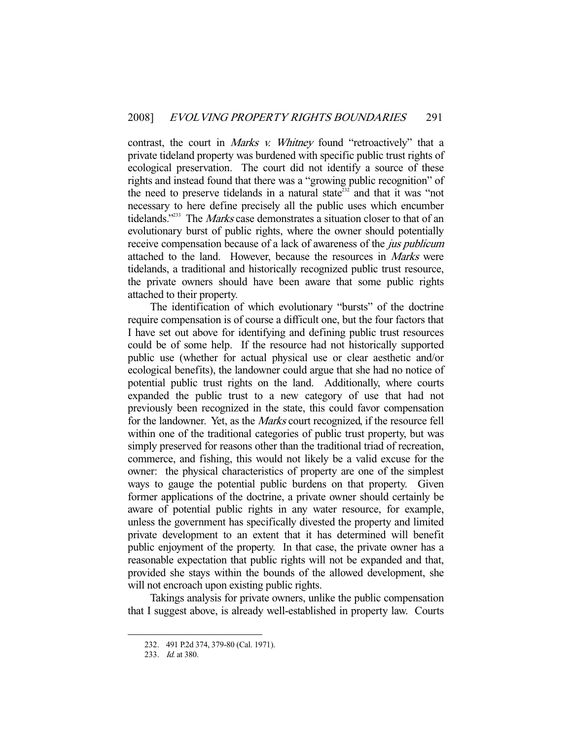contrast, the court in *Marks v. Whitney* found "retroactively" that a private tideland property was burdened with specific public trust rights of ecological preservation. The court did not identify a source of these rights and instead found that there was a "growing public recognition" of the need to preserve tidelands in a natural state<sup>232</sup> and that it was "not necessary to here define precisely all the public uses which encumber tidelands."<sup>233</sup> The Marks case demonstrates a situation closer to that of an evolutionary burst of public rights, where the owner should potentially receive compensation because of a lack of awareness of the jus publicum attached to the land. However, because the resources in Marks were tidelands, a traditional and historically recognized public trust resource, the private owners should have been aware that some public rights attached to their property.

 The identification of which evolutionary "bursts" of the doctrine require compensation is of course a difficult one, but the four factors that I have set out above for identifying and defining public trust resources could be of some help. If the resource had not historically supported public use (whether for actual physical use or clear aesthetic and/or ecological benefits), the landowner could argue that she had no notice of potential public trust rights on the land. Additionally, where courts expanded the public trust to a new category of use that had not previously been recognized in the state, this could favor compensation for the landowner. Yet, as the Marks court recognized, if the resource fell within one of the traditional categories of public trust property, but was simply preserved for reasons other than the traditional triad of recreation, commerce, and fishing, this would not likely be a valid excuse for the owner: the physical characteristics of property are one of the simplest ways to gauge the potential public burdens on that property. Given former applications of the doctrine, a private owner should certainly be aware of potential public rights in any water resource, for example, unless the government has specifically divested the property and limited private development to an extent that it has determined will benefit public enjoyment of the property. In that case, the private owner has a reasonable expectation that public rights will not be expanded and that, provided she stays within the bounds of the allowed development, she will not encroach upon existing public rights.

 Takings analysis for private owners, unlike the public compensation that I suggest above, is already well-established in property law. Courts

 <sup>232. 491</sup> P.2d 374, 379-80 (Cal. 1971).

 <sup>233.</sup> Id. at 380.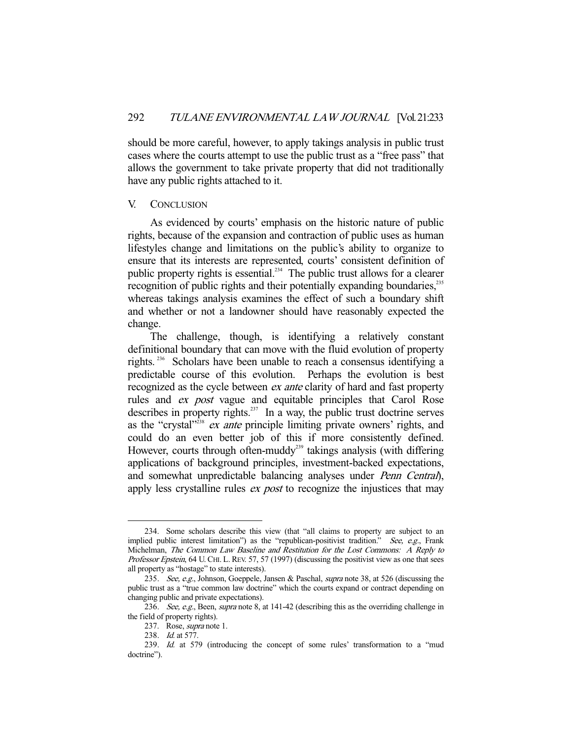should be more careful, however, to apply takings analysis in public trust cases where the courts attempt to use the public trust as a "free pass" that allows the government to take private property that did not traditionally have any public rights attached to it.

#### V. CONCLUSION

 As evidenced by courts' emphasis on the historic nature of public rights, because of the expansion and contraction of public uses as human lifestyles change and limitations on the public's ability to organize to ensure that its interests are represented, courts' consistent definition of public property rights is essential.<sup>234</sup> The public trust allows for a clearer recognition of public rights and their potentially expanding boundaries,<sup>235</sup> whereas takings analysis examines the effect of such a boundary shift and whether or not a landowner should have reasonably expected the change.

 The challenge, though, is identifying a relatively constant definitional boundary that can move with the fluid evolution of property rights. 236 Scholars have been unable to reach a consensus identifying a predictable course of this evolution. Perhaps the evolution is best recognized as the cycle between *ex ante* clarity of hard and fast property rules and ex post vague and equitable principles that Carol Rose describes in property rights.<sup>237</sup> In a way, the public trust doctrine serves as the "crystal"<sup> $238$ </sup> ex ante principle limiting private owners' rights, and could do an even better job of this if more consistently defined. However, courts through often-muddy<sup>239</sup> takings analysis (with differing applications of background principles, investment-backed expectations, and somewhat unpredictable balancing analyses under Penn Central), apply less crystalline rules *ex post* to recognize the injustices that may

 <sup>234.</sup> Some scholars describe this view (that "all claims to property are subject to an implied public interest limitation") as the "republican-positivist tradition." See, e.g., Frank Michelman, The Common Law Baseline and Restitution for the Lost Commons: A Reply to Professor Epstein, 64 U. CHI. L. REV. 57, 57 (1997) (discussing the positivist view as one that sees all property as "hostage" to state interests).

<sup>235.</sup> See, e.g., Johnson, Goeppele, Jansen & Paschal, *supra* note 38, at 526 (discussing the public trust as a "true common law doctrine" which the courts expand or contract depending on changing public and private expectations).

<sup>236.</sup> See, e.g., Been, supra note 8, at 141-42 (describing this as the overriding challenge in the field of property rights).

<sup>237.</sup> Rose, *supra* note 1.

 <sup>238.</sup> Id. at 577.

 <sup>239.</sup> Id. at 579 (introducing the concept of some rules' transformation to a "mud doctrine").